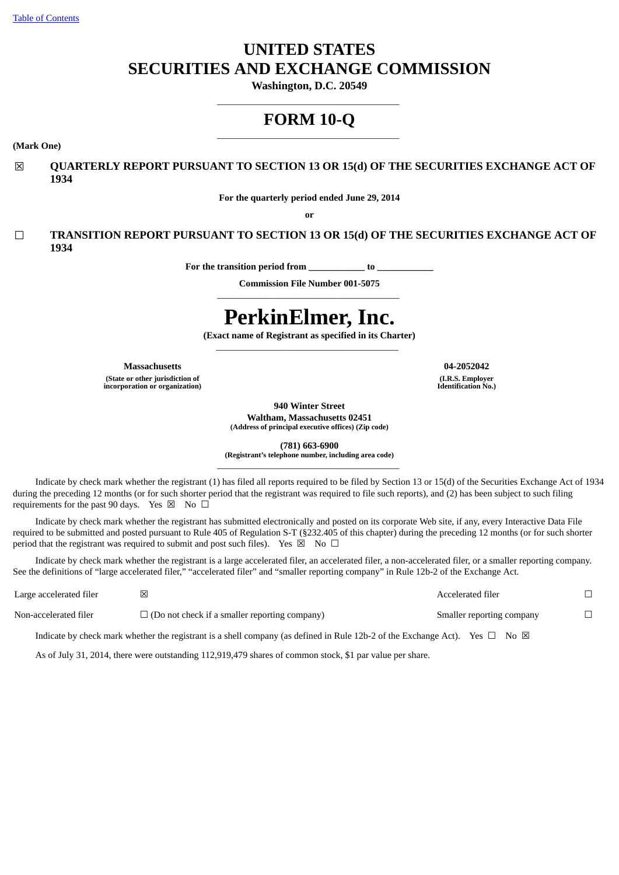# **UNITED STATES SECURITIES AND EXCHANGE COMMISSION**

**Washington, D.C. 20549** \_\_\_\_\_\_\_\_\_\_\_\_\_\_\_\_\_\_\_\_\_\_\_\_\_\_\_\_\_\_\_\_\_\_\_\_\_\_\_

# **FORM 10-Q** \_\_\_\_\_\_\_\_\_\_\_\_\_\_\_\_\_\_\_\_\_\_\_\_\_\_\_\_\_\_\_\_\_\_\_\_\_\_\_

**(Mark One)**

☒ **QUARTERLY REPORT PURSUANT TO SECTION 13 OR 15(d) OF THE SECURITIES EXCHANGE ACT OF 1934**

**For the quarterly period ended June 29, 2014**

**or**

☐ **TRANSITION REPORT PURSUANT TO SECTION 13 OR 15(d) OF THE SECURITIES EXCHANGE ACT OF 1934**

**For the transition period from \_\_\_\_\_\_\_\_\_\_\_\_ to \_\_\_\_\_\_\_\_\_\_\_\_**

**Commission File Number 001-5075** \_\_\_\_\_\_\_\_\_\_\_\_\_\_\_\_\_\_\_\_\_\_\_\_\_\_\_\_\_\_\_\_\_\_\_\_\_\_\_

# **PerkinElmer, Inc.**

**(Exact name of Registrant as specified in its Charter)** \_\_\_\_\_\_\_\_\_\_\_\_\_\_\_\_\_\_\_\_\_\_\_\_\_\_\_\_\_\_\_\_\_\_\_\_\_\_\_

**Massachusetts 04-2052042**

**(State or other jurisdiction of incorporation or organization)**

**(I.R.S. Employer Identification No.)**

**940 Winter Street Waltham, Massachusetts 02451**

**(Address of principal executive offices) (Zip code)**

**(781) 663-6900**

**(Registrant's telephone number, including area code)** \_\_\_\_\_\_\_\_\_\_\_\_\_\_\_\_\_\_\_\_\_\_\_\_\_\_\_\_\_\_\_\_\_\_\_\_\_\_\_

Indicate by check mark whether the registrant (1) has filed all reports required to be filed by Section 13 or 15(d) of the Securities Exchange Act of 1934 during the preceding 12 months (or for such shorter period that the registrant was required to file such reports), and (2) has been subject to such filing requirements for the past 90 days. Yes  $\boxtimes$  No  $\Box$ 

Indicate by check mark whether the registrant has submitted electronically and posted on its corporate Web site, if any, every Interactive Data File required to be submitted and posted pursuant to Rule 405 of Regulation S-T (§232.405 of this chapter) during the preceding 12 months (or for such shorter period that the registrant was required to submit and post such files). Yes  $\boxtimes$  No  $\Box$ 

Indicate by check mark whether the registrant is a large accelerated filer, an accelerated filer, a non-accelerated filer, or a smaller reporting company. See the definitions of "large accelerated filer," "accelerated filer" and "smaller reporting company" in Rule 12b-2 of the Exchange Act.

| Large accelerated filer | 図                                                                                                                                          | Accelerated filer         |  |
|-------------------------|--------------------------------------------------------------------------------------------------------------------------------------------|---------------------------|--|
| Non-accelerated filer   | $\Box$ (Do not check if a smaller reporting company)                                                                                       | Smaller reporting company |  |
|                         | Indicate by check mark whether the registrant is a shell company (as defined in Rule 12b-2 of the Exchange Act). Yes $\Box$ No $\boxtimes$ |                           |  |

<span id="page-0-0"></span>As of July 31, 2014, there were outstanding 112,919,479 shares of common stock, \$1 par value per share.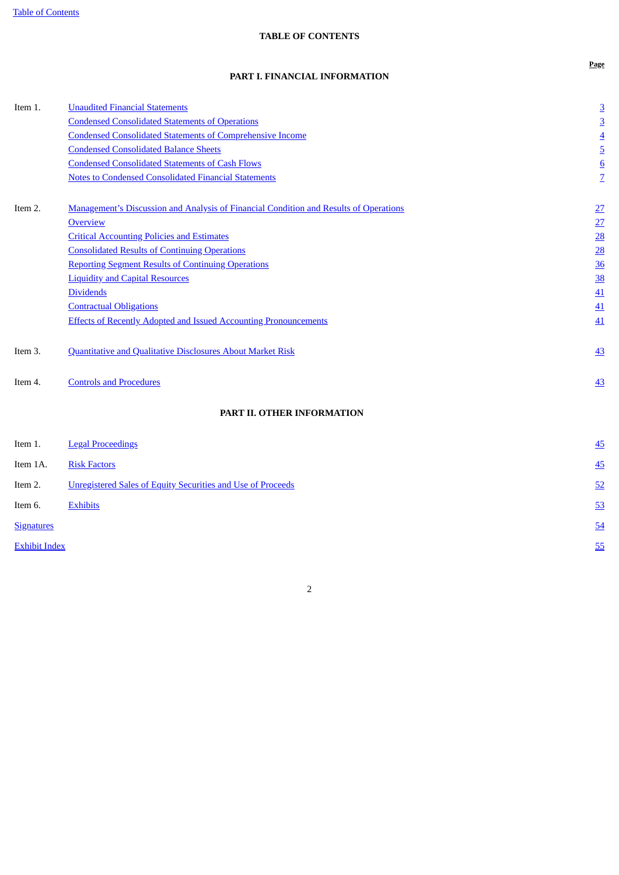# **TABLE OF CONTENTS**

# **PART I. FINANCIAL INFORMATION**

**Page**

| Item 1.              | <b>Unaudited Financial Statements</b>                                                 | $\overline{3}$   |
|----------------------|---------------------------------------------------------------------------------------|------------------|
|                      | <b>Condensed Consolidated Statements of Operations</b>                                | $\overline{3}$   |
|                      | <b>Condensed Consolidated Statements of Comprehensive Income</b>                      | $\overline{4}$   |
|                      | <b>Condensed Consolidated Balance Sheets</b>                                          | $\overline{5}$   |
|                      | <b>Condensed Consolidated Statements of Cash Flows</b>                                | $6 \overline{6}$ |
|                      | <b>Notes to Condensed Consolidated Financial Statements</b>                           | $\overline{Z}$   |
| Item 2.              | Management's Discussion and Analysis of Financial Condition and Results of Operations | 27               |
|                      | <b>Overview</b>                                                                       | 27               |
|                      | <b>Critical Accounting Policies and Estimates</b>                                     | 28               |
|                      | <b>Consolidated Results of Continuing Operations</b>                                  | $\overline{28}$  |
|                      | <b>Reporting Segment Results of Continuing Operations</b>                             | 36               |
|                      | <b>Liquidity and Capital Resources</b>                                                | $\overline{38}$  |
|                      | <b>Dividends</b>                                                                      | 41               |
|                      | <b>Contractual Obligations</b>                                                        | 41               |
|                      | <b>Effects of Recently Adopted and Issued Accounting Pronouncements</b>               | 41               |
| Item 3.              | <b>Quantitative and Qualitative Disclosures About Market Risk</b>                     | 43               |
| Item 4.              | <b>Controls and Procedures</b>                                                        | 43               |
|                      | PART II. OTHER INFORMATION                                                            |                  |
| Item 1.              | <b>Legal Proceedings</b>                                                              | 45               |
| Item 1A.             | <b>Risk Factors</b>                                                                   | 45               |
| Item 2.              | <b>Unregistered Sales of Equity Securities and Use of Proceeds</b>                    | 52               |
| Item 6.              | <b>Exhibits</b>                                                                       | 53               |
| <b>Signatures</b>    |                                                                                       | <u>54</u>        |
| <b>Exhibit Index</b> |                                                                                       | 55               |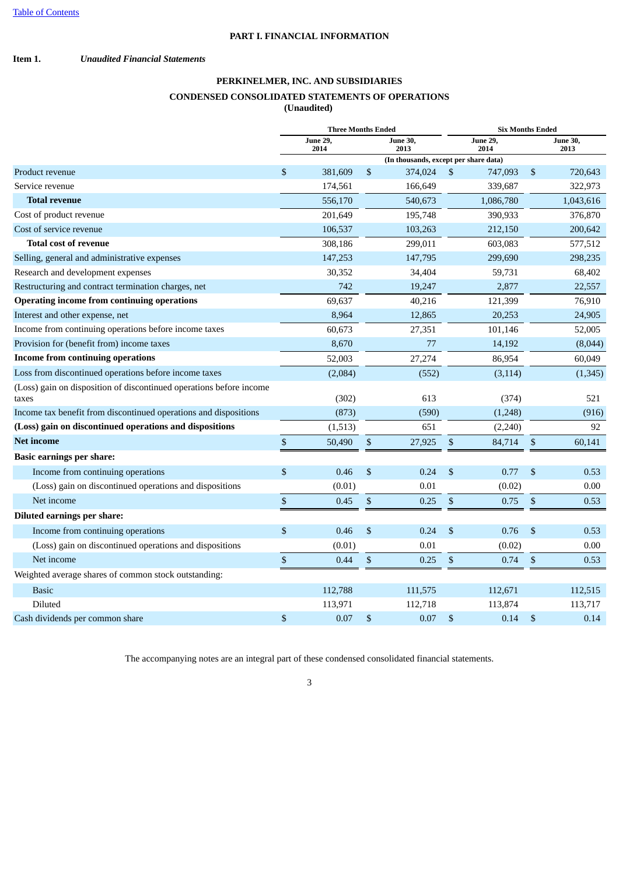# **PART I. FINANCIAL INFORMATION**

<span id="page-2-1"></span><span id="page-2-0"></span>**Item 1.** *Unaudited Financial Statements*

# **PERKINELMER, INC. AND SUBSIDIARIES**

# **CONDENSED CONSOLIDATED STATEMENTS OF OPERATIONS**

**(Unaudited)**

|                                                                     | <b>Three Months Ended</b> |                         |      |                                       |      | <b>Six Months Ended</b> |              |                  |
|---------------------------------------------------------------------|---------------------------|-------------------------|------|---------------------------------------|------|-------------------------|--------------|------------------|
|                                                                     |                           | <b>June 29,</b><br>2014 |      | <b>June 30,</b><br>2013               |      | <b>June 29,</b><br>2014 |              | June 30,<br>2013 |
|                                                                     |                           |                         |      | (In thousands, except per share data) |      |                         |              |                  |
| Product revenue                                                     | \$                        | 381,609                 | \$   | 374,024                               | \$   | 747,093                 | \$           | 720,643          |
| Service revenue                                                     |                           | 174,561                 |      | 166,649                               |      | 339,687                 |              | 322,973          |
| <b>Total revenue</b>                                                |                           | 556,170                 |      | 540,673                               |      | 1,086,780               |              | 1,043,616        |
| Cost of product revenue                                             |                           | 201,649                 |      | 195,748                               |      | 390,933                 |              | 376,870          |
| Cost of service revenue                                             |                           | 106,537                 |      | 103,263                               |      | 212,150                 |              | 200,642          |
| <b>Total cost of revenue</b>                                        |                           | 308,186                 |      | 299,011                               |      | 603,083                 |              | 577,512          |
| Selling, general and administrative expenses                        |                           | 147,253                 |      | 147,795                               |      | 299,690                 |              | 298,235          |
| Research and development expenses                                   |                           | 30,352                  |      | 34,404                                |      | 59,731                  |              | 68,402           |
| Restructuring and contract termination charges, net                 |                           | 742                     |      | 19,247                                |      | 2,877                   |              | 22,557           |
| <b>Operating income from continuing operations</b>                  |                           | 69,637                  |      | 40,216                                |      | 121,399                 |              | 76,910           |
| Interest and other expense, net                                     |                           | 8,964                   |      | 12,865                                |      | 20,253                  |              | 24,905           |
| Income from continuing operations before income taxes               |                           | 60,673                  |      | 27,351                                |      | 101,146                 |              | 52,005           |
| Provision for (benefit from) income taxes                           |                           | 8,670                   |      | 77                                    |      | 14,192                  |              | (8,044)          |
| <b>Income from continuing operations</b>                            |                           | 52,003                  |      | 27,274                                |      | 86,954                  |              | 60,049           |
| Loss from discontinued operations before income taxes               |                           | (2,084)                 |      | (552)                                 |      | (3, 114)                |              | (1, 345)         |
| (Loss) gain on disposition of discontinued operations before income |                           |                         |      |                                       |      |                         |              |                  |
| taxes                                                               |                           | (302)                   |      | 613                                   |      | (374)                   |              | 521              |
| Income tax benefit from discontinued operations and dispositions    |                           | (873)                   |      | (590)                                 |      | (1,248)                 |              | (916)            |
| (Loss) gain on discontinued operations and dispositions             |                           | (1,513)                 |      | 651                                   |      | (2,240)                 |              | 92               |
| <b>Net income</b>                                                   | \$                        | 50,490                  | $\,$ | 27,925                                | $\$$ | 84,714                  | \$           | 60,141           |
| <b>Basic earnings per share:</b>                                    |                           |                         |      |                                       |      |                         |              |                  |
| Income from continuing operations                                   | \$                        | 0.46                    | \$   | 0.24                                  | \$   | 0.77                    | \$           | 0.53             |
| (Loss) gain on discontinued operations and dispositions             |                           | (0.01)                  |      | 0.01                                  |      | (0.02)                  |              | $0.00\,$         |
| Net income                                                          | $\$$                      | 0.45                    | $\,$ | 0.25                                  | \$   | 0.75                    | $\mathbb{S}$ | 0.53             |
| <b>Diluted earnings per share:</b>                                  |                           |                         |      |                                       |      |                         |              |                  |
| Income from continuing operations                                   | \$                        | 0.46                    | \$   | 0.24                                  | \$   | 0.76                    | \$           | 0.53             |
| (Loss) gain on discontinued operations and dispositions             |                           | (0.01)                  |      | 0.01                                  |      | (0.02)                  |              | 0.00             |
| Net income                                                          | $\$$                      | 0.44                    | $\,$ | 0.25                                  | $\$$ | 0.74                    | $\mathbb{S}$ | 0.53             |
| Weighted average shares of common stock outstanding:                |                           |                         |      |                                       |      |                         |              |                  |
| <b>Basic</b>                                                        |                           | 112,788                 |      | 111,575                               |      | 112,671                 |              | 112,515          |
| <b>Diluted</b>                                                      |                           | 113,971                 |      | 112,718                               |      | 113,874                 |              | 113,717          |
| Cash dividends per common share                                     | \$                        | 0.07                    | \$   | 0.07                                  | \$   | 0.14                    | \$           | 0.14             |

<span id="page-2-2"></span>The accompanying notes are an integral part of these condensed consolidated financial statements.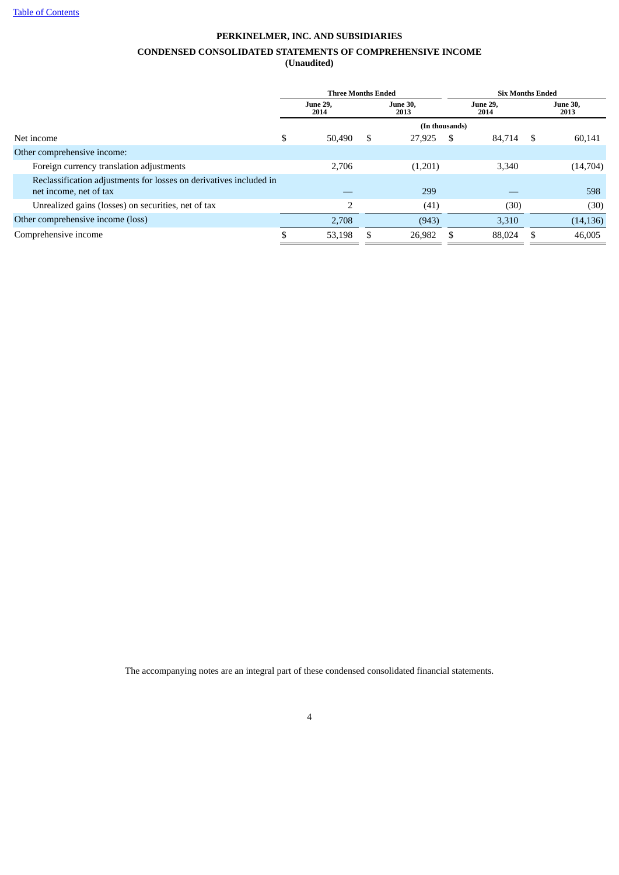# **PERKINELMER, INC. AND SUBSIDIARIES CONDENSED CONSOLIDATED STATEMENTS OF COMPREHENSIVE INCOME (Unaudited)**

|                                                                    | <b>Three Months Ended</b>                          |                |    |                         | <b>Six Months Ended</b> |        |                         |           |  |
|--------------------------------------------------------------------|----------------------------------------------------|----------------|----|-------------------------|-------------------------|--------|-------------------------|-----------|--|
|                                                                    | <b>June 30,</b><br><b>June 29,</b><br>2013<br>2014 |                |    | <b>June 29,</b><br>2014 |                         |        | <b>June 30,</b><br>2013 |           |  |
|                                                                    |                                                    |                |    | (In thousands)          |                         |        |                         |           |  |
| Net income                                                         | \$                                                 | 50.490         | £. | 27,925                  | S                       | 84.714 | -S                      | 60,141    |  |
| Other comprehensive income:                                        |                                                    |                |    |                         |                         |        |                         |           |  |
| Foreign currency translation adjustments                           |                                                    | 2.706          |    | (1,201)                 |                         | 3,340  |                         | (14,704)  |  |
| Reclassification adjustments for losses on derivatives included in |                                                    |                |    |                         |                         |        |                         |           |  |
| net income, net of tax                                             |                                                    |                |    | 299                     |                         |        |                         | 598       |  |
| Unrealized gains (losses) on securities, net of tax                |                                                    | $\overline{2}$ |    | (41)                    |                         | (30)   |                         | (30)      |  |
| Other comprehensive income (loss)                                  |                                                    | 2,708          |    | (943)                   |                         | 3,310  |                         | (14, 136) |  |
| Comprehensive income                                               |                                                    | 53,198         |    | 26,982                  |                         | 88,024 |                         | 46,005    |  |

<span id="page-3-0"></span>The accompanying notes are an integral part of these condensed consolidated financial statements.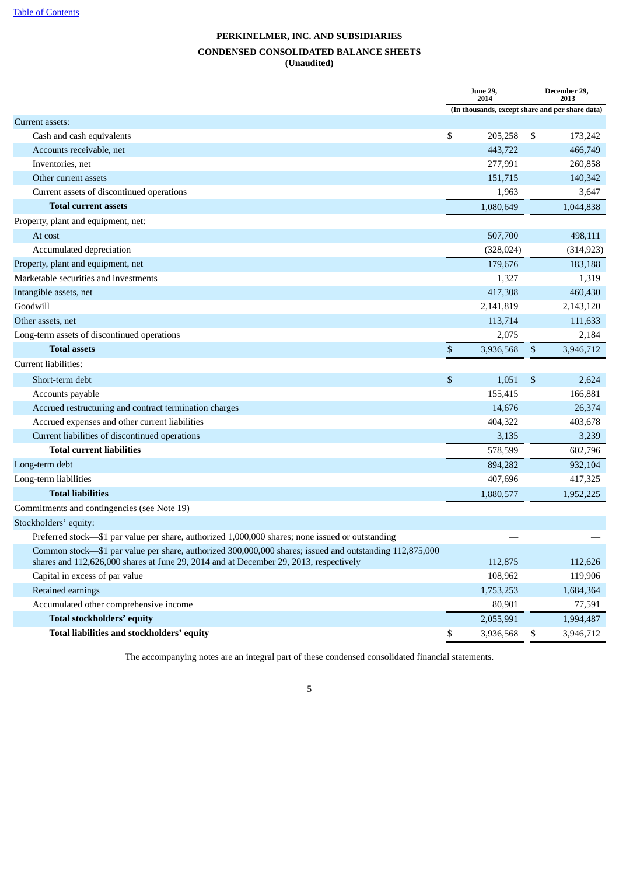# **PERKINELMER, INC. AND SUBSIDIARIES CONDENSED CONSOLIDATED BALANCE SHEETS (Unaudited)**

|                                                                                                                                                                                                  |               | <b>June 29,</b><br>2014                         | December 29,<br>2013 |
|--------------------------------------------------------------------------------------------------------------------------------------------------------------------------------------------------|---------------|-------------------------------------------------|----------------------|
|                                                                                                                                                                                                  |               | (In thousands, except share and per share data) |                      |
| Current assets:                                                                                                                                                                                  |               |                                                 |                      |
| Cash and cash equivalents                                                                                                                                                                        | \$            | 205,258                                         | \$<br>173,242        |
| Accounts receivable, net                                                                                                                                                                         |               | 443,722                                         | 466,749              |
| Inventories, net                                                                                                                                                                                 |               | 277,991                                         | 260,858              |
| Other current assets                                                                                                                                                                             |               | 151,715                                         | 140,342              |
| Current assets of discontinued operations                                                                                                                                                        |               | 1,963                                           | 3,647                |
| <b>Total current assets</b>                                                                                                                                                                      |               | 1,080,649                                       | 1,044,838            |
| Property, plant and equipment, net:                                                                                                                                                              |               |                                                 |                      |
| At cost                                                                                                                                                                                          |               | 507,700                                         | 498,111              |
| Accumulated depreciation                                                                                                                                                                         |               | (328, 024)                                      | (314, 923)           |
| Property, plant and equipment, net                                                                                                                                                               |               | 179,676                                         | 183,188              |
| Marketable securities and investments                                                                                                                                                            |               | 1,327                                           | 1,319                |
| Intangible assets, net                                                                                                                                                                           |               | 417,308                                         | 460,430              |
| Goodwill                                                                                                                                                                                         |               | 2,141,819                                       | 2,143,120            |
| Other assets, net                                                                                                                                                                                |               | 113,714                                         | 111,633              |
| Long-term assets of discontinued operations                                                                                                                                                      |               | 2,075                                           | 2,184                |
| <b>Total assets</b>                                                                                                                                                                              | ${\mathbb S}$ | 3,936,568                                       | \$<br>3,946,712      |
| Current liabilities:                                                                                                                                                                             |               |                                                 |                      |
| Short-term debt                                                                                                                                                                                  | \$            | 1,051                                           | \$<br>2,624          |
| Accounts payable                                                                                                                                                                                 |               | 155,415                                         | 166,881              |
| Accrued restructuring and contract termination charges                                                                                                                                           |               | 14,676                                          | 26,374               |
| Accrued expenses and other current liabilities                                                                                                                                                   |               | 404,322                                         | 403,678              |
| Current liabilities of discontinued operations                                                                                                                                                   |               | 3,135                                           | 3,239                |
| <b>Total current liabilities</b>                                                                                                                                                                 |               | 578,599                                         | 602,796              |
| Long-term debt                                                                                                                                                                                   |               | 894,282                                         | 932,104              |
| Long-term liabilities                                                                                                                                                                            |               | 407,696                                         | 417,325              |
| <b>Total liabilities</b>                                                                                                                                                                         |               | 1,880,577                                       | 1,952,225            |
| Commitments and contingencies (see Note 19)                                                                                                                                                      |               |                                                 |                      |
| Stockholders' equity:                                                                                                                                                                            |               |                                                 |                      |
| Preferred stock—\$1 par value per share, authorized 1,000,000 shares; none issued or outstanding                                                                                                 |               |                                                 |                      |
| Common stock-\$1 par value per share, authorized 300,000,000 shares; issued and outstanding 112,875,000<br>shares and 112,626,000 shares at June 29, 2014 and at December 29, 2013, respectively |               | 112,875                                         | 112,626              |
| Capital in excess of par value                                                                                                                                                                   |               | 108,962                                         | 119,906              |
| Retained earnings                                                                                                                                                                                |               | 1,753,253                                       | 1,684,364            |
| Accumulated other comprehensive income                                                                                                                                                           |               | 80,901                                          | 77,591               |
| Total stockholders' equity                                                                                                                                                                       |               | 2,055,991                                       | 1,994,487            |
| Total liabilities and stockholders' equity                                                                                                                                                       | \$            | 3,936,568                                       | \$<br>3,946,712      |

<span id="page-4-0"></span>The accompanying notes are an integral part of these condensed consolidated financial statements.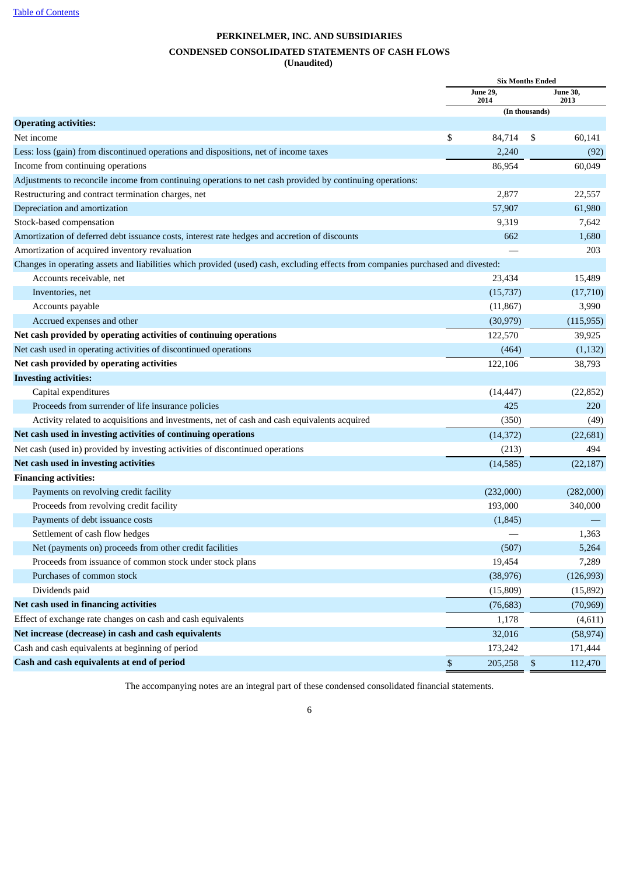# **PERKINELMER, INC. AND SUBSIDIARIES CONDENSED CONSOLIDATED STATEMENTS OF CASH FLOWS (Unaudited)**

|                                                                                                                                  | <b>Six Months Ended</b> |                         |              |                  |
|----------------------------------------------------------------------------------------------------------------------------------|-------------------------|-------------------------|--------------|------------------|
|                                                                                                                                  |                         | <b>June 29,</b><br>2014 |              | June 30,<br>2013 |
|                                                                                                                                  |                         | (In thousands)          |              |                  |
| <b>Operating activities:</b>                                                                                                     |                         |                         |              |                  |
| Net income                                                                                                                       | \$                      | 84,714                  | \$           | 60,141           |
| Less: loss (gain) from discontinued operations and dispositions, net of income taxes                                             |                         | 2,240                   |              | (92)             |
| Income from continuing operations                                                                                                |                         | 86,954                  |              | 60,049           |
| Adjustments to reconcile income from continuing operations to net cash provided by continuing operations:                        |                         |                         |              |                  |
| Restructuring and contract termination charges, net                                                                              |                         | 2,877                   |              | 22,557           |
| Depreciation and amortization                                                                                                    |                         | 57,907                  |              | 61,980           |
| Stock-based compensation                                                                                                         |                         | 9,319                   |              | 7,642            |
| Amortization of deferred debt issuance costs, interest rate hedges and accretion of discounts                                    |                         | 662                     |              | 1,680            |
| Amortization of acquired inventory revaluation                                                                                   |                         |                         |              | 203              |
| Changes in operating assets and liabilities which provided (used) cash, excluding effects from companies purchased and divested: |                         |                         |              |                  |
| Accounts receivable, net                                                                                                         |                         | 23,434                  |              | 15,489           |
| Inventories, net                                                                                                                 |                         | (15,737)                |              | (17, 710)        |
| Accounts payable                                                                                                                 |                         | (11, 867)               |              | 3,990            |
| Accrued expenses and other                                                                                                       |                         | (30, 979)               |              | (115, 955)       |
| Net cash provided by operating activities of continuing operations                                                               |                         | 122,570                 |              | 39,925           |
| Net cash used in operating activities of discontinued operations                                                                 |                         | (464)                   |              | (1, 132)         |
| Net cash provided by operating activities                                                                                        |                         | 122,106                 |              | 38,793           |
| <b>Investing activities:</b>                                                                                                     |                         |                         |              |                  |
| Capital expenditures                                                                                                             |                         | (14, 447)               |              | (22, 852)        |
| Proceeds from surrender of life insurance policies                                                                               |                         | 425                     |              | 220              |
| Activity related to acquisitions and investments, net of cash and cash equivalents acquired                                      |                         | (350)                   |              | (49)             |
| Net cash used in investing activities of continuing operations                                                                   |                         | (14, 372)               |              | (22, 681)        |
| Net cash (used in) provided by investing activities of discontinued operations                                                   |                         | (213)                   |              | 494              |
| Net cash used in investing activities                                                                                            |                         | (14, 585)               |              | (22, 187)        |
| <b>Financing activities:</b>                                                                                                     |                         |                         |              |                  |
| Payments on revolving credit facility                                                                                            |                         | (232,000)               |              | (282,000)        |
| Proceeds from revolving credit facility                                                                                          |                         | 193,000                 |              | 340,000          |
| Payments of debt issuance costs                                                                                                  |                         | (1,845)                 |              |                  |
| Settlement of cash flow hedges                                                                                                   |                         |                         |              | 1,363            |
| Net (payments on) proceeds from other credit facilities                                                                          |                         | (507)                   |              | 5,264            |
| Proceeds from issuance of common stock under stock plans                                                                         |                         | 19,454                  |              | 7,289            |
| Purchases of common stock                                                                                                        |                         | (38, 976)               |              | (126, 993)       |
| Dividends paid                                                                                                                   |                         | (15,809)                |              | (15,892)         |
| Net cash used in financing activities                                                                                            |                         | (76, 683)               |              | (70, 969)        |
| Effect of exchange rate changes on cash and cash equivalents                                                                     |                         | 1,178                   |              | (4,611)          |
| Net increase (decrease) in cash and cash equivalents                                                                             |                         | 32,016                  |              | (58, 974)        |
| Cash and cash equivalents at beginning of period                                                                                 |                         | 173,242                 |              | 171,444          |
| Cash and cash equivalents at end of period                                                                                       | \$                      | 205,258                 | $\mathbb{S}$ | 112,470          |
|                                                                                                                                  |                         |                         |              |                  |

<span id="page-5-0"></span>The accompanying notes are an integral part of these condensed consolidated financial statements.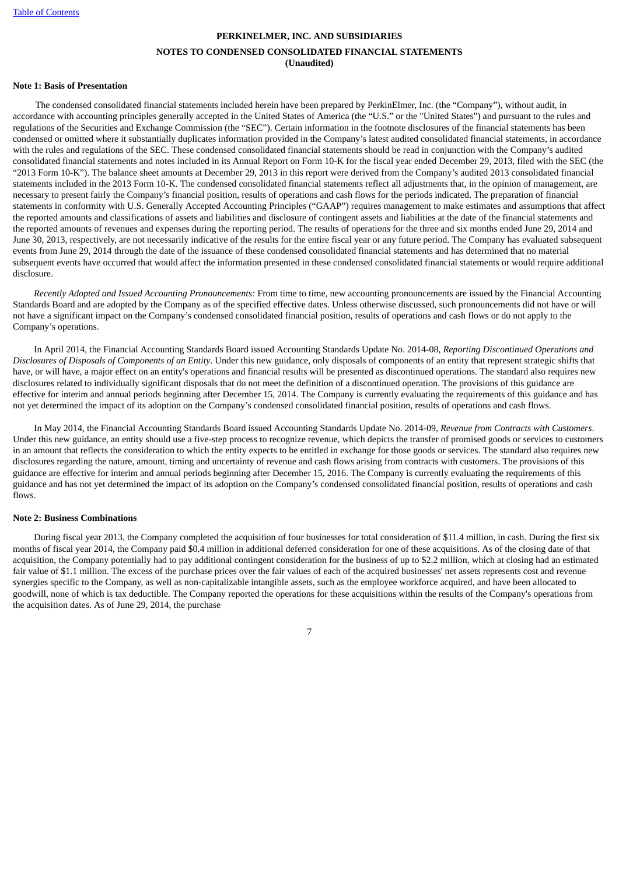# **PERKINELMER, INC. AND SUBSIDIARIES NOTES TO CONDENSED CONSOLIDATED FINANCIAL STATEMENTS (Unaudited)**

#### **Note 1: Basis of Presentation**

The condensed consolidated financial statements included herein have been prepared by PerkinElmer, Inc. (the "Company"), without audit, in accordance with accounting principles generally accepted in the United States of America (the "U.S." or the "United States") and pursuant to the rules and regulations of the Securities and Exchange Commission (the "SEC"). Certain information in the footnote disclosures of the financial statements has been condensed or omitted where it substantially duplicates information provided in the Company's latest audited consolidated financial statements, in accordance with the rules and regulations of the SEC. These condensed consolidated financial statements should be read in conjunction with the Company's audited consolidated financial statements and notes included in its Annual Report on Form 10-K for the fiscal year ended December 29, 2013, filed with the SEC (the "2013 Form 10-K"). The balance sheet amounts at December 29, 2013 in this report were derived from the Company's audited 2013 consolidated financial statements included in the 2013 Form 10-K. The condensed consolidated financial statements reflect all adjustments that, in the opinion of management, are necessary to present fairly the Company's financial position, results of operations and cash flows for the periods indicated. The preparation of financial statements in conformity with U.S. Generally Accepted Accounting Principles ("GAAP") requires management to make estimates and assumptions that affect the reported amounts and classifications of assets and liabilities and disclosure of contingent assets and liabilities at the date of the financial statements and the reported amounts of revenues and expenses during the reporting period. The results of operations for the three and six months ended June 29, 2014 and June 30, 2013, respectively, are not necessarily indicative of the results for the entire fiscal year or any future period. The Company has evaluated subsequent events from June 29, 2014 through the date of the issuance of these condensed consolidated financial statements and has determined that no material subsequent events have occurred that would affect the information presented in these condensed consolidated financial statements or would require additional disclosure.

*Recently Adopted and Issued Accounting Pronouncements:* From time to time, new accounting pronouncements are issued by the Financial Accounting Standards Board and are adopted by the Company as of the specified effective dates. Unless otherwise discussed, such pronouncements did not have or will not have a significant impact on the Company's condensed consolidated financial position, results of operations and cash flows or do not apply to the Company's operations.

In April 2014, the Financial Accounting Standards Board issued Accounting Standards Update No. 2014-08, *Reporting Discontinued Operations and Disclosures of Disposals of Components of an Entity*. Under this new guidance, only disposals of components of an entity that represent strategic shifts that have, or will have, a major effect on an entity's operations and financial results will be presented as discontinued operations. The standard also requires new disclosures related to individually significant disposals that do not meet the definition of a discontinued operation. The provisions of this guidance are effective for interim and annual periods beginning after December 15, 2014. The Company is currently evaluating the requirements of this guidance and has not yet determined the impact of its adoption on the Company's condensed consolidated financial position, results of operations and cash flows.

In May 2014, the Financial Accounting Standards Board issued Accounting Standards Update No. 2014-09, *Revenue from Contracts with Customers*. Under this new guidance, an entity should use a five-step process to recognize revenue, which depicts the transfer of promised goods or services to customers in an amount that reflects the consideration to which the entity expects to be entitled in exchange for those goods or services. The standard also requires new disclosures regarding the nature, amount, timing and uncertainty of revenue and cash flows arising from contracts with customers. The provisions of this guidance are effective for interim and annual periods beginning after December 15, 2016. The Company is currently evaluating the requirements of this guidance and has not yet determined the impact of its adoption on the Company's condensed consolidated financial position, results of operations and cash flows.

#### **Note 2: Business Combinations**

During fiscal year 2013, the Company completed the acquisition of four businesses for total consideration of \$11.4 million, in cash. During the first six months of fiscal year 2014, the Company paid \$0.4 million in additional deferred consideration for one of these acquisitions. As of the closing date of that acquisition, the Company potentially had to pay additional contingent consideration for the business of up to \$2.2 million, which at closing had an estimated fair value of \$1.1 million. The excess of the purchase prices over the fair values of each of the acquired businesses' net assets represents cost and revenue synergies specific to the Company, as well as non-capitalizable intangible assets, such as the employee workforce acquired, and have been allocated to goodwill, none of which is tax deductible. The Company reported the operations for these acquisitions within the results of the Company's operations from the acquisition dates. As of June 29, 2014, the purchase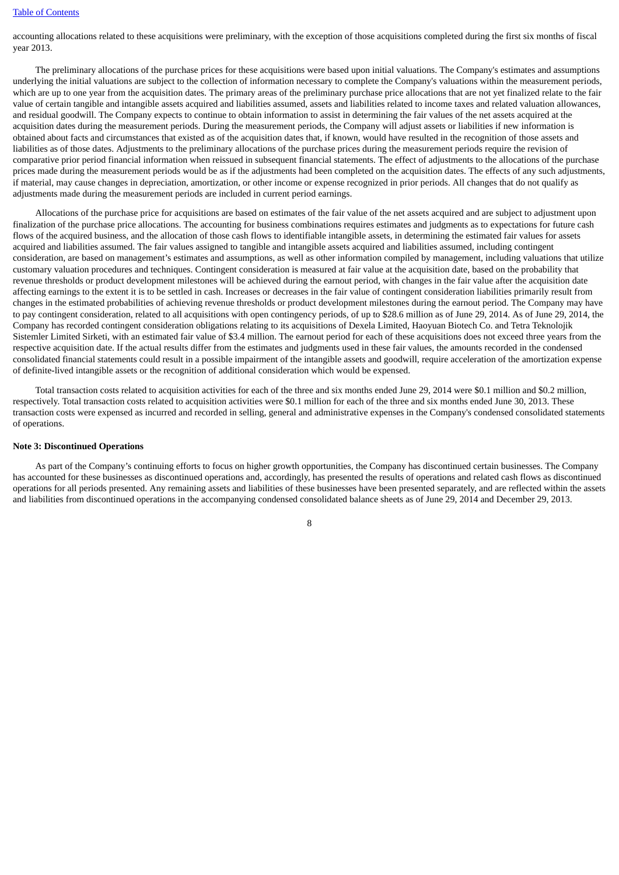accounting allocations related to these acquisitions were preliminary, with the exception of those acquisitions completed during the first six months of fiscal year 2013.

The preliminary allocations of the purchase prices for these acquisitions were based upon initial valuations. The Company's estimates and assumptions underlying the initial valuations are subject to the collection of information necessary to complete the Company's valuations within the measurement periods, which are up to one year from the acquisition dates. The primary areas of the preliminary purchase price allocations that are not yet finalized relate to the fair value of certain tangible and intangible assets acquired and liabilities assumed, assets and liabilities related to income taxes and related valuation allowances, and residual goodwill. The Company expects to continue to obtain information to assist in determining the fair values of the net assets acquired at the acquisition dates during the measurement periods. During the measurement periods, the Company will adjust assets or liabilities if new information is obtained about facts and circumstances that existed as of the acquisition dates that, if known, would have resulted in the recognition of those assets and liabilities as of those dates. Adjustments to the preliminary allocations of the purchase prices during the measurement periods require the revision of comparative prior period financial information when reissued in subsequent financial statements. The effect of adjustments to the allocations of the purchase prices made during the measurement periods would be as if the adjustments had been completed on the acquisition dates. The effects of any such adjustments, if material, may cause changes in depreciation, amortization, or other income or expense recognized in prior periods. All changes that do not qualify as adjustments made during the measurement periods are included in current period earnings.

Allocations of the purchase price for acquisitions are based on estimates of the fair value of the net assets acquired and are subject to adjustment upon finalization of the purchase price allocations. The accounting for business combinations requires estimates and judgments as to expectations for future cash flows of the acquired business, and the allocation of those cash flows to identifiable intangible assets, in determining the estimated fair values for assets acquired and liabilities assumed. The fair values assigned to tangible and intangible assets acquired and liabilities assumed, including contingent consideration, are based on management's estimates and assumptions, as well as other information compiled by management, including valuations that utilize customary valuation procedures and techniques. Contingent consideration is measured at fair value at the acquisition date, based on the probability that revenue thresholds or product development milestones will be achieved during the earnout period, with changes in the fair value after the acquisition date affecting earnings to the extent it is to be settled in cash. Increases or decreases in the fair value of contingent consideration liabilities primarily result from changes in the estimated probabilities of achieving revenue thresholds or product development milestones during the earnout period. The Company may have to pay contingent consideration, related to all acquisitions with open contingency periods, of up to \$28.6 million as of June 29, 2014. As of June 29, 2014, the Company has recorded contingent consideration obligations relating to its acquisitions of Dexela Limited, Haoyuan Biotech Co. and Tetra Teknolojik Sistemler Limited Sirketi, with an estimated fair value of \$3.4 million. The earnout period for each of these acquisitions does not exceed three years from the respective acquisition date. If the actual results differ from the estimates and judgments used in these fair values, the amounts recorded in the condensed consolidated financial statements could result in a possible impairment of the intangible assets and goodwill, require acceleration of the amortization expense of definite-lived intangible assets or the recognition of additional consideration which would be expensed.

Total transaction costs related to acquisition activities for each of the three and six months ended June 29, 2014 were \$0.1 million and \$0.2 million, respectively. Total transaction costs related to acquisition activities were \$0.1 million for each of the three and six months ended June 30, 2013. These transaction costs were expensed as incurred and recorded in selling, general and administrative expenses in the Company's condensed consolidated statements of operations.

#### **Note 3: Discontinued Operations**

As part of the Company's continuing efforts to focus on higher growth opportunities, the Company has discontinued certain businesses. The Company has accounted for these businesses as discontinued operations and, accordingly, has presented the results of operations and related cash flows as discontinued operations for all periods presented. Any remaining assets and liabilities of these businesses have been presented separately, and are reflected within the assets and liabilities from discontinued operations in the accompanying condensed consolidated balance sheets as of June 29, 2014 and December 29, 2013.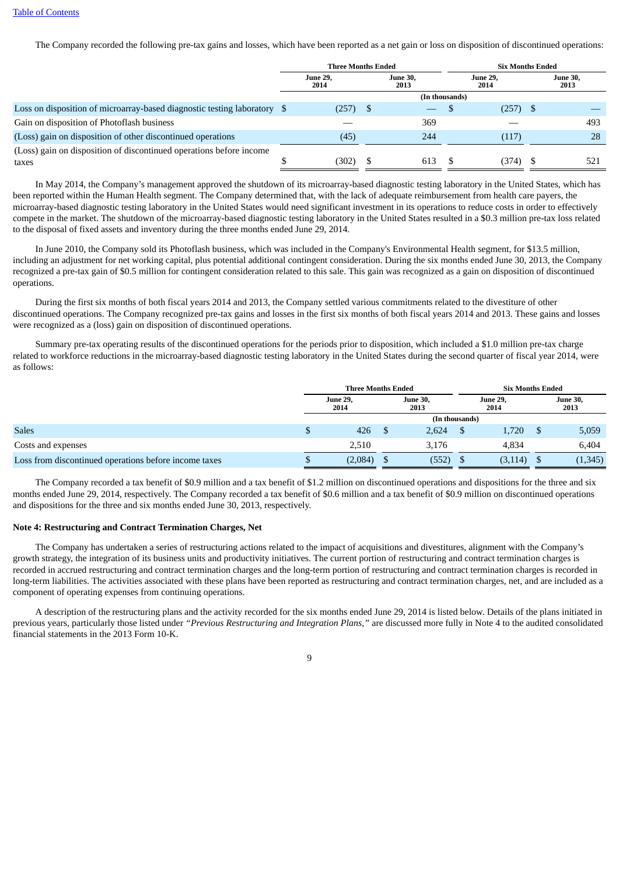The Company recorded the following pre-tax gains and losses, which have been reported as a net gain or loss on disposition of discontinued operations:

|                                                                              | <b>Three Months Ended</b> |                         |      |                         | <b>Six Months Ended</b> |            |  |     |  |                         |  |
|------------------------------------------------------------------------------|---------------------------|-------------------------|------|-------------------------|-------------------------|------------|--|-----|--|-------------------------|--|
|                                                                              |                           | <b>June 29,</b><br>2014 |      | <b>June 30,</b><br>2013 | <b>June 29.</b><br>2014 |            |  |     |  | <b>June 30,</b><br>2013 |  |
|                                                                              |                           |                         |      | (In thousands)          |                         |            |  |     |  |                         |  |
| Loss on disposition of microarray-based diagnostic testing laboratory \$     |                           | (257)                   | - \$ |                         |                         | $(257)$ \$ |  |     |  |                         |  |
| Gain on disposition of Photoflash business                                   |                           |                         |      | 369                     |                         |            |  | 493 |  |                         |  |
| (Loss) gain on disposition of other discontinued operations                  |                           | (45)                    |      | 244                     |                         | (117)      |  | 28  |  |                         |  |
| (Loss) gain on disposition of discontinued operations before income<br>taxes |                           | (302)                   |      | 613                     |                         | (374)      |  | 521 |  |                         |  |

In May 2014, the Company's management approved the shutdown of its microarray-based diagnostic testing laboratory in the United States, which has been reported within the Human Health segment. The Company determined that, with the lack of adequate reimbursement from health care payers, the microarray-based diagnostic testing laboratory in the United States would need significant investment in its operations to reduce costs in order to effectively compete in the market. The shutdown of the microarray-based diagnostic testing laboratory in the United States resulted in a \$0.3 million pre-tax loss related to the disposal of fixed assets and inventory during the three months ended June 29, 2014.

In June 2010, the Company sold its Photoflash business, which was included in the Company's Environmental Health segment, for \$13.5 million, including an adjustment for net working capital, plus potential additional contingent consideration. During the six months ended June 30, 2013, the Company recognized a pre-tax gain of \$0.5 million for contingent consideration related to this sale. This gain was recognized as a gain on disposition of discontinued operations.

During the first six months of both fiscal years 2014 and 2013, the Company settled various commitments related to the divestiture of other discontinued operations. The Company recognized pre-tax gains and losses in the first six months of both fiscal years 2014 and 2013. These gains and losses were recognized as a (loss) gain on disposition of discontinued operations.

Summary pre-tax operating results of the discontinued operations for the periods prior to disposition, which included a \$1.0 million pre-tax charge related to workforce reductions in the microarray-based diagnostic testing laboratory in the United States during the second quarter of fiscal year 2014, were as follows:

|                                                       |                         | <b>Three Months Ended</b> |                                                    |       | <b>Six Months Ended</b> |          |  |          |                         |
|-------------------------------------------------------|-------------------------|---------------------------|----------------------------------------------------|-------|-------------------------|----------|--|----------|-------------------------|
|                                                       | <b>June 29,</b><br>2014 |                           | <b>June 30,</b><br><b>June 29,</b><br>2013<br>2014 |       |                         |          |  |          | <b>June 30,</b><br>2013 |
|                                                       |                         | (In thousands)            |                                                    |       |                         |          |  |          |                         |
| <b>Sales</b>                                          |                         | 426                       |                                                    | 2,624 |                         | 1,720    |  | 5,059    |                         |
| Costs and expenses                                    |                         | 2,510                     |                                                    | 3.176 |                         | 4,834    |  | 6,404    |                         |
| Loss from discontinued operations before income taxes |                         | (2,084)                   |                                                    | (552) |                         | (3, 114) |  | (1, 345) |                         |

The Company recorded a tax benefit of \$0.9 million and a tax benefit of \$1.2 million on discontinued operations and dispositions for the three and six months ended June 29, 2014, respectively. The Company recorded a tax benefit of \$0.6 million and a tax benefit of \$0.9 million on discontinued operations and dispositions for the three and six months ended June 30, 2013, respectively.

#### **Note 4: Restructuring and Contract Termination Charges, Net**

The Company has undertaken a series of restructuring actions related to the impact of acquisitions and divestitures, alignment with the Company's growth strategy, the integration of its business units and productivity initiatives. The current portion of restructuring and contract termination charges is recorded in accrued restructuring and contract termination charges and the long-term portion of restructuring and contract termination charges is recorded in long-term liabilities. The activities associated with these plans have been reported as restructuring and contract termination charges, net, and are included as a component of operating expenses from continuing operations.

A description of the restructuring plans and the activity recorded for the six months ended June 29, 2014 is listed below. Details of the plans initiated in previous years, particularly those listed under *"Previous Restructuring and Integration Plans,"* are discussed more fully in Note 4 to the audited consolidated financial statements in the 2013 Form 10-K.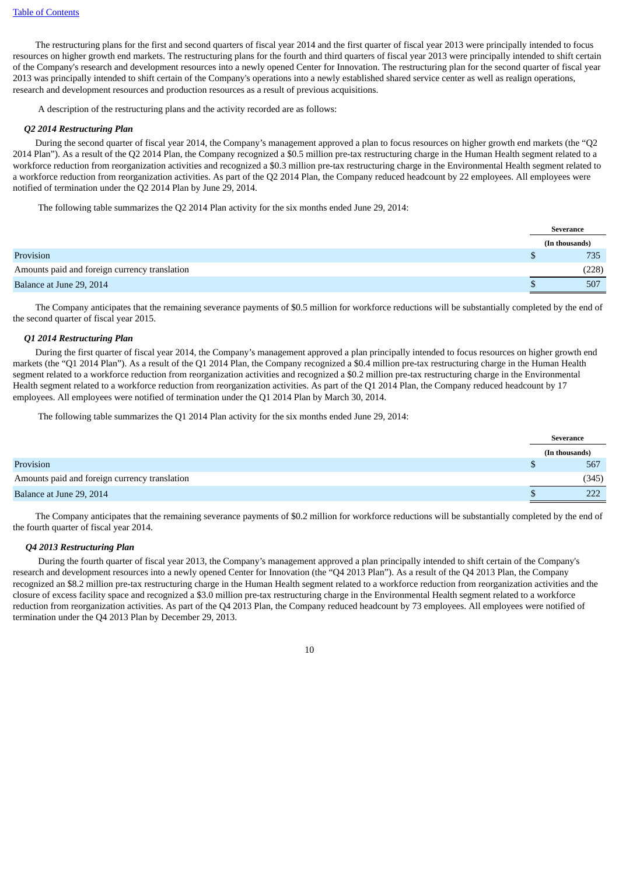The restructuring plans for the first and second quarters of fiscal year 2014 and the first quarter of fiscal year 2013 were principally intended to focus resources on higher growth end markets. The restructuring plans for the fourth and third quarters of fiscal year 2013 were principally intended to shift certain of the Company's research and development resources into a newly opened Center for Innovation. The restructuring plan for the second quarter of fiscal year 2013 was principally intended to shift certain of the Company's operations into a newly established shared service center as well as realign operations, research and development resources and production resources as a result of previous acquisitions.

A description of the restructuring plans and the activity recorded are as follows:

#### *Q2 2014 Restructuring Plan*

During the second quarter of fiscal year 2014, the Company's management approved a plan to focus resources on higher growth end markets (the "Q2 2014 Plan"). As a result of the Q2 2014 Plan, the Company recognized a \$0.5 million pre-tax restructuring charge in the Human Health segment related to a workforce reduction from reorganization activities and recognized a \$0.3 million pre-tax restructuring charge in the Environmental Health segment related to a workforce reduction from reorganization activities. As part of the Q2 2014 Plan, the Company reduced headcount by 22 employees. All employees were notified of termination under the Q2 2014 Plan by June 29, 2014.

The following table summarizes the Q2 2014 Plan activity for the six months ended June 29, 2014:

|                                               | Severance      |
|-----------------------------------------------|----------------|
|                                               | (In thousands) |
| Provision                                     | 735            |
| Amounts paid and foreign currency translation | (228)          |
| Balance at June 29, 2014                      | 507            |

The Company anticipates that the remaining severance payments of \$0.5 million for workforce reductions will be substantially completed by the end of the second quarter of fiscal year 2015.

# *Q1 2014 Restructuring Plan*

During the first quarter of fiscal year 2014, the Company's management approved a plan principally intended to focus resources on higher growth end markets (the "Q1 2014 Plan"). As a result of the Q1 2014 Plan, the Company recognized a \$0.4 million pre-tax restructuring charge in the Human Health segment related to a workforce reduction from reorganization activities and recognized a \$0.2 million pre-tax restructuring charge in the Environmental Health segment related to a workforce reduction from reorganization activities. As part of the Q1 2014 Plan, the Company reduced headcount by 17 employees. All employees were notified of termination under the Q1 2014 Plan by March 30, 2014.

The following table summarizes the Q1 2014 Plan activity for the six months ended June 29, 2014:

|                                               | Severance      |
|-----------------------------------------------|----------------|
|                                               | (In thousands) |
| Provision                                     | 567            |
| Amounts paid and foreign currency translation | (345)          |
| Balance at June 29, 2014                      | 222            |

The Company anticipates that the remaining severance payments of \$0.2 million for workforce reductions will be substantially completed by the end of the fourth quarter of fiscal year 2014.

#### *Q4 2013 Restructuring Plan*

During the fourth quarter of fiscal year 2013, the Company's management approved a plan principally intended to shift certain of the Company's research and development resources into a newly opened Center for Innovation (the "Q4 2013 Plan"). As a result of the Q4 2013 Plan, the Company recognized an \$8.2 million pre-tax restructuring charge in the Human Health segment related to a workforce reduction from reorganization activities and the closure of excess facility space and recognized a \$3.0 million pre-tax restructuring charge in the Environmental Health segment related to a workforce reduction from reorganization activities. As part of the Q4 2013 Plan, the Company reduced headcount by 73 employees. All employees were notified of termination under the Q4 2013 Plan by December 29, 2013.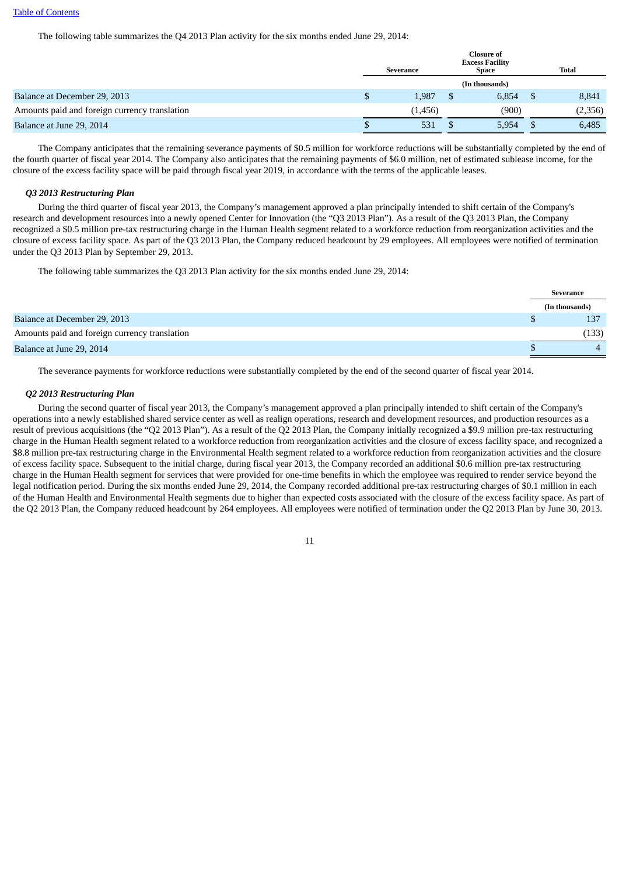The following table summarizes the Q4 2013 Plan activity for the six months ended June 29, 2014:

|                                               | Severance | <b>Closure of</b><br><b>Excess Facility</b><br><b>Space</b> |                | Total |         |
|-----------------------------------------------|-----------|-------------------------------------------------------------|----------------|-------|---------|
|                                               |           |                                                             | (In thousands) |       |         |
| Balance at December 29, 2013                  | 1,987     |                                                             | 6.854          |       | 8,841   |
| Amounts paid and foreign currency translation | (1,456)   |                                                             | (900)          |       | (2,356) |
| Balance at June 29, 2014                      | 531       |                                                             | 5,954          |       | 6,485   |

The Company anticipates that the remaining severance payments of \$0.5 million for workforce reductions will be substantially completed by the end of the fourth quarter of fiscal year 2014. The Company also anticipates that the remaining payments of \$6.0 million, net of estimated sublease income, for the closure of the excess facility space will be paid through fiscal year 2019, in accordance with the terms of the applicable leases.

#### *Q3 2013 Restructuring Plan*

During the third quarter of fiscal year 2013, the Company's management approved a plan principally intended to shift certain of the Company's research and development resources into a newly opened Center for Innovation (the "Q3 2013 Plan"). As a result of the Q3 2013 Plan, the Company recognized a \$0.5 million pre-tax restructuring charge in the Human Health segment related to a workforce reduction from reorganization activities and the closure of excess facility space. As part of the Q3 2013 Plan, the Company reduced headcount by 29 employees. All employees were notified of termination under the Q3 2013 Plan by September 29, 2013.

The following table summarizes the Q3 2013 Plan activity for the six months ended June 29, 2014:

|                                               | Severance      |
|-----------------------------------------------|----------------|
|                                               | (In thousands) |
| Balance at December 29, 2013                  |                |
| Amounts paid and foreign currency translation | (133)          |
| Balance at June 29, 2014                      |                |

The severance payments for workforce reductions were substantially completed by the end of the second quarter of fiscal year 2014.

#### *Q2 2013 Restructuring Plan*

During the second quarter of fiscal year 2013, the Company's management approved a plan principally intended to shift certain of the Company's operations into a newly established shared service center as well as realign operations, research and development resources, and production resources as a result of previous acquisitions (the "Q2 2013 Plan"). As a result of the Q2 2013 Plan, the Company initially recognized a \$9.9 million pre-tax restructuring charge in the Human Health segment related to a workforce reduction from reorganization activities and the closure of excess facility space, and recognized a \$8.8 million pre-tax restructuring charge in the Environmental Health segment related to a workforce reduction from reorganization activities and the closure of excess facility space. Subsequent to the initial charge, during fiscal year 2013, the Company recorded an additional \$0.6 million pre-tax restructuring charge in the Human Health segment for services that were provided for one-time benefits in which the employee was required to render service beyond the legal notification period. During the six months ended June 29, 2014, the Company recorded additional pre-tax restructuring charges of \$0.1 million in each of the Human Health and Environmental Health segments due to higher than expected costs associated with the closure of the excess facility space. As part of the Q2 2013 Plan, the Company reduced headcount by 264 employees. All employees were notified of termination under the Q2 2013 Plan by June 30, 2013.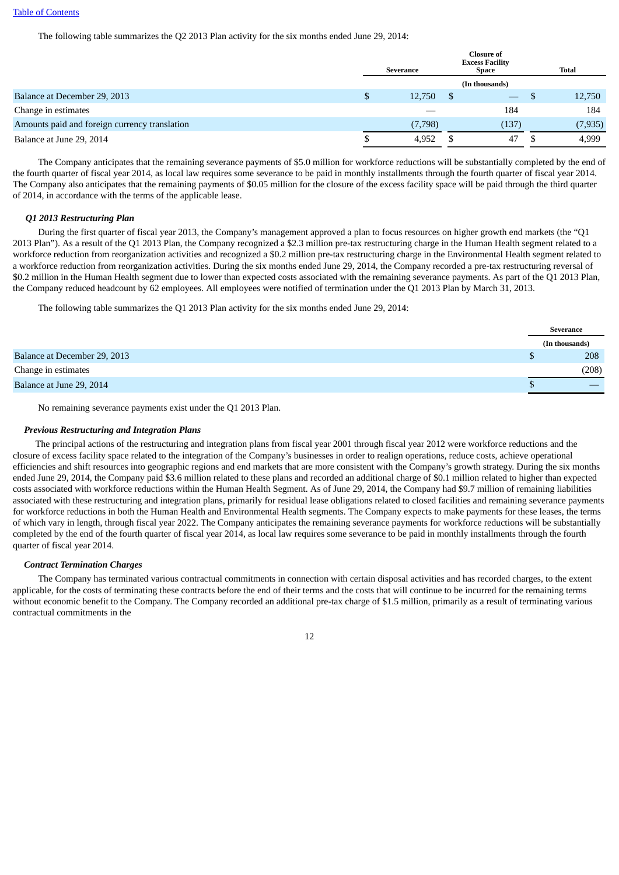The following table summarizes the Q2 2013 Plan activity for the six months ended June 29, 2014:

|                                               |   | Severance |     | <b>Closure of</b><br><b>Excess Facility</b><br>Space | <b>Total</b> |
|-----------------------------------------------|---|-----------|-----|------------------------------------------------------|--------------|
|                                               |   |           |     | (In thousands)                                       |              |
| Balance at December 29, 2013                  | S | 12,750    | \$. | $\qquad \qquad -$                                    | 12,750       |
| Change in estimates                           |   |           |     | 184                                                  | 184          |
| Amounts paid and foreign currency translation |   | (7,798)   |     | (137)                                                | (7, 935)     |
| Balance at June 29, 2014                      |   | 4,952     |     | 47                                                   | 4,999        |

The Company anticipates that the remaining severance payments of \$5.0 million for workforce reductions will be substantially completed by the end of the fourth quarter of fiscal year 2014, as local law requires some severance to be paid in monthly installments through the fourth quarter of fiscal year 2014. The Company also anticipates that the remaining payments of \$0.05 million for the closure of the excess facility space will be paid through the third quarter of 2014, in accordance with the terms of the applicable lease.

#### *Q1 2013 Restructuring Plan*

During the first quarter of fiscal year 2013, the Company's management approved a plan to focus resources on higher growth end markets (the "Q1 2013 Plan"). As a result of the Q1 2013 Plan, the Company recognized a \$2.3 million pre-tax restructuring charge in the Human Health segment related to a workforce reduction from reorganization activities and recognized a \$0.2 million pre-tax restructuring charge in the Environmental Health segment related to a workforce reduction from reorganization activities. During the six months ended June 29, 2014, the Company recorded a pre-tax restructuring reversal of \$0.2 million in the Human Health segment due to lower than expected costs associated with the remaining severance payments. As part of the Q1 2013 Plan, the Company reduced headcount by 62 employees. All employees were notified of termination under the Q1 2013 Plan by March 31, 2013.

The following table summarizes the Q1 2013 Plan activity for the six months ended June 29, 2014:

|                              | Severance      |
|------------------------------|----------------|
|                              | (In thousands) |
| Balance at December 29, 2013 | 208            |
| Change in estimates          | (208)          |
| Balance at June 29, 2014     |                |

No remaining severance payments exist under the Q1 2013 Plan.

#### *Previous Restructuring and Integration Plans*

The principal actions of the restructuring and integration plans from fiscal year 2001 through fiscal year 2012 were workforce reductions and the closure of excess facility space related to the integration of the Company's businesses in order to realign operations, reduce costs, achieve operational efficiencies and shift resources into geographic regions and end markets that are more consistent with the Company's growth strategy. During the six months ended June 29, 2014, the Company paid \$3.6 million related to these plans and recorded an additional charge of \$0.1 million related to higher than expected costs associated with workforce reductions within the Human Health Segment. As of June 29, 2014, the Company had \$9.7 million of remaining liabilities associated with these restructuring and integration plans, primarily for residual lease obligations related to closed facilities and remaining severance payments for workforce reductions in both the Human Health and Environmental Health segments. The Company expects to make payments for these leases, the terms of which vary in length, through fiscal year 2022. The Company anticipates the remaining severance payments for workforce reductions will be substantially completed by the end of the fourth quarter of fiscal year 2014, as local law requires some severance to be paid in monthly installments through the fourth quarter of fiscal year 2014.

#### *Contract Termination Charges*

The Company has terminated various contractual commitments in connection with certain disposal activities and has recorded charges, to the extent applicable, for the costs of terminating these contracts before the end of their terms and the costs that will continue to be incurred for the remaining terms without economic benefit to the Company. The Company recorded an additional pre-tax charge of \$1.5 million, primarily as a result of terminating various contractual commitments in the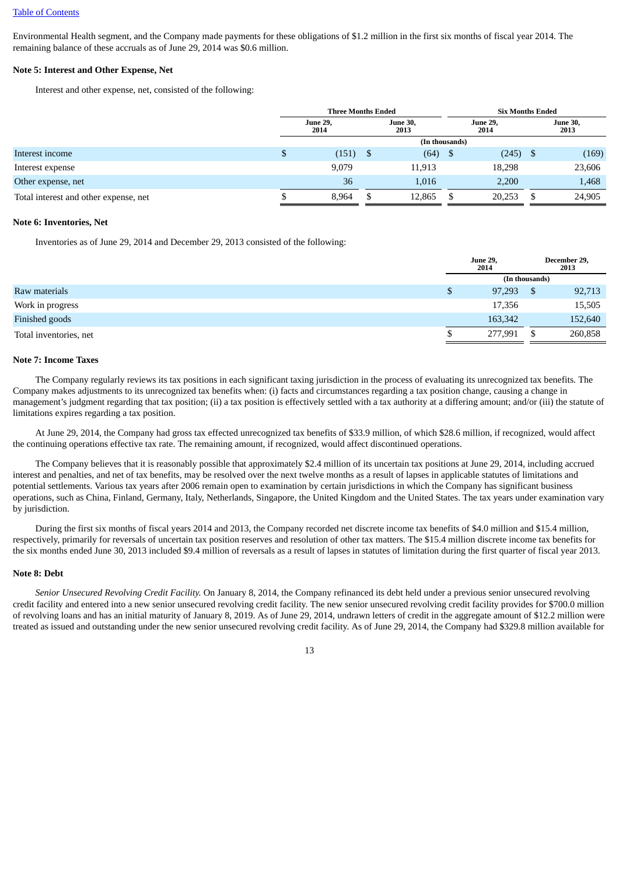# Table of [Contents](#page-0-0)

Environmental Health segment, and the Company made payments for these obligations of \$1.2 million in the first six months of fiscal year 2014. The remaining balance of these accruals as of June 29, 2014 was \$0.6 million.

#### **Note 5: Interest and Other Expense, Net**

Interest and other expense, net, consisted of the following:

|                                       | <b>Three Months Ended</b> |  |                         |      |                         | <b>Six Months Ended</b> |                         |
|---------------------------------------|---------------------------|--|-------------------------|------|-------------------------|-------------------------|-------------------------|
|                                       | <b>June 29,</b><br>2014   |  | <b>June 30,</b><br>2013 |      | <b>June 29,</b><br>2014 |                         | <b>June 30,</b><br>2013 |
|                                       | (In thousands)            |  |                         |      |                         |                         |                         |
| Interest income                       | \$<br>(151)               |  | (64)                    | - \$ | $(245)$ \$              |                         | (169)                   |
| Interest expense                      | 9,079                     |  | 11,913                  |      | 18,298                  |                         | 23,606                  |
| Other expense, net                    | 36                        |  | 1,016                   |      | 2,200                   |                         | 1,468                   |
| Total interest and other expense, net | 8,964                     |  | 12,865                  | S.   | 20,253                  |                         | 24,905                  |

#### **Note 6: Inventories, Net**

Inventories as of June 29, 2014 and December 29, 2013 consisted of the following:

|                        | <b>June 29,</b><br>2014 |                | December 29,<br>2013 |
|------------------------|-------------------------|----------------|----------------------|
|                        |                         | (In thousands) |                      |
| Raw materials          | \$<br>97,293            | - \$           | 92,713               |
| Work in progress       | 17,356                  |                | 15,505               |
| Finished goods         | 163,342                 |                | 152,640              |
| Total inventories, net | 277,991                 | S              | 260,858              |

# **Note 7: Income Taxes**

The Company regularly reviews its tax positions in each significant taxing jurisdiction in the process of evaluating its unrecognized tax benefits. The Company makes adjustments to its unrecognized tax benefits when: (i) facts and circumstances regarding a tax position change, causing a change in management's judgment regarding that tax position; (ii) a tax position is effectively settled with a tax authority at a differing amount; and/or (iii) the statute of limitations expires regarding a tax position.

At June 29, 2014, the Company had gross tax effected unrecognized tax benefits of \$33.9 million, of which \$28.6 million, if recognized, would affect the continuing operations effective tax rate. The remaining amount, if recognized, would affect discontinued operations.

The Company believes that it is reasonably possible that approximately \$2.4 million of its uncertain tax positions at June 29, 2014, including accrued interest and penalties, and net of tax benefits, may be resolved over the next twelve months as a result of lapses in applicable statutes of limitations and potential settlements. Various tax years after 2006 remain open to examination by certain jurisdictions in which the Company has significant business operations, such as China, Finland, Germany, Italy, Netherlands, Singapore, the United Kingdom and the United States. The tax years under examination vary by jurisdiction.

During the first six months of fiscal years 2014 and 2013, the Company recorded net discrete income tax benefits of \$4.0 million and \$15.4 million, respectively, primarily for reversals of uncertain tax position reserves and resolution of other tax matters. The \$15.4 million discrete income tax benefits for the six months ended June 30, 2013 included \$9.4 million of reversals as a result of lapses in statutes of limitation during the first quarter of fiscal year 2013.

#### **Note 8: Debt**

*Senior Unsecured Revolving Credit Facility.* On January 8, 2014, the Company refinanced its debt held under a previous senior unsecured revolving credit facility and entered into a new senior unsecured revolving credit facility. The new senior unsecured revolving credit facility provides for \$700.0 million of revolving loans and has an initial maturity of January 8, 2019. As of June 29, 2014, undrawn letters of credit in the aggregate amount of \$12.2 million were treated as issued and outstanding under the new senior unsecured revolving credit facility. As of June 29, 2014, the Company had \$329.8 million available for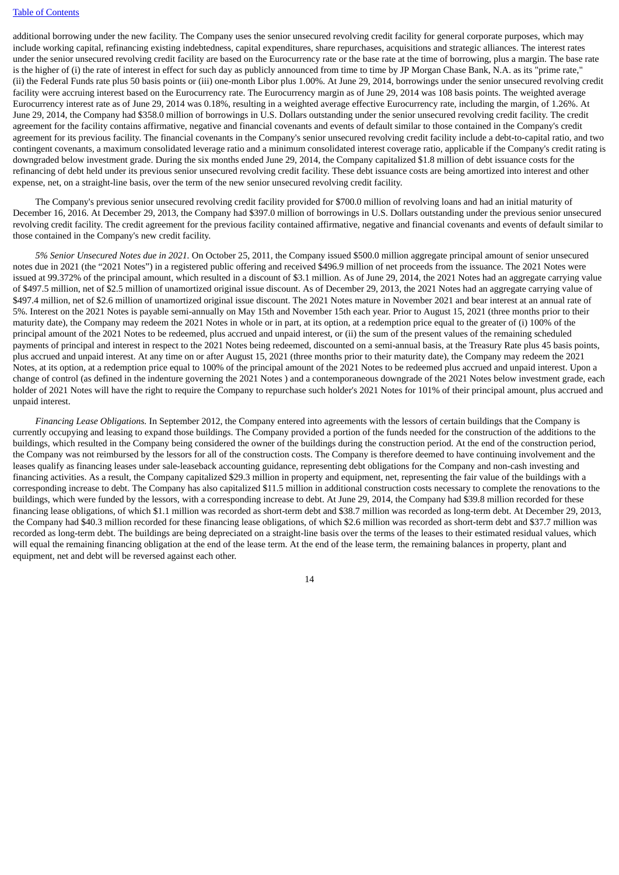additional borrowing under the new facility. The Company uses the senior unsecured revolving credit facility for general corporate purposes, which may include working capital, refinancing existing indebtedness, capital expenditures, share repurchases, acquisitions and strategic alliances. The interest rates under the senior unsecured revolving credit facility are based on the Eurocurrency rate or the base rate at the time of borrowing, plus a margin. The base rate is the higher of (i) the rate of interest in effect for such day as publicly announced from time to time by JP Morgan Chase Bank, N.A. as its "prime rate," (ii) the Federal Funds rate plus 50 basis points or (iii) one-month Libor plus 1.00%. At June 29, 2014, borrowings under the senior unsecured revolving credit facility were accruing interest based on the Eurocurrency rate. The Eurocurrency margin as of June 29, 2014 was 108 basis points. The weighted average Eurocurrency interest rate as of June 29, 2014 was 0.18%, resulting in a weighted average effective Eurocurrency rate, including the margin, of 1.26%. At June 29, 2014, the Company had \$358.0 million of borrowings in U.S. Dollars outstanding under the senior unsecured revolving credit facility. The credit agreement for the facility contains affirmative, negative and financial covenants and events of default similar to those contained in the Company's credit agreement for its previous facility. The financial covenants in the Company's senior unsecured revolving credit facility include a debt-to-capital ratio, and two contingent covenants, a maximum consolidated leverage ratio and a minimum consolidated interest coverage ratio, applicable if the Company's credit rating is downgraded below investment grade. During the six months ended June 29, 2014, the Company capitalized \$1.8 million of debt issuance costs for the refinancing of debt held under its previous senior unsecured revolving credit facility. These debt issuance costs are being amortized into interest and other expense, net, on a straight-line basis, over the term of the new senior unsecured revolving credit facility.

The Company's previous senior unsecured revolving credit facility provided for \$700.0 million of revolving loans and had an initial maturity of December 16, 2016. At December 29, 2013, the Company had \$397.0 million of borrowings in U.S. Dollars outstanding under the previous senior unsecured revolving credit facility. The credit agreement for the previous facility contained affirmative, negative and financial covenants and events of default similar to those contained in the Company's new credit facility.

*5% Senior Unsecured Notes due in 2021.* On October 25, 2011, the Company issued \$500.0 million aggregate principal amount of senior unsecured notes due in 2021 (the "2021 Notes") in a registered public offering and received \$496.9 million of net proceeds from the issuance. The 2021 Notes were issued at 99.372% of the principal amount, which resulted in a discount of \$3.1 million. As of June 29, 2014, the 2021 Notes had an aggregate carrying value of \$497.5 million, net of \$2.5 million of unamortized original issue discount. As of December 29, 2013, the 2021 Notes had an aggregate carrying value of \$497.4 million, net of \$2.6 million of unamortized original issue discount. The 2021 Notes mature in November 2021 and bear interest at an annual rate of 5%. Interest on the 2021 Notes is payable semi-annually on May 15th and November 15th each year. Prior to August 15, 2021 (three months prior to their maturity date), the Company may redeem the 2021 Notes in whole or in part, at its option, at a redemption price equal to the greater of (i) 100% of the principal amount of the 2021 Notes to be redeemed, plus accrued and unpaid interest, or (ii) the sum of the present values of the remaining scheduled payments of principal and interest in respect to the 2021 Notes being redeemed, discounted on a semi-annual basis, at the Treasury Rate plus 45 basis points, plus accrued and unpaid interest. At any time on or after August 15, 2021 (three months prior to their maturity date), the Company may redeem the 2021 Notes, at its option, at a redemption price equal to 100% of the principal amount of the 2021 Notes to be redeemed plus accrued and unpaid interest. Upon a change of control (as defined in the indenture governing the 2021 Notes ) and a contemporaneous downgrade of the 2021 Notes below investment grade, each holder of 2021 Notes will have the right to require the Company to repurchase such holder's 2021 Notes for 101% of their principal amount, plus accrued and unpaid interest.

*Financing Lease Obligations.* In September 2012, the Company entered into agreements with the lessors of certain buildings that the Company is currently occupying and leasing to expand those buildings. The Company provided a portion of the funds needed for the construction of the additions to the buildings, which resulted in the Company being considered the owner of the buildings during the construction period. At the end of the construction period, the Company was not reimbursed by the lessors for all of the construction costs. The Company is therefore deemed to have continuing involvement and the leases qualify as financing leases under sale-leaseback accounting guidance, representing debt obligations for the Company and non-cash investing and financing activities. As a result, the Company capitalized \$29.3 million in property and equipment, net, representing the fair value of the buildings with a corresponding increase to debt. The Company has also capitalized \$11.5 million in additional construction costs necessary to complete the renovations to the buildings, which were funded by the lessors, with a corresponding increase to debt. At June 29, 2014, the Company had \$39.8 million recorded for these financing lease obligations, of which \$1.1 million was recorded as short-term debt and \$38.7 million was recorded as long-term debt. At December 29, 2013, the Company had \$40.3 million recorded for these financing lease obligations, of which \$2.6 million was recorded as short-term debt and \$37.7 million was recorded as long-term debt. The buildings are being depreciated on a straight-line basis over the terms of the leases to their estimated residual values, which will equal the remaining financing obligation at the end of the lease term. At the end of the lease term, the remaining balances in property, plant and equipment, net and debt will be reversed against each other.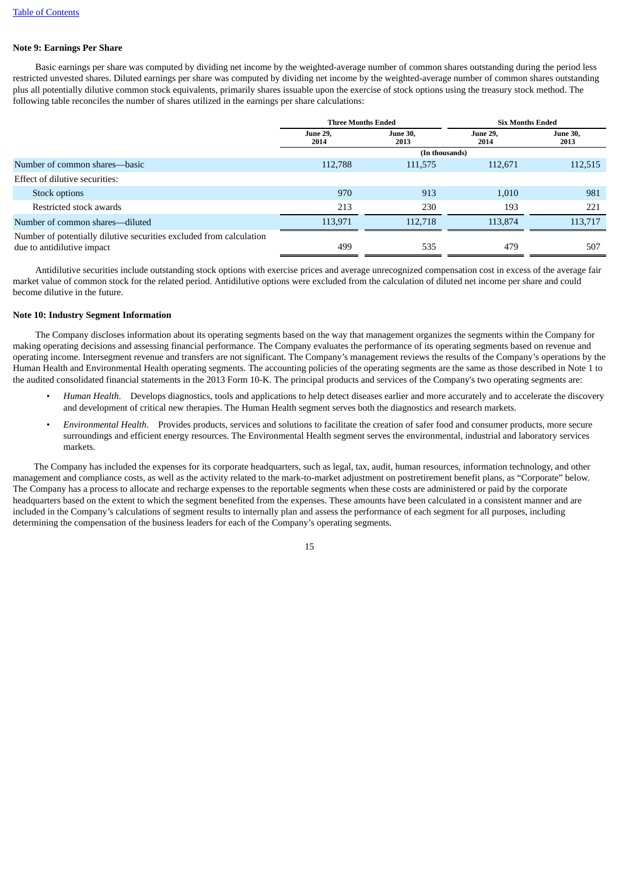# **Note 9: Earnings Per Share**

Basic earnings per share was computed by dividing net income by the weighted-average number of common shares outstanding during the period less restricted unvested shares. Diluted earnings per share was computed by dividing net income by the weighted-average number of common shares outstanding plus all potentially dilutive common stock equivalents, primarily shares issuable upon the exercise of stock options using the treasury stock method. The following table reconciles the number of shares utilized in the earnings per share calculations:

|                                                                                                   | <b>Three Months Ended</b> |                         |                         | <b>Six Months Ended</b> |
|---------------------------------------------------------------------------------------------------|---------------------------|-------------------------|-------------------------|-------------------------|
|                                                                                                   | <b>June 29.</b><br>2014   | <b>June 30,</b><br>2013 | <b>June 29,</b><br>2014 | <b>June 30,</b><br>2013 |
|                                                                                                   |                           | (In thousands)          |                         |                         |
| Number of common shares—basic                                                                     | 112,788                   | 111,575                 | 112.671                 | 112,515                 |
| Effect of dilutive securities:                                                                    |                           |                         |                         |                         |
| Stock options                                                                                     | 970                       | 913                     | 1,010                   | 981                     |
| Restricted stock awards                                                                           | 213                       | 230                     | 193                     | 221                     |
| Number of common shares—diluted                                                                   | 113.971                   | 112,718                 | 113,874                 | 113,717                 |
| Number of potentially dilutive securities excluded from calculation<br>due to antidilutive impact | 499                       | 535                     | 479                     | 507                     |

Antidilutive securities include outstanding stock options with exercise prices and average unrecognized compensation cost in excess of the average fair market value of common stock for the related period. Antidilutive options were excluded from the calculation of diluted net income per share and could become dilutive in the future.

#### **Note 10: Industry Segment Information**

The Company discloses information about its operating segments based on the way that management organizes the segments within the Company for making operating decisions and assessing financial performance. The Company evaluates the performance of its operating segments based on revenue and operating income. Intersegment revenue and transfers are not significant. The Company's management reviews the results of the Company's operations by the Human Health and Environmental Health operating segments. The accounting policies of the operating segments are the same as those described in Note 1 to the audited consolidated financial statements in the 2013 Form 10-K. The principal products and services of the Company's two operating segments are:

- *Human Health*. Develops diagnostics, tools and applications to help detect diseases earlier and more accurately and to accelerate the discovery and development of critical new therapies. The Human Health segment serves both the diagnostics and research markets.
- *Environmental Health*. Provides products, services and solutions to facilitate the creation of safer food and consumer products, more secure surroundings and efficient energy resources. The Environmental Health segment serves the environmental, industrial and laboratory services markets.

The Company has included the expenses for its corporate headquarters, such as legal, tax, audit, human resources, information technology, and other management and compliance costs, as well as the activity related to the mark-to-market adjustment on postretirement benefit plans, as "Corporate" below. The Company has a process to allocate and recharge expenses to the reportable segments when these costs are administered or paid by the corporate headquarters based on the extent to which the segment benefited from the expenses. These amounts have been calculated in a consistent manner and are included in the Company's calculations of segment results to internally plan and assess the performance of each segment for all purposes, including determining the compensation of the business leaders for each of the Company's operating segments.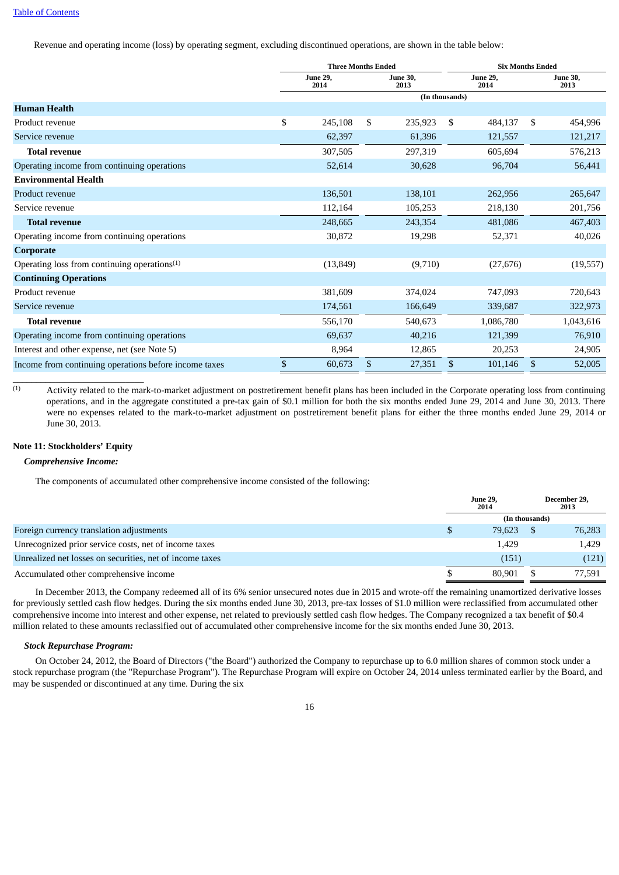Revenue and operating income (loss) by operating segment, excluding discontinued operations, are shown in the table below:

|                                                          | <b>Three Months Ended</b> |    |                         | <b>Six Months Ended</b> |                         |    |                         |
|----------------------------------------------------------|---------------------------|----|-------------------------|-------------------------|-------------------------|----|-------------------------|
|                                                          | <b>June 29,</b><br>2014   |    | <b>June 30,</b><br>2013 |                         | <b>June 29,</b><br>2014 |    | <b>June 30,</b><br>2013 |
|                                                          |                           |    | (In thousands)          |                         |                         |    |                         |
| <b>Human Health</b>                                      |                           |    |                         |                         |                         |    |                         |
| Product revenue                                          | \$<br>245,108             | \$ | 235,923                 | \$                      | 484,137                 | \$ | 454,996                 |
| Service revenue                                          | 62,397                    |    | 61,396                  |                         | 121,557                 |    | 121,217                 |
| <b>Total revenue</b>                                     | 307,505                   |    | 297,319                 |                         | 605,694                 |    | 576,213                 |
| Operating income from continuing operations              | 52,614                    |    | 30,628                  |                         | 96,704                  |    | 56,441                  |
| <b>Environmental Health</b>                              |                           |    |                         |                         |                         |    |                         |
| Product revenue                                          | 136,501                   |    | 138,101                 |                         | 262,956                 |    | 265,647                 |
| Service revenue                                          | 112,164                   |    | 105,253                 |                         | 218,130                 |    | 201,756                 |
| <b>Total revenue</b>                                     | 248,665                   |    | 243,354                 |                         | 481,086                 |    | 467,403                 |
| Operating income from continuing operations              | 30,872                    |    | 19,298                  |                         | 52,371                  |    | 40,026                  |
| Corporate                                                |                           |    |                         |                         |                         |    |                         |
| Operating loss from continuing operations <sup>(1)</sup> | (13, 849)                 |    | (9,710)                 |                         | (27, 676)               |    | (19, 557)               |
| <b>Continuing Operations</b>                             |                           |    |                         |                         |                         |    |                         |
| Product revenue                                          | 381,609                   |    | 374,024                 |                         | 747,093                 |    | 720,643                 |
| Service revenue                                          | 174,561                   |    | 166,649                 |                         | 339,687                 |    | 322,973                 |
| <b>Total revenue</b>                                     | 556,170                   |    | 540,673                 |                         | 1,086,780               |    | 1,043,616               |
| Operating income from continuing operations              | 69,637                    |    | 40,216                  |                         | 121,399                 |    | 76,910                  |
| Interest and other expense, net (see Note 5)             | 8,964                     |    | 12,865                  |                         | 20,253                  |    | 24,905                  |
| Income from continuing operations before income taxes    | \$<br>60,673              | \$ | 27,351                  | \$                      | 101,146                 | \$ | 52,005                  |

 $\overline{a}$  Activity related to the mark-to-market adjustment on postretirement benefit plans has been included in the Corporate operating loss from continuing operations, and in the aggregate constituted a pre-tax gain of \$0.1 million for both the six months ended June 29, 2014 and June 30, 2013. There were no expenses related to the mark-to-market adjustment on postretirement benefit plans for either the three months ended June 29, 2014 or June 30, 2013.

#### **Note 11: Stockholders' Equity**

\_\_\_\_\_\_\_\_\_\_\_\_\_\_\_\_\_\_\_\_\_\_\_\_\_\_\_\_

#### *Comprehensive Income:*

The components of accumulated other comprehensive income consisted of the following:

|                                                          | <b>June 29.</b><br>2014 |                | December 29,<br>2013 |
|----------------------------------------------------------|-------------------------|----------------|----------------------|
|                                                          |                         | (In thousands) |                      |
| Foreign currency translation adjustments                 | 79.623                  |                | 76,283               |
| Unrecognized prior service costs, net of income taxes    | 1.429                   |                | 1.429                |
| Unrealized net losses on securities, net of income taxes | (151)                   |                | (121)                |
| Accumulated other comprehensive income                   | 80.901                  |                | 77,591               |

In December 2013, the Company redeemed all of its 6% senior unsecured notes due in 2015 and wrote-off the remaining unamortized derivative losses for previously settled cash flow hedges. During the six months ended June 30, 2013, pre-tax losses of \$1.0 million were reclassified from accumulated other comprehensive income into interest and other expense, net related to previously settled cash flow hedges. The Company recognized a tax benefit of \$0.4 million related to these amounts reclassified out of accumulated other comprehensive income for the six months ended June 30, 2013.

#### *Stock Repurchase Program:*

On October 24, 2012, the Board of Directors ("the Board") authorized the Company to repurchase up to 6.0 million shares of common stock under a stock repurchase program (the "Repurchase Program"). The Repurchase Program will expire on October 24, 2014 unless terminated earlier by the Board, and may be suspended or discontinued at any time. During the six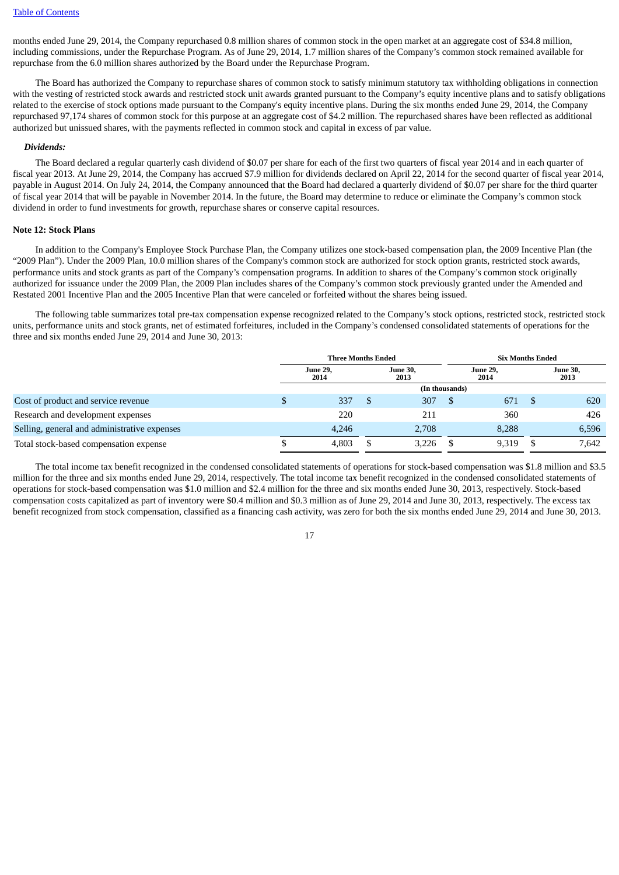months ended June 29, 2014, the Company repurchased 0.8 million shares of common stock in the open market at an aggregate cost of \$34.8 million, including commissions, under the Repurchase Program. As of June 29, 2014, 1.7 million shares of the Company's common stock remained available for repurchase from the 6.0 million shares authorized by the Board under the Repurchase Program.

The Board has authorized the Company to repurchase shares of common stock to satisfy minimum statutory tax withholding obligations in connection with the vesting of restricted stock awards and restricted stock unit awards granted pursuant to the Company's equity incentive plans and to satisfy obligations related to the exercise of stock options made pursuant to the Company's equity incentive plans. During the six months ended June 29, 2014, the Company repurchased 97,174 shares of common stock for this purpose at an aggregate cost of \$4.2 million. The repurchased shares have been reflected as additional authorized but unissued shares, with the payments reflected in common stock and capital in excess of par value.

#### *Dividends:*

The Board declared a regular quarterly cash dividend of \$0.07 per share for each of the first two quarters of fiscal year 2014 and in each quarter of fiscal year 2013. At June 29, 2014, the Company has accrued \$7.9 million for dividends declared on April 22, 2014 for the second quarter of fiscal year 2014, payable in August 2014. On July 24, 2014, the Company announced that the Board had declared a quarterly dividend of \$0.07 per share for the third quarter of fiscal year 2014 that will be payable in November 2014. In the future, the Board may determine to reduce or eliminate the Company's common stock dividend in order to fund investments for growth, repurchase shares or conserve capital resources.

#### **Note 12: Stock Plans**

In addition to the Company's Employee Stock Purchase Plan, the Company utilizes one stock-based compensation plan, the 2009 Incentive Plan (the "2009 Plan"). Under the 2009 Plan, 10.0 million shares of the Company's common stock are authorized for stock option grants, restricted stock awards, performance units and stock grants as part of the Company's compensation programs. In addition to shares of the Company's common stock originally authorized for issuance under the 2009 Plan, the 2009 Plan includes shares of the Company's common stock previously granted under the Amended and Restated 2001 Incentive Plan and the 2005 Incentive Plan that were canceled or forfeited without the shares being issued.

The following table summarizes total pre-tax compensation expense recognized related to the Company's stock options, restricted stock, restricted stock units, performance units and stock grants, net of estimated forfeitures, included in the Company's condensed consolidated statements of operations for the three and six months ended June 29, 2014 and June 30, 2013:

|                                              | <b>Three Months Ended</b> |  |                         |                | <b>Six Months Ended</b> |  |                         |
|----------------------------------------------|---------------------------|--|-------------------------|----------------|-------------------------|--|-------------------------|
|                                              | <b>June 29,</b><br>2014   |  | <b>June 30,</b><br>2013 |                | <b>June 29,</b><br>2014 |  | <b>June 30,</b><br>2013 |
|                                              |                           |  |                         | (In thousands) |                         |  |                         |
| Cost of product and service revenue          | \$<br>337                 |  | 307                     |                | 671                     |  | 620                     |
| Research and development expenses            | 220                       |  | 211                     |                | 360                     |  | 426                     |
| Selling, general and administrative expenses | 4.246                     |  | 2.708                   |                | 8.288                   |  | 6,596                   |
| Total stock-based compensation expense       | 4,803                     |  | 3,226                   |                | 9,319                   |  | 7,642                   |

The total income tax benefit recognized in the condensed consolidated statements of operations for stock-based compensation was \$1.8 million and \$3.5 million for the three and six months ended June 29, 2014, respectively. The total income tax benefit recognized in the condensed consolidated statements of operations for stock-based compensation was \$1.0 million and \$2.4 million for the three and six months ended June 30, 2013, respectively. Stock-based compensation costs capitalized as part of inventory were \$0.4 million and \$0.3 million as of June 29, 2014 and June 30, 2013, respectively. The excess tax benefit recognized from stock compensation, classified as a financing cash activity, was zero for both the six months ended June 29, 2014 and June 30, 2013.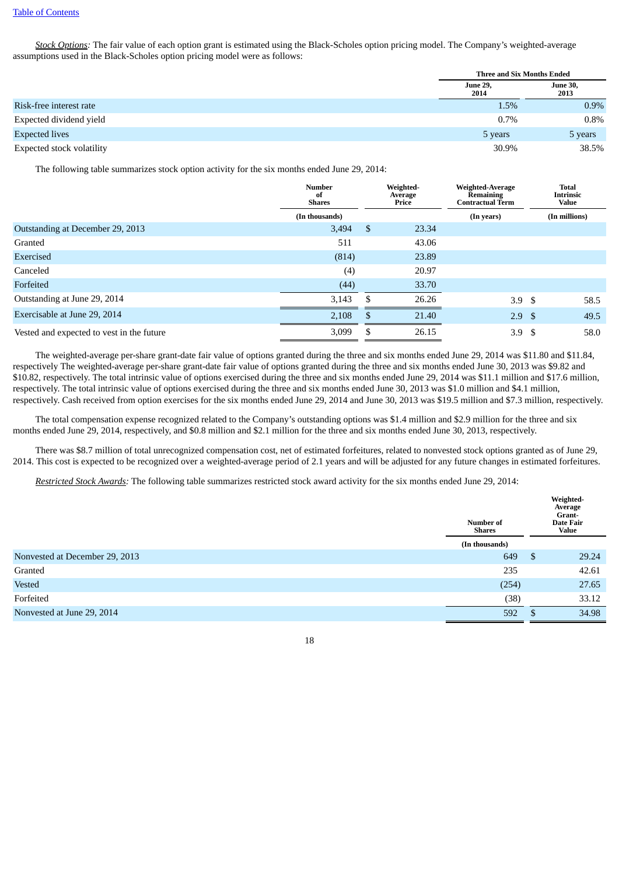*Stock Options:* The fair value of each option grant is estimated using the Black-Scholes option pricing model. The Company's weighted-average assumptions used in the Black-Scholes option pricing model were as follows:

|                                  | <b>Three and Six Months Ended</b> |                         |
|----------------------------------|-----------------------------------|-------------------------|
|                                  | <b>June 29,</b><br>2014           | <b>June 30,</b><br>2013 |
| Risk-free interest rate          | 1.5%                              | $0.9\%$                 |
| Expected dividend yield          | $0.7\%$                           | 0.8%                    |
| <b>Expected lives</b>            | 5 years                           | 5 years                 |
| <b>Expected stock volatility</b> | 30.9%                             | 38.5%                   |

The following table summarizes stock option activity for the six months ended June 29, 2014:

|                                           | Weighted-<br>Number<br>of<br>Average<br><b>Shares</b><br>Price |    | <b>Weighted-Average</b><br>Remaining<br><b>Contractual Term</b> |                | <b>Total</b><br><b>Intrinsic</b><br><b>Value</b> |               |
|-------------------------------------------|----------------------------------------------------------------|----|-----------------------------------------------------------------|----------------|--------------------------------------------------|---------------|
|                                           | (In thousands)                                                 |    |                                                                 | (In years)     |                                                  | (In millions) |
| Outstanding at December 29, 2013          | 3,494                                                          | \$ | 23.34                                                           |                |                                                  |               |
| Granted                                   | 511                                                            |    | 43.06                                                           |                |                                                  |               |
| Exercised                                 | (814)                                                          |    | 23.89                                                           |                |                                                  |               |
| Canceled                                  | (4)                                                            |    | 20.97                                                           |                |                                                  |               |
| Forfeited                                 | (44)                                                           |    | 33.70                                                           |                |                                                  |               |
| Outstanding at June 29, 2014              | 3,143                                                          |    | 26.26                                                           | 3.9 $\sqrt{5}$ |                                                  | 58.5          |
| Exercisable at June 29, 2014              | 2,108                                                          |    | 21.40                                                           | 2.9            | - \$                                             | 49.5          |
| Vested and expected to vest in the future | 3,099                                                          | S  | 26.15                                                           | 3.9            | - \$                                             | 58.0          |

The weighted-average per-share grant-date fair value of options granted during the three and six months ended June 29, 2014 was \$11.80 and \$11.84, respectively The weighted-average per-share grant-date fair value of options granted during the three and six months ended June 30, 2013 was \$9.82 and \$10.82, respectively. The total intrinsic value of options exercised during the three and six months ended June 29, 2014 was \$11.1 million and \$17.6 million, respectively. The total intrinsic value of options exercised during the three and six months ended June 30, 2013 was \$1.0 million and \$4.1 million, respectively. Cash received from option exercises for the six months ended June 29, 2014 and June 30, 2013 was \$19.5 million and \$7.3 million, respectively.

The total compensation expense recognized related to the Company's outstanding options was \$1.4 million and \$2.9 million for the three and six months ended June 29, 2014, respectively, and \$0.8 million and \$2.1 million for the three and six months ended June 30, 2013, respectively.

There was \$8.7 million of total unrecognized compensation cost, net of estimated forfeitures, related to nonvested stock options granted as of June 29, 2014. This cost is expected to be recognized over a weighted-average period of 2.1 years and will be adjusted for any future changes in estimated forfeitures.

*Restricted Stock Awards:* The following table summarizes restricted stock award activity for the six months ended June 29, 2014:

|                                | Number of<br><b>Shares</b> |     | Weighted-<br>Average<br>Grant-<br>Date Fair<br><b>Value</b> |
|--------------------------------|----------------------------|-----|-------------------------------------------------------------|
|                                | (In thousands)             |     |                                                             |
| Nonvested at December 29, 2013 | 649                        | -\$ | 29.24                                                       |
| Granted                        | 235                        |     | 42.61                                                       |
| Vested                         | (254)                      |     | 27.65                                                       |
| Forfeited                      | (38)                       |     | 33.12                                                       |
| Nonvested at June 29, 2014     | 592                        | S   | 34.98                                                       |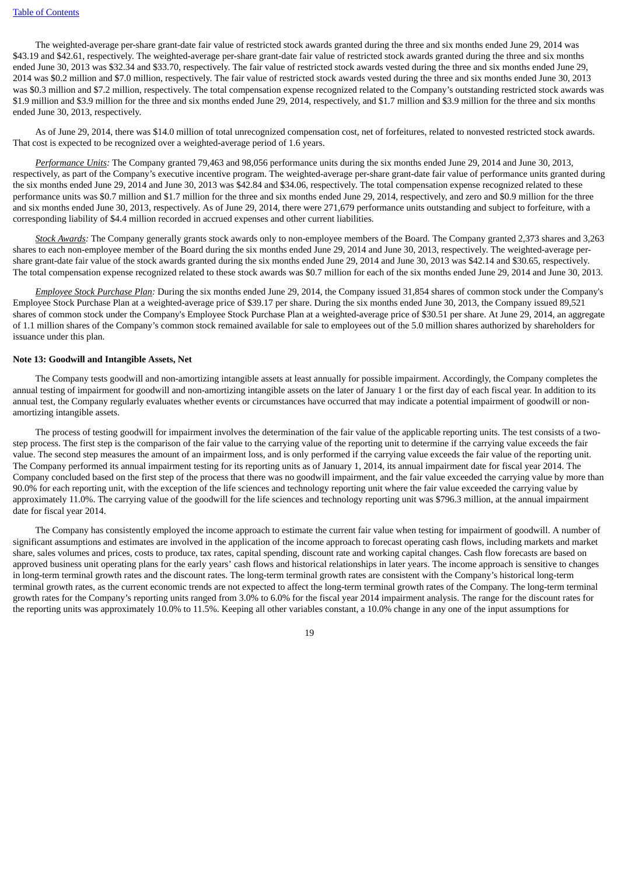The weighted-average per-share grant-date fair value of restricted stock awards granted during the three and six months ended June 29, 2014 was \$43.19 and \$42.61, respectively. The weighted-average per-share grant-date fair value of restricted stock awards granted during the three and six months ended June 30, 2013 was \$32.34 and \$33.70, respectively. The fair value of restricted stock awards vested during the three and six months ended June 29, 2014 was \$0.2 million and \$7.0 million, respectively. The fair value of restricted stock awards vested during the three and six months ended June 30, 2013 was \$0.3 million and \$7.2 million, respectively. The total compensation expense recognized related to the Company's outstanding restricted stock awards was \$1.9 million and \$3.9 million for the three and six months ended June 29, 2014, respectively, and \$1.7 million and \$3.9 million for the three and six months ended June 30, 2013, respectively.

As of June 29, 2014, there was \$14.0 million of total unrecognized compensation cost, net of forfeitures, related to nonvested restricted stock awards. That cost is expected to be recognized over a weighted-average period of 1.6 years.

*Performance Units:* The Company granted 79,463 and 98,056 performance units during the six months ended June 29, 2014 and June 30, 2013, respectively, as part of the Company's executive incentive program. The weighted-average per-share grant-date fair value of performance units granted during the six months ended June 29, 2014 and June 30, 2013 was \$42.84 and \$34.06, respectively. The total compensation expense recognized related to these performance units was \$0.7 million and \$1.7 million for the three and six months ended June 29, 2014, respectively, and zero and \$0.9 million for the three and six months ended June 30, 2013, respectively. As of June 29, 2014, there were 271,679 performance units outstanding and subject to forfeiture, with a corresponding liability of \$4.4 million recorded in accrued expenses and other current liabilities.

*Stock Awards:* The Company generally grants stock awards only to non-employee members of the Board. The Company granted 2,373 shares and 3,263 shares to each non-employee member of the Board during the six months ended June 29, 2014 and June 30, 2013, respectively. The weighted-average pershare grant-date fair value of the stock awards granted during the six months ended June 29, 2014 and June 30, 2013 was \$42.14 and \$30.65, respectively. The total compensation expense recognized related to these stock awards was \$0.7 million for each of the six months ended June 29, 2014 and June 30, 2013.

*Employee Stock Purchase Plan:* During the six months ended June 29, 2014, the Company issued 31,854 shares of common stock under the Company's Employee Stock Purchase Plan at a weighted-average price of \$39.17 per share. During the six months ended June 30, 2013, the Company issued 89,521 shares of common stock under the Company's Employee Stock Purchase Plan at a weighted-average price of \$30.51 per share. At June 29, 2014, an aggregate of 1.1 million shares of the Company's common stock remained available for sale to employees out of the 5.0 million shares authorized by shareholders for issuance under this plan.

#### **Note 13: Goodwill and Intangible Assets, Net**

The Company tests goodwill and non-amortizing intangible assets at least annually for possible impairment. Accordingly, the Company completes the annual testing of impairment for goodwill and non-amortizing intangible assets on the later of January 1 or the first day of each fiscal year. In addition to its annual test, the Company regularly evaluates whether events or circumstances have occurred that may indicate a potential impairment of goodwill or nonamortizing intangible assets.

The process of testing goodwill for impairment involves the determination of the fair value of the applicable reporting units. The test consists of a twostep process. The first step is the comparison of the fair value to the carrying value of the reporting unit to determine if the carrying value exceeds the fair value. The second step measures the amount of an impairment loss, and is only performed if the carrying value exceeds the fair value of the reporting unit. The Company performed its annual impairment testing for its reporting units as of January 1, 2014, its annual impairment date for fiscal year 2014. The Company concluded based on the first step of the process that there was no goodwill impairment, and the fair value exceeded the carrying value by more than 90.0% for each reporting unit, with the exception of the life sciences and technology reporting unit where the fair value exceeded the carrying value by approximately 11.0%. The carrying value of the goodwill for the life sciences and technology reporting unit was \$796.3 million, at the annual impairment date for fiscal year 2014.

The Company has consistently employed the income approach to estimate the current fair value when testing for impairment of goodwill. A number of significant assumptions and estimates are involved in the application of the income approach to forecast operating cash flows, including markets and market share, sales volumes and prices, costs to produce, tax rates, capital spending, discount rate and working capital changes. Cash flow forecasts are based on approved business unit operating plans for the early years' cash flows and historical relationships in later years. The income approach is sensitive to changes in long-term terminal growth rates and the discount rates. The long-term terminal growth rates are consistent with the Company's historical long-term terminal growth rates, as the current economic trends are not expected to affect the long-term terminal growth rates of the Company. The long-term terminal growth rates for the Company's reporting units ranged from 3.0% to 6.0% for the fiscal year 2014 impairment analysis. The range for the discount rates for the reporting units was approximately 10.0% to 11.5%. Keeping all other variables constant, a 10.0% change in any one of the input assumptions for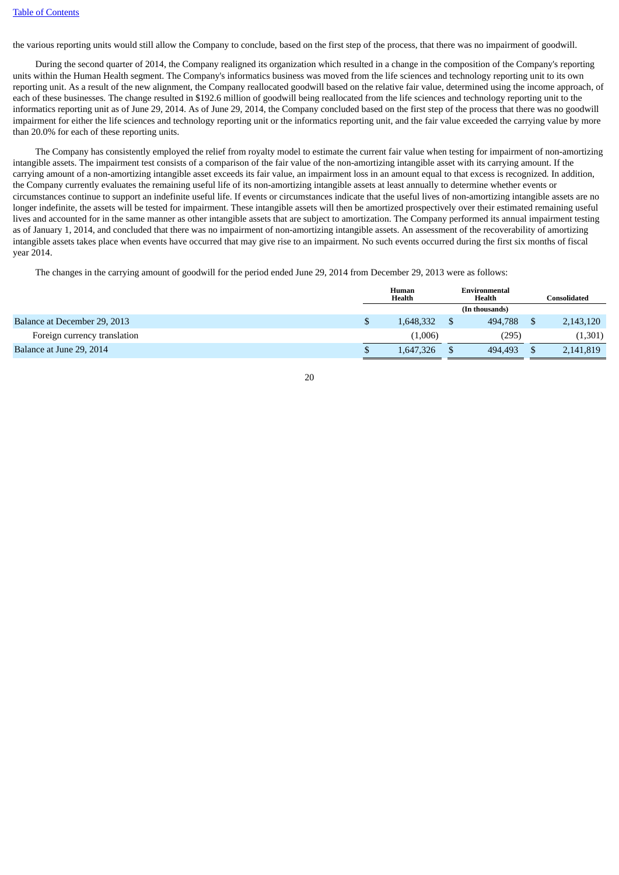the various reporting units would still allow the Company to conclude, based on the first step of the process, that there was no impairment of goodwill.

During the second quarter of 2014, the Company realigned its organization which resulted in a change in the composition of the Company's reporting units within the Human Health segment. The Company's informatics business was moved from the life sciences and technology reporting unit to its own reporting unit. As a result of the new alignment, the Company reallocated goodwill based on the relative fair value, determined using the income approach, of each of these businesses. The change resulted in \$192.6 million of goodwill being reallocated from the life sciences and technology reporting unit to the informatics reporting unit as of June 29, 2014. As of June 29, 2014, the Company concluded based on the first step of the process that there was no goodwill impairment for either the life sciences and technology reporting unit or the informatics reporting unit, and the fair value exceeded the carrying value by more than 20.0% for each of these reporting units.

The Company has consistently employed the relief from royalty model to estimate the current fair value when testing for impairment of non-amortizing intangible assets. The impairment test consists of a comparison of the fair value of the non-amortizing intangible asset with its carrying amount. If the carrying amount of a non-amortizing intangible asset exceeds its fair value, an impairment loss in an amount equal to that excess is recognized*.* In addition, the Company currently evaluates the remaining useful life of its non-amortizing intangible assets at least annually to determine whether events or circumstances continue to support an indefinite useful life. If events or circumstances indicate that the useful lives of non-amortizing intangible assets are no longer indefinite, the assets will be tested for impairment. These intangible assets will then be amortized prospectively over their estimated remaining useful lives and accounted for in the same manner as other intangible assets that are subject to amortization. The Company performed its annual impairment testing as of January 1, 2014, and concluded that there was no impairment of non-amortizing intangible assets. An assessment of the recoverability of amortizing intangible assets takes place when events have occurred that may give rise to an impairment. No such events occurred during the first six months of fiscal year 2014.

The changes in the carrying amount of goodwill for the period ended June 29, 2014 from December 29, 2013 were as follows:

|                              | Human<br>Health |  | Environmental<br>Health |           | Consolidated |
|------------------------------|-----------------|--|-------------------------|-----------|--------------|
|                              |                 |  | (In thousands)          |           |              |
| Balance at December 29, 2013 | 1.648.332       |  | 494,788                 | 2,143,120 |              |
| Foreign currency translation | (1,006)         |  | (295)                   | (1,301)   |              |
| Balance at June 29, 2014     | 1,647,326       |  | 494,493                 | 2,141,819 |              |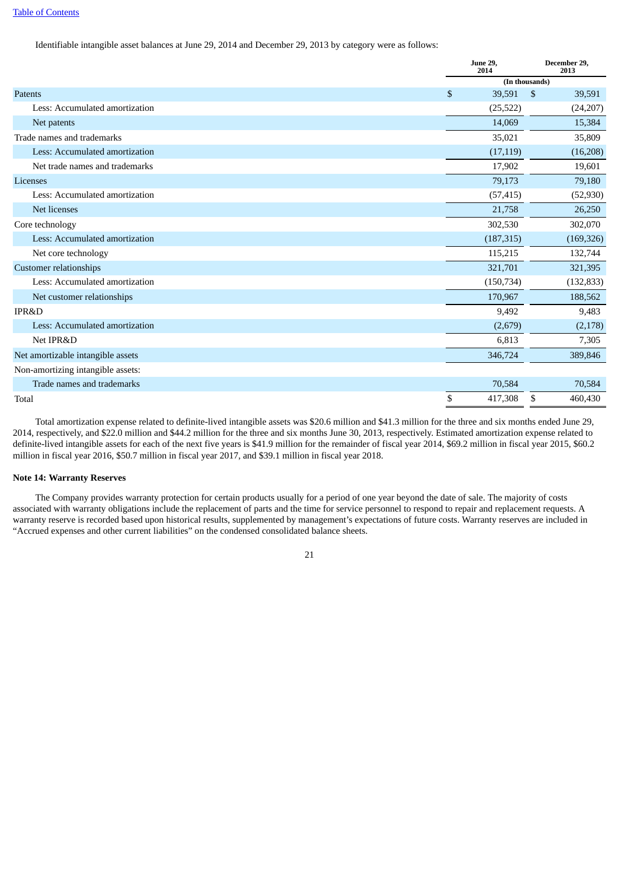Identifiable intangible asset balances at June 29, 2014 and December 29, 2013 by category were as follows:

|                                   | <b>June 29,</b><br>2014 |            |                    | December 29,<br>2013 |
|-----------------------------------|-------------------------|------------|--------------------|----------------------|
|                                   |                         |            | (In thousands)     |                      |
| Patents                           | $\mathfrak{S}$          | 39,591     | $\mathbf{\hat{S}}$ | 39,591               |
| Less: Accumulated amortization    |                         | (25, 522)  |                    | (24,207)             |
| Net patents                       |                         | 14,069     |                    | 15,384               |
| Trade names and trademarks        |                         | 35,021     |                    | 35,809               |
| Less: Accumulated amortization    |                         | (17, 119)  |                    | (16, 208)            |
| Net trade names and trademarks    |                         | 17,902     |                    | 19,601               |
| <b>Licenses</b>                   |                         | 79,173     |                    | 79,180               |
| Less: Accumulated amortization    |                         | (57, 415)  |                    | (52, 930)            |
| Net licenses                      |                         | 21,758     |                    | 26,250               |
| Core technology                   |                         | 302,530    |                    | 302,070              |
| Less: Accumulated amortization    |                         | (187, 315) |                    | (169, 326)           |
| Net core technology               |                         | 115,215    |                    | 132,744              |
| <b>Customer relationships</b>     |                         | 321,701    |                    | 321,395              |
| Less: Accumulated amortization    |                         | (150, 734) |                    | (132, 833)           |
| Net customer relationships        |                         | 170,967    |                    | 188,562              |
| <b>IPR&amp;D</b>                  |                         | 9,492      |                    | 9,483                |
| Less: Accumulated amortization    |                         | (2,679)    |                    | (2,178)              |
| Net IPR&D                         |                         | 6,813      |                    | 7,305                |
| Net amortizable intangible assets |                         | 346,724    |                    | 389,846              |
| Non-amortizing intangible assets: |                         |            |                    |                      |
| Trade names and trademarks        |                         | 70,584     |                    | 70,584               |
| Total                             | \$                      | 417,308    | \$                 | 460,430              |
|                                   |                         |            |                    |                      |

Total amortization expense related to definite-lived intangible assets was \$20.6 million and \$41.3 million for the three and six months ended June 29, 2014, respectively, and \$22.0 million and \$44.2 million for the three and six months June 30, 2013, respectively. Estimated amortization expense related to definite-lived intangible assets for each of the next five years is \$41.9 million for the remainder of fiscal year 2014, \$69.2 million in fiscal year 2015, \$60.2 million in fiscal year 2016, \$50.7 million in fiscal year 2017, and \$39.1 million in fiscal year 2018.

#### **Note 14: Warranty Reserves**

The Company provides warranty protection for certain products usually for a period of one year beyond the date of sale. The majority of costs associated with warranty obligations include the replacement of parts and the time for service personnel to respond to repair and replacement requests. A warranty reserve is recorded based upon historical results, supplemented by management's expectations of future costs. Warranty reserves are included in "Accrued expenses and other current liabilities" on the condensed consolidated balance sheets.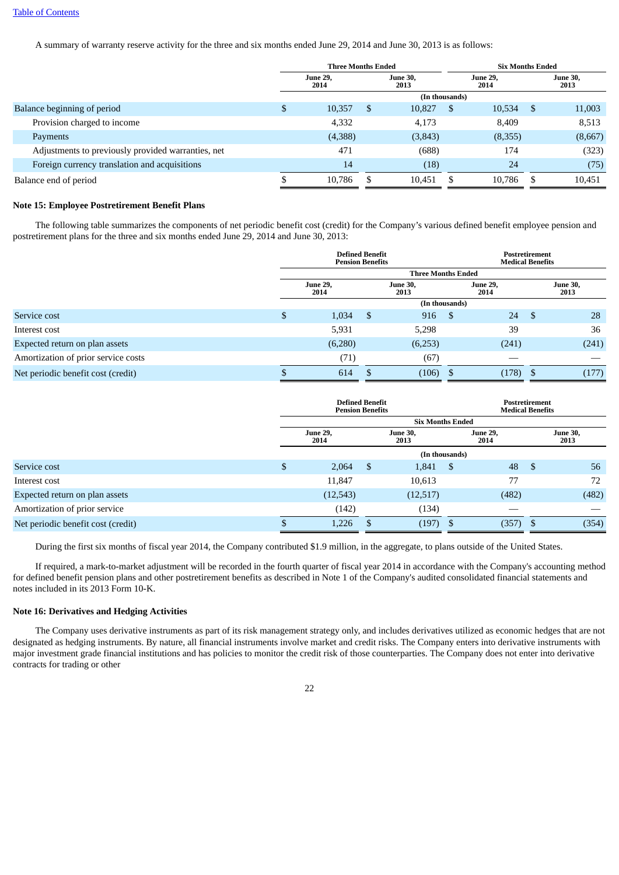A summary of warranty reserve activity for the three and six months ended June 29, 2014 and June 30, 2013 is as follows:

|                                                    | <b>Three Months Ended</b> |                         |   | <b>Six Months Ended</b> |               |                         |      |                         |
|----------------------------------------------------|---------------------------|-------------------------|---|-------------------------|---------------|-------------------------|------|-------------------------|
|                                                    |                           | <b>June 29,</b><br>2014 |   | <b>June 30,</b><br>2013 |               | <b>June 29,</b><br>2014 |      | <b>June 30,</b><br>2013 |
|                                                    |                           |                         |   | (In thousands)          |               |                         |      |                         |
| Balance beginning of period                        | \$                        | 10,357                  | S | 10,827                  | <sup>\$</sup> | 10,534                  | - \$ | 11,003                  |
| Provision charged to income                        |                           | 4,332                   |   | 4,173                   |               | 8,409                   |      | 8,513                   |
| <b>Payments</b>                                    |                           | (4,388)                 |   | (3, 843)                |               | (8,355)                 |      | (8,667)                 |
| Adjustments to previously provided warranties, net |                           | 471                     |   | (688)                   |               | 174                     |      | (323)                   |
| Foreign currency translation and acquisitions      |                           | 14                      |   | (18)                    |               | 24                      |      | (75)                    |
| Balance end of period                              |                           | 10,786                  |   | 10,451                  |               | 10,786                  |      | 10,451                  |

#### **Note 15: Employee Postretirement Benefit Plans**

The following table summarizes the components of net periodic benefit cost (credit) for the Company's various defined benefit employee pension and postretirement plans for the three and six months ended June 29, 2014 and June 30, 2013:

|                                     |    | <b>Defined Benefit</b><br><b>Pension Benefits</b> |    |                           |    | Postretirement<br><b>Medical Benefits</b> |      |                         |
|-------------------------------------|----|---------------------------------------------------|----|---------------------------|----|-------------------------------------------|------|-------------------------|
|                                     |    |                                                   |    | <b>Three Months Ended</b> |    |                                           |      |                         |
|                                     |    | <b>June 29.</b><br>2014                           |    | <b>June 30,</b><br>2013   |    | <b>June 29.</b><br>2014                   |      | <b>June 30,</b><br>2013 |
|                                     |    |                                                   |    | (In thousands)            |    |                                           |      |                         |
| Service cost                        | \$ | 1,034                                             | -S | 916                       | -S | 24                                        | - \$ | 28                      |
| Interest cost                       |    | 5,931                                             |    | 5,298                     |    | 39                                        |      | 36                      |
| Expected return on plan assets      |    | (6,280)                                           |    | (6,253)                   |    | (241)                                     |      | (241)                   |
| Amortization of prior service costs |    | (71)                                              |    | (67)                      |    |                                           |      |                         |
| Net periodic benefit cost (credit)  | Φ  | 614                                               |    | (106)                     |    | (178)                                     | - \$ | (177)                   |

|                                    | <b>Defined Benefit</b><br><b>Pension Benefits</b> |                         |     |                         | Postretirement<br><b>Medical Benefits</b> |                         |      |                         |
|------------------------------------|---------------------------------------------------|-------------------------|-----|-------------------------|-------------------------------------------|-------------------------|------|-------------------------|
|                                    |                                                   |                         |     | <b>Six Months Ended</b> |                                           |                         |      |                         |
|                                    |                                                   | <b>June 29,</b><br>2014 |     | <b>June 30,</b><br>2013 |                                           | <b>June 29,</b><br>2014 |      | <b>June 30,</b><br>2013 |
|                                    |                                                   |                         |     | (In thousands)          |                                           |                         |      |                         |
| Service cost                       | \$                                                | 2,064                   | -\$ | 1,841                   | -\$                                       | 48                      | - \$ | 56                      |
| Interest cost                      |                                                   | 11,847                  |     | 10,613                  |                                           | 77                      |      | 72                      |
| Expected return on plan assets     |                                                   | (12, 543)               |     | (12,517)                |                                           | (482)                   |      | (482)                   |
| Amortization of prior service      |                                                   | (142)                   |     | (134)                   |                                           |                         |      |                         |
| Net periodic benefit cost (credit) |                                                   | 1,226                   |     | (197)                   | - \$                                      | (357)                   | - \$ | (354)                   |

During the first six months of fiscal year 2014, the Company contributed \$1.9 million, in the aggregate, to plans outside of the United States.

If required, a mark-to-market adjustment will be recorded in the fourth quarter of fiscal year 2014 in accordance with the Company's accounting method for defined benefit pension plans and other postretirement benefits as described in Note 1 of the Company's audited consolidated financial statements and notes included in its 2013 Form 10-K.

# **Note 16: Derivatives and Hedging Activities**

The Company uses derivative instruments as part of its risk management strategy only, and includes derivatives utilized as economic hedges that are not designated as hedging instruments. By nature, all financial instruments involve market and credit risks. The Company enters into derivative instruments with major investment grade financial institutions and has policies to monitor the credit risk of those counterparties. The Company does not enter into derivative contracts for trading or other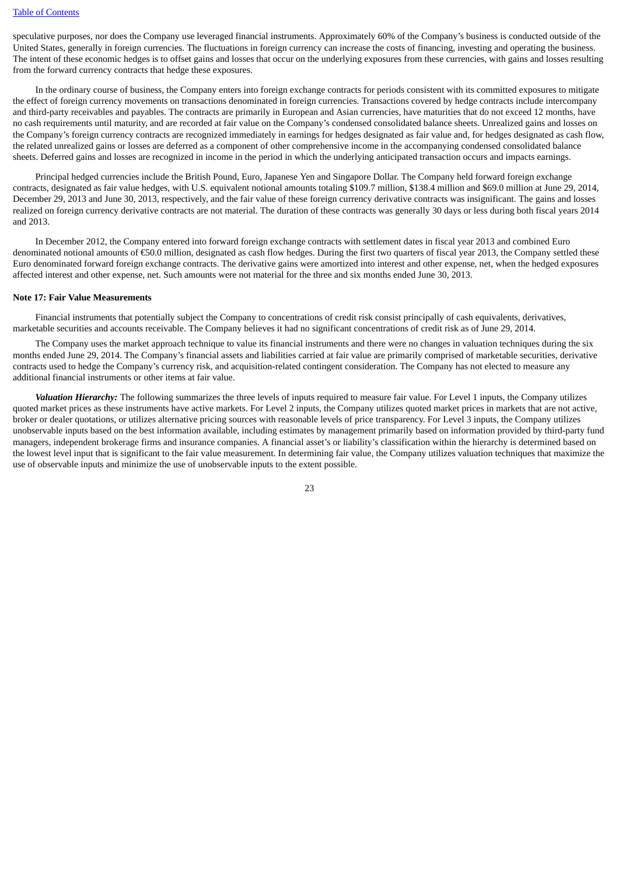speculative purposes, nor does the Company use leveraged financial instruments. Approximately 60% of the Company's business is conducted outside of the United States, generally in foreign currencies. The fluctuations in foreign currency can increase the costs of financing, investing and operating the business. The intent of these economic hedges is to offset gains and losses that occur on the underlying exposures from these currencies, with gains and losses resulting from the forward currency contracts that hedge these exposures.

In the ordinary course of business, the Company enters into foreign exchange contracts for periods consistent with its committed exposures to mitigate the effect of foreign currency movements on transactions denominated in foreign currencies. Transactions covered by hedge contracts include intercompany and third-party receivables and payables. The contracts are primarily in European and Asian currencies, have maturities that do not exceed 12 months, have no cash requirements until maturity, and are recorded at fair value on the Company's condensed consolidated balance sheets. Unrealized gains and losses on the Company's foreign currency contracts are recognized immediately in earnings for hedges designated as fair value and, for hedges designated as cash flow, the related unrealized gains or losses are deferred as a component of other comprehensive income in the accompanying condensed consolidated balance sheets. Deferred gains and losses are recognized in income in the period in which the underlying anticipated transaction occurs and impacts earnings.

Principal hedged currencies include the British Pound, Euro, Japanese Yen and Singapore Dollar. The Company held forward foreign exchange contracts, designated as fair value hedges, with U.S. equivalent notional amounts totaling \$109.7 million, \$138.4 million and \$69.0 million at June 29, 2014, December 29, 2013 and June 30, 2013, respectively, and the fair value of these foreign currency derivative contracts was insignificant. The gains and losses realized on foreign currency derivative contracts are not material. The duration of these contracts was generally 30 days or less during both fiscal years 2014 and 2013.

In December 2012, the Company entered into forward foreign exchange contracts with settlement dates in fiscal year 2013 and combined Euro denominated notional amounts of €50.0 million, designated as cash flow hedges. During the first two quarters of fiscal year 2013, the Company settled these Euro denominated forward foreign exchange contracts. The derivative gains were amortized into interest and other expense, net, when the hedged exposures affected interest and other expense, net. Such amounts were not material for the three and six months ended June 30, 2013.

#### **Note 17: Fair Value Measurements**

Financial instruments that potentially subject the Company to concentrations of credit risk consist principally of cash equivalents, derivatives, marketable securities and accounts receivable. The Company believes it had no significant concentrations of credit risk as of June 29, 2014.

The Company uses the market approach technique to value its financial instruments and there were no changes in valuation techniques during the six months ended June 29, 2014. The Company's financial assets and liabilities carried at fair value are primarily comprised of marketable securities, derivative contracts used to hedge the Company's currency risk, and acquisition-related contingent consideration. The Company has not elected to measure any additional financial instruments or other items at fair value.

*Valuation Hierarchy:* The following summarizes the three levels of inputs required to measure fair value. For Level 1 inputs, the Company utilizes quoted market prices as these instruments have active markets. For Level 2 inputs, the Company utilizes quoted market prices in markets that are not active, broker or dealer quotations, or utilizes alternative pricing sources with reasonable levels of price transparency. For Level 3 inputs, the Company utilizes unobservable inputs based on the best information available, including estimates by management primarily based on information provided by third-party fund managers, independent brokerage firms and insurance companies. A financial asset's or liability's classification within the hierarchy is determined based on the lowest level input that is significant to the fair value measurement. In determining fair value, the Company utilizes valuation techniques that maximize the use of observable inputs and minimize the use of unobservable inputs to the extent possible.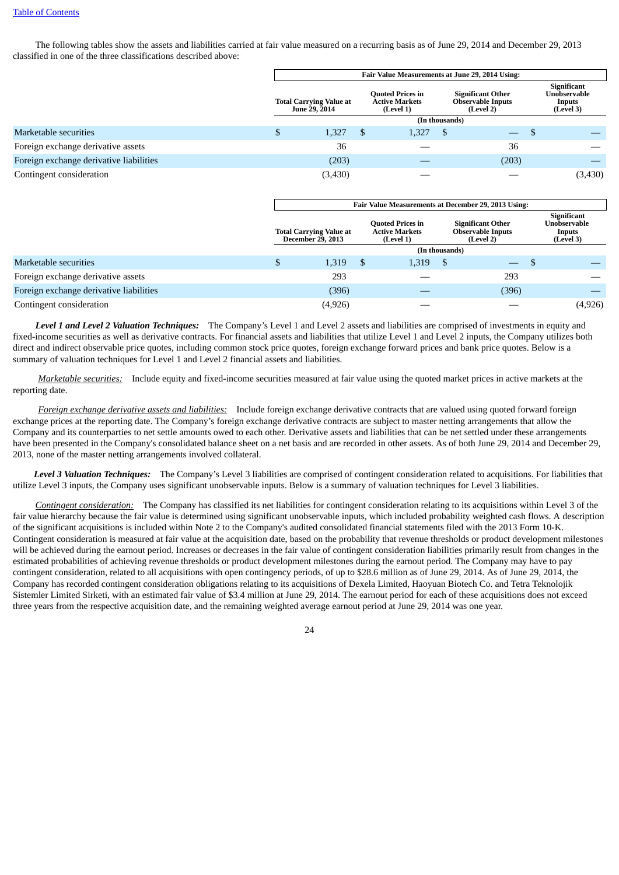The following tables show the assets and liabilities carried at fair value measured on a recurring basis as of June 29, 2014 and December 29, 2013 classified in one of the three classifications described above:

|                                         | Fair Value Measurements at June 29, 2014 Using: |          |   |                |                                                                                           |                          |   |                                                           |
|-----------------------------------------|-------------------------------------------------|----------|---|----------------|-------------------------------------------------------------------------------------------|--------------------------|---|-----------------------------------------------------------|
|                                         | <b>Total Carrying Value at</b><br>June 29, 2014 |          |   |                | <b>Quoted Prices in</b><br><b>Active Markets</b><br><b>Observable Inputs</b><br>(Level 1) |                          |   | Significant<br>Unobservable<br><b>Inputs</b><br>(Level 3) |
|                                         |                                                 |          |   | (In thousands) |                                                                                           |                          |   |                                                           |
| Marketable securities                   | S                                               | 1,327    | S | 1,327          | - \$                                                                                      | $\overline{\phantom{m}}$ | S |                                                           |
| Foreign exchange derivative assets      |                                                 | 36       |   |                |                                                                                           | 36                       |   |                                                           |
| Foreign exchange derivative liabilities |                                                 | (203)    |   |                |                                                                                           | (203)                    |   |                                                           |
| Contingent consideration                |                                                 | (3, 430) |   |                |                                                                                           |                          |   | (3,430)                                                   |

|                                         | Fair Value Measurements at December 29, 2013 Using:        |      |                                                        |                                                                   |                                      |                                                    |  |  |  |
|-----------------------------------------|------------------------------------------------------------|------|--------------------------------------------------------|-------------------------------------------------------------------|--------------------------------------|----------------------------------------------------|--|--|--|
|                                         | <b>Total Carrying Value at</b><br><b>December 29, 2013</b> |      | <b>Quoted Prices in</b><br>Active Markets<br>(Level 1) | <b>Significant Other</b><br><b>Observable Inputs</b><br>(Level 2) |                                      | Significant<br>Unobservable<br>Inputs<br>(Level 3) |  |  |  |
|                                         |                                                            |      |                                                        | (In thousands)                                                    |                                      |                                                    |  |  |  |
| Marketable securities                   | \$<br>1,319                                                | - \$ | 1,319                                                  | -5                                                                | -\$<br>$\overbrace{\phantom{13333}}$ |                                                    |  |  |  |
| Foreign exchange derivative assets      | 293                                                        |      |                                                        |                                                                   | 293                                  |                                                    |  |  |  |
| Foreign exchange derivative liabilities | (396)                                                      |      |                                                        |                                                                   | (396)                                |                                                    |  |  |  |
| Contingent consideration                | (4,926)                                                    |      |                                                        |                                                                   |                                      | (4,926)                                            |  |  |  |

*Level 1 and Level 2 Valuation Techniques:* The Company's Level 1 and Level 2 assets and liabilities are comprised of investments in equity and fixed-income securities as well as derivative contracts. For financial assets and liabilities that utilize Level 1 and Level 2 inputs, the Company utilizes both direct and indirect observable price quotes, including common stock price quotes, foreign exchange forward prices and bank price quotes. Below is a summary of valuation techniques for Level 1 and Level 2 financial assets and liabilities.

*Marketable securities:* Include equity and fixed-income securities measured at fair value using the quoted market prices in active markets at the reporting date.

*Foreign exchange derivative assets and liabilities:* Include foreign exchange derivative contracts that are valued using quoted forward foreign exchange prices at the reporting date. The Company's foreign exchange derivative contracts are subject to master netting arrangements that allow the Company and its counterparties to net settle amounts owed to each other. Derivative assets and liabilities that can be net settled under these arrangements have been presented in the Company's consolidated balance sheet on a net basis and are recorded in other assets. As of both June 29, 2014 and December 29, 2013, none of the master netting arrangements involved collateral.

*Level 3 Valuation Techniques:* The Company's Level 3 liabilities are comprised of contingent consideration related to acquisitions. For liabilities that utilize Level 3 inputs, the Company uses significant unobservable inputs. Below is a summary of valuation techniques for Level 3 liabilities.

*Contingent consideration:* The Company has classified its net liabilities for contingent consideration relating to its acquisitions within Level 3 of the fair value hierarchy because the fair value is determined using significant unobservable inputs, which included probability weighted cash flows. A description of the significant acquisitions is included within Note 2 to the Company's audited consolidated financial statements filed with the 2013 Form 10-K. Contingent consideration is measured at fair value at the acquisition date, based on the probability that revenue thresholds or product development milestones will be achieved during the earnout period. Increases or decreases in the fair value of contingent consideration liabilities primarily result from changes in the estimated probabilities of achieving revenue thresholds or product development milestones during the earnout period. The Company may have to pay contingent consideration, related to all acquisitions with open contingency periods, of up to \$28.6 million as of June 29, 2014. As of June 29, 2014, the Company has recorded contingent consideration obligations relating to its acquisitions of Dexela Limited, Haoyuan Biotech Co. and Tetra Teknolojik Sistemler Limited Sirketi, with an estimated fair value of \$3.4 million at June 29, 2014. The earnout period for each of these acquisitions does not exceed three years from the respective acquisition date, and the remaining weighted average earnout period at June 29, 2014 was one year.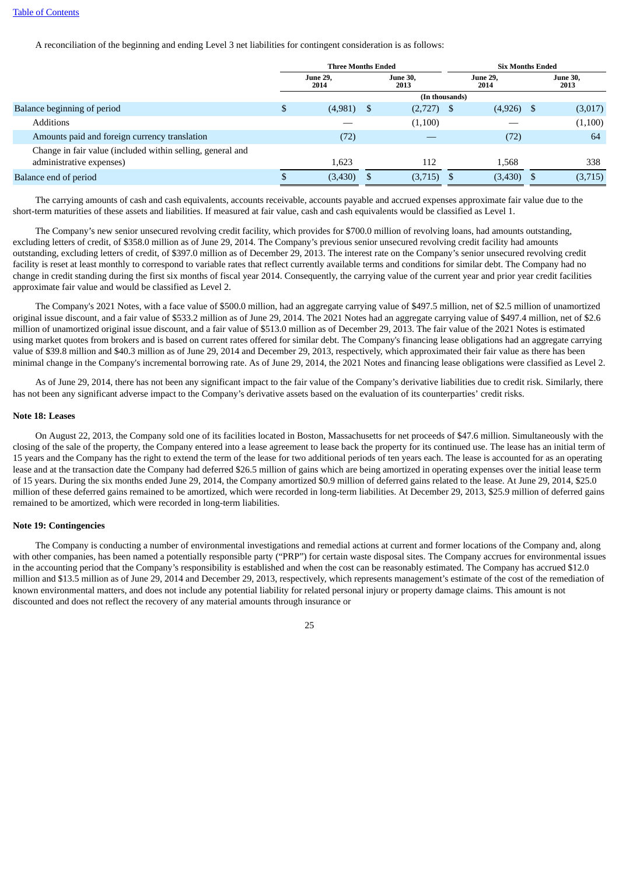A reconciliation of the beginning and ending Level 3 net liabilities for contingent consideration is as follows:

|                                                                                        | <b>Three Months Ended</b> |                         |  | <b>Six Months Ended</b> |      |                         |  |                         |
|----------------------------------------------------------------------------------------|---------------------------|-------------------------|--|-------------------------|------|-------------------------|--|-------------------------|
|                                                                                        |                           | <b>June 29.</b><br>2014 |  | <b>June 30,</b><br>2013 |      | <b>June 29,</b><br>2014 |  | <b>June 30,</b><br>2013 |
|                                                                                        |                           |                         |  | (In thousands)          |      |                         |  |                         |
| Balance beginning of period                                                            | \$                        | $(4,981)$ \$            |  | $(2,727)$ \$            |      | $(4,926)$ \$            |  | (3,017)                 |
| <b>Additions</b>                                                                       |                           |                         |  | (1,100)                 |      |                         |  | (1,100)                 |
| Amounts paid and foreign currency translation                                          |                           | (72)                    |  |                         |      | (72)                    |  | 64                      |
| Change in fair value (included within selling, general and<br>administrative expenses) |                           | 1,623                   |  | 112                     |      | 1.568                   |  | 338                     |
|                                                                                        |                           |                         |  |                         |      |                         |  |                         |
| Balance end of period                                                                  |                           | $(3,430)$ \$            |  | (3,715)                 | - \$ | $(3,430)$ \$            |  | (3,715)                 |

The carrying amounts of cash and cash equivalents, accounts receivable, accounts payable and accrued expenses approximate fair value due to the short-term maturities of these assets and liabilities. If measured at fair value, cash and cash equivalents would be classified as Level 1.

The Company's new senior unsecured revolving credit facility, which provides for \$700.0 million of revolving loans, had amounts outstanding, excluding letters of credit, of \$358.0 million as of June 29, 2014. The Company's previous senior unsecured revolving credit facility had amounts outstanding, excluding letters of credit, of \$397.0 million as of December 29, 2013. The interest rate on the Company's senior unsecured revolving credit facility is reset at least monthly to correspond to variable rates that reflect currently available terms and conditions for similar debt. The Company had no change in credit standing during the first six months of fiscal year 2014. Consequently, the carrying value of the current year and prior year credit facilities approximate fair value and would be classified as Level 2.

The Company's 2021 Notes, with a face value of \$500.0 million, had an aggregate carrying value of \$497.5 million, net of \$2.5 million of unamortized original issue discount, and a fair value of \$533.2 million as of June 29, 2014. The 2021 Notes had an aggregate carrying value of \$497.4 million, net of \$2.6 million of unamortized original issue discount, and a fair value of \$513.0 million as of December 29, 2013. The fair value of the 2021 Notes is estimated using market quotes from brokers and is based on current rates offered for similar debt. The Company's financing lease obligations had an aggregate carrying value of \$39.8 million and \$40.3 million as of June 29, 2014 and December 29, 2013, respectively, which approximated their fair value as there has been minimal change in the Company's incremental borrowing rate. As of June 29, 2014, the 2021 Notes and financing lease obligations were classified as Level 2.

As of June 29, 2014, there has not been any significant impact to the fair value of the Company's derivative liabilities due to credit risk. Similarly, there has not been any significant adverse impact to the Company's derivative assets based on the evaluation of its counterparties' credit risks.

#### **Note 18: Leases**

On August 22, 2013, the Company sold one of its facilities located in Boston, Massachusetts for net proceeds of \$47.6 million. Simultaneously with the closing of the sale of the property, the Company entered into a lease agreement to lease back the property for its continued use. The lease has an initial term of 15 years and the Company has the right to extend the term of the lease for two additional periods of ten years each. The lease is accounted for as an operating lease and at the transaction date the Company had deferred \$26.5 million of gains which are being amortized in operating expenses over the initial lease term of 15 years. During the six months ended June 29, 2014, the Company amortized \$0.9 million of deferred gains related to the lease. At June 29, 2014, \$25.0 million of these deferred gains remained to be amortized, which were recorded in long-term liabilities. At December 29, 2013, \$25.9 million of deferred gains remained to be amortized, which were recorded in long-term liabilities.

#### **Note 19: Contingencies**

The Company is conducting a number of environmental investigations and remedial actions at current and former locations of the Company and, along with other companies, has been named a potentially responsible party ("PRP") for certain waste disposal sites. The Company accrues for environmental issues in the accounting period that the Company's responsibility is established and when the cost can be reasonably estimated. The Company has accrued \$12.0 million and \$13.5 million as of June 29, 2014 and December 29, 2013, respectively, which represents management's estimate of the cost of the remediation of known environmental matters, and does not include any potential liability for related personal injury or property damage claims. This amount is not discounted and does not reflect the recovery of any material amounts through insurance or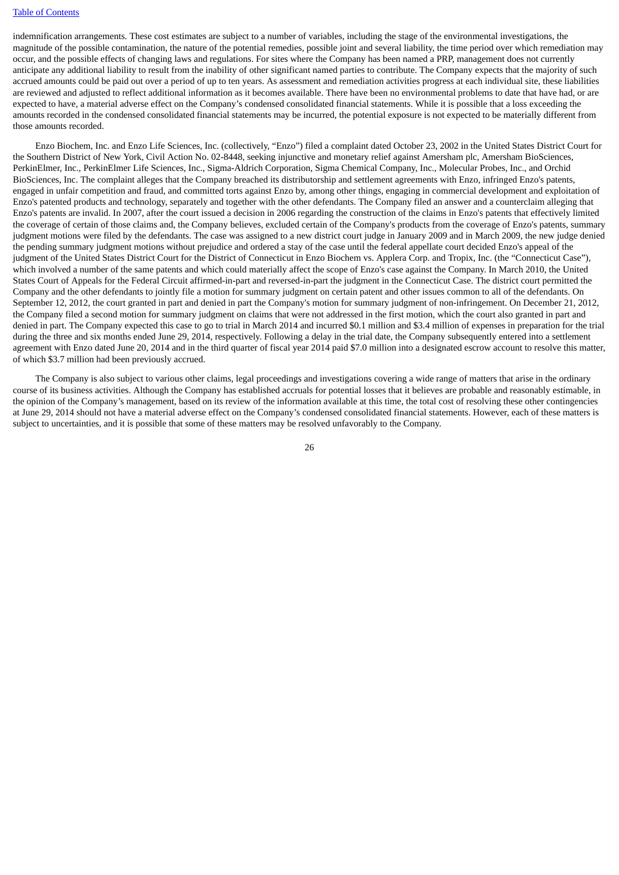indemnification arrangements. These cost estimates are subject to a number of variables, including the stage of the environmental investigations, the magnitude of the possible contamination, the nature of the potential remedies, possible joint and several liability, the time period over which remediation may occur, and the possible effects of changing laws and regulations. For sites where the Company has been named a PRP, management does not currently anticipate any additional liability to result from the inability of other significant named parties to contribute. The Company expects that the majority of such accrued amounts could be paid out over a period of up to ten years. As assessment and remediation activities progress at each individual site, these liabilities are reviewed and adjusted to reflect additional information as it becomes available. There have been no environmental problems to date that have had, or are expected to have, a material adverse effect on the Company's condensed consolidated financial statements. While it is possible that a loss exceeding the amounts recorded in the condensed consolidated financial statements may be incurred, the potential exposure is not expected to be materially different from those amounts recorded.

Enzo Biochem, Inc. and Enzo Life Sciences, Inc. (collectively, "Enzo") filed a complaint dated October 23, 2002 in the United States District Court for the Southern District of New York, Civil Action No. 02-8448, seeking injunctive and monetary relief against Amersham plc, Amersham BioSciences, PerkinElmer, Inc., PerkinElmer Life Sciences, Inc., Sigma-Aldrich Corporation, Sigma Chemical Company, Inc., Molecular Probes, Inc., and Orchid BioSciences, Inc. The complaint alleges that the Company breached its distributorship and settlement agreements with Enzo, infringed Enzo's patents, engaged in unfair competition and fraud, and committed torts against Enzo by, among other things, engaging in commercial development and exploitation of Enzo's patented products and technology, separately and together with the other defendants. The Company filed an answer and a counterclaim alleging that Enzo's patents are invalid. In 2007, after the court issued a decision in 2006 regarding the construction of the claims in Enzo's patents that effectively limited the coverage of certain of those claims and, the Company believes, excluded certain of the Company's products from the coverage of Enzo's patents, summary judgment motions were filed by the defendants. The case was assigned to a new district court judge in January 2009 and in March 2009, the new judge denied the pending summary judgment motions without prejudice and ordered a stay of the case until the federal appellate court decided Enzo's appeal of the judgment of the United States District Court for the District of Connecticut in Enzo Biochem vs. Applera Corp. and Tropix, Inc. (the "Connecticut Case"), which involved a number of the same patents and which could materially affect the scope of Enzo's case against the Company. In March 2010, the United States Court of Appeals for the Federal Circuit affirmed-in-part and reversed-in-part the judgment in the Connecticut Case. The district court permitted the Company and the other defendants to jointly file a motion for summary judgment on certain patent and other issues common to all of the defendants. On September 12, 2012, the court granted in part and denied in part the Company's motion for summary judgment of non-infringement. On December 21, 2012, the Company filed a second motion for summary judgment on claims that were not addressed in the first motion, which the court also granted in part and denied in part. The Company expected this case to go to trial in March 2014 and incurred \$0.1 million and \$3.4 million of expenses in preparation for the trial during the three and six months ended June 29, 2014, respectively. Following a delay in the trial date, the Company subsequently entered into a settlement agreement with Enzo dated June 20, 2014 and in the third quarter of fiscal year 2014 paid \$7.0 million into a designated escrow account to resolve this matter, of which \$3.7 million had been previously accrued.

<span id="page-25-0"></span>The Company is also subject to various other claims, legal proceedings and investigations covering a wide range of matters that arise in the ordinary course of its business activities. Although the Company has established accruals for potential losses that it believes are probable and reasonably estimable, in the opinion of the Company's management, based on its review of the information available at this time, the total cost of resolving these other contingencies at June 29, 2014 should not have a material adverse effect on the Company's condensed consolidated financial statements. However, each of these matters is subject to uncertainties, and it is possible that some of these matters may be resolved unfavorably to the Company.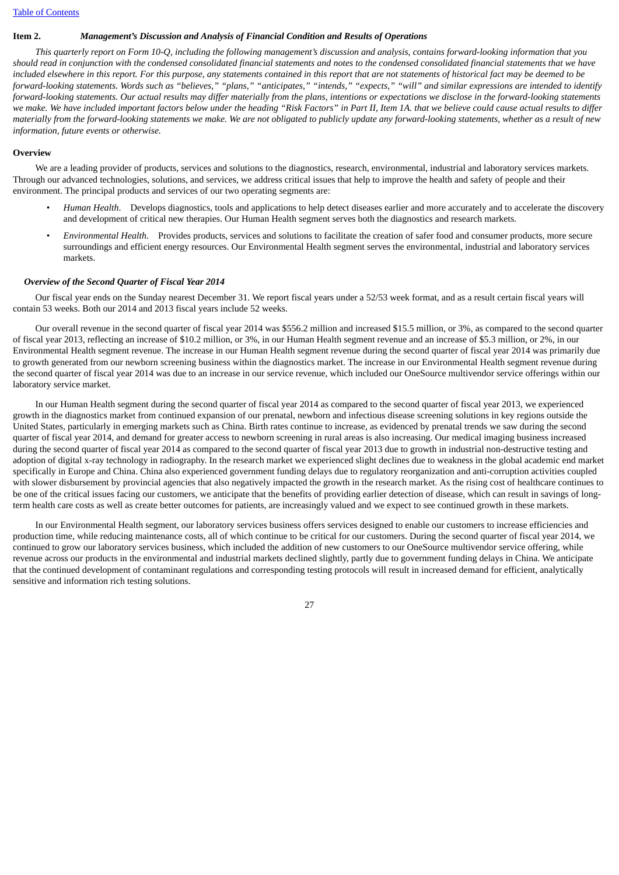#### **Item 2.** *Management's Discussion and Analysis of Financial Condition and Results of Operations*

This quarterly report on Form 10-Q, including the following management's discussion and analysis, contains forward-looking information that you should read in conjunction with the condensed consolidated financial statements and notes to the condensed consolidated financial statements that we have included elsewhere in this report. For this purpose, any statements contained in this report that are not statements of historical fact may be deemed to be forward-looking statements. Words such as "believes," "plans," "anticipates," "intends," "expects," "will" and similar expressions are intended to identify forward-looking statements. Our actual results may differ materially from the plans, intentions or expectations we disclose in the forward-looking statements we make. We have included important factors below under the heading "Risk Factors" in Part II, Item 1A. that we believe could cause actual results to differ materially from the forward-looking statements we make. We are not obligated to publicly update any forward-looking statements, whether as a result of new *information, future events or otherwise.*

#### <span id="page-26-0"></span>**Overview**

We are a leading provider of products, services and solutions to the diagnostics, research, environmental, industrial and laboratory services markets. Through our advanced technologies, solutions, and services, we address critical issues that help to improve the health and safety of people and their environment. The principal products and services of our two operating segments are:

- *Human Health*. Develops diagnostics, tools and applications to help detect diseases earlier and more accurately and to accelerate the discovery and development of critical new therapies. Our Human Health segment serves both the diagnostics and research markets.
- *Environmental Health*. Provides products, services and solutions to facilitate the creation of safer food and consumer products, more secure surroundings and efficient energy resources. Our Environmental Health segment serves the environmental, industrial and laboratory services markets.

#### *Overview of the Second Quarter of Fiscal Year 2014*

Our fiscal year ends on the Sunday nearest December 31. We report fiscal years under a 52/53 week format, and as a result certain fiscal years will contain 53 weeks. Both our 2014 and 2013 fiscal years include 52 weeks.

Our overall revenue in the second quarter of fiscal year 2014 was \$556.2 million and increased \$15.5 million, or 3%, as compared to the second quarter of fiscal year 2013, reflecting an increase of \$10.2 million, or 3%, in our Human Health segment revenue and an increase of \$5.3 million, or 2%, in our Environmental Health segment revenue. The increase in our Human Health segment revenue during the second quarter of fiscal year 2014 was primarily due to growth generated from our newborn screening business within the diagnostics market. The increase in our Environmental Health segment revenue during the second quarter of fiscal year 2014 was due to an increase in our service revenue, which included our OneSource multivendor service offerings within our laboratory service market.

In our Human Health segment during the second quarter of fiscal year 2014 as compared to the second quarter of fiscal year 2013, we experienced growth in the diagnostics market from continued expansion of our prenatal, newborn and infectious disease screening solutions in key regions outside the United States, particularly in emerging markets such as China. Birth rates continue to increase, as evidenced by prenatal trends we saw during the second quarter of fiscal year 2014, and demand for greater access to newborn screening in rural areas is also increasing. Our medical imaging business increased during the second quarter of fiscal year 2014 as compared to the second quarter of fiscal year 2013 due to growth in industrial non-destructive testing and adoption of digital x-ray technology in radiography. In the research market we experienced slight declines due to weakness in the global academic end market specifically in Europe and China. China also experienced government funding delays due to regulatory reorganization and anti-corruption activities coupled with slower disbursement by provincial agencies that also negatively impacted the growth in the research market. As the rising cost of healthcare continues to be one of the critical issues facing our customers, we anticipate that the benefits of providing earlier detection of disease, which can result in savings of longterm health care costs as well as create better outcomes for patients, are increasingly valued and we expect to see continued growth in these markets.

In our Environmental Health segment, our laboratory services business offers services designed to enable our customers to increase efficiencies and production time, while reducing maintenance costs, all of which continue to be critical for our customers. During the second quarter of fiscal year 2014, we continued to grow our laboratory services business, which included the addition of new customers to our OneSource multivendor service offering, while revenue across our products in the environmental and industrial markets declined slightly, partly due to government funding delays in China. We anticipate that the continued development of contaminant regulations and corresponding testing protocols will result in increased demand for efficient, analytically sensitive and information rich testing solutions.

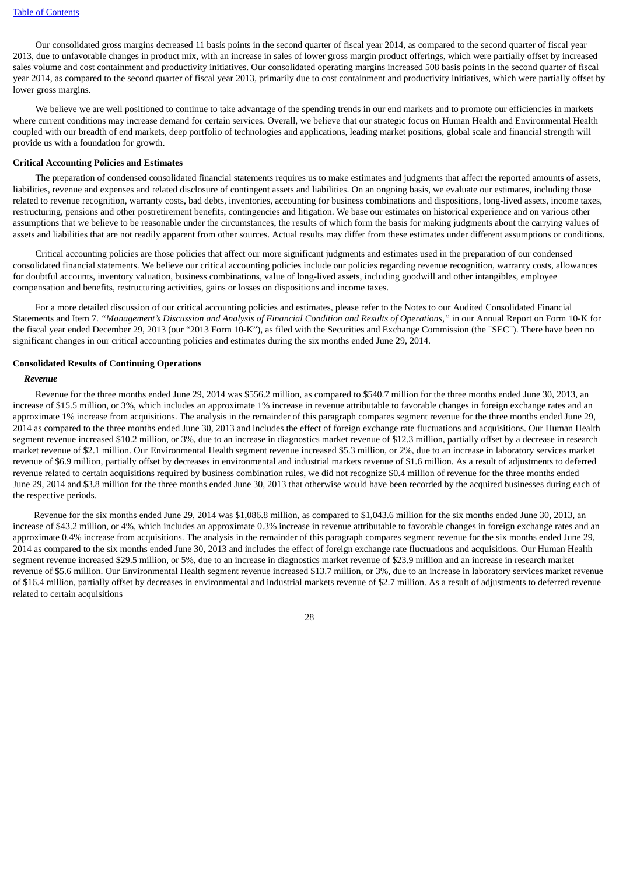Our consolidated gross margins decreased 11 basis points in the second quarter of fiscal year 2014, as compared to the second quarter of fiscal year 2013, due to unfavorable changes in product mix, with an increase in sales of lower gross margin product offerings, which were partially offset by increased sales volume and cost containment and productivity initiatives. Our consolidated operating margins increased 508 basis points in the second quarter of fiscal year 2014, as compared to the second quarter of fiscal year 2013, primarily due to cost containment and productivity initiatives, which were partially offset by lower gross margins.

We believe we are well positioned to continue to take advantage of the spending trends in our end markets and to promote our efficiencies in markets where current conditions may increase demand for certain services. Overall, we believe that our strategic focus on Human Health and Environmental Health coupled with our breadth of end markets, deep portfolio of technologies and applications, leading market positions, global scale and financial strength will provide us with a foundation for growth.

#### <span id="page-27-0"></span>**Critical Accounting Policies and Estimates**

The preparation of condensed consolidated financial statements requires us to make estimates and judgments that affect the reported amounts of assets, liabilities, revenue and expenses and related disclosure of contingent assets and liabilities. On an ongoing basis, we evaluate our estimates, including those related to revenue recognition, warranty costs, bad debts, inventories, accounting for business combinations and dispositions, long-lived assets, income taxes, restructuring, pensions and other postretirement benefits, contingencies and litigation. We base our estimates on historical experience and on various other assumptions that we believe to be reasonable under the circumstances, the results of which form the basis for making judgments about the carrying values of assets and liabilities that are not readily apparent from other sources. Actual results may differ from these estimates under different assumptions or conditions.

Critical accounting policies are those policies that affect our more significant judgments and estimates used in the preparation of our condensed consolidated financial statements. We believe our critical accounting policies include our policies regarding revenue recognition, warranty costs, allowances for doubtful accounts, inventory valuation, business combinations, value of long-lived assets, including goodwill and other intangibles, employee compensation and benefits, restructuring activities, gains or losses on dispositions and income taxes.

For a more detailed discussion of our critical accounting policies and estimates, please refer to the Notes to our Audited Consolidated Financial Statements and Item 7. "Management's Discussion and Analysis of Financial Condition and Results of Operations," in our Annual Report on Form 10-K for the fiscal year ended December 29, 2013 (our "2013 Form 10-K"), as filed with the Securities and Exchange Commission (the "SEC"). There have been no significant changes in our critical accounting policies and estimates during the six months ended June 29, 2014.

#### <span id="page-27-1"></span>**Consolidated Results of Continuing Operations**

#### *Revenue*

Revenue for the three months ended June 29, 2014 was \$556.2 million, as compared to \$540.7 million for the three months ended June 30, 2013, an increase of \$15.5 million, or 3%, which includes an approximate 1% increase in revenue attributable to favorable changes in foreign exchange rates and an approximate 1% increase from acquisitions. The analysis in the remainder of this paragraph compares segment revenue for the three months ended June 29, 2014 as compared to the three months ended June 30, 2013 and includes the effect of foreign exchange rate fluctuations and acquisitions. Our Human Health segment revenue increased \$10.2 million, or 3%, due to an increase in diagnostics market revenue of \$12.3 million, partially offset by a decrease in research market revenue of \$2.1 million. Our Environmental Health segment revenue increased \$5.3 million, or 2%, due to an increase in laboratory services market revenue of \$6.9 million, partially offset by decreases in environmental and industrial markets revenue of \$1.6 million. As a result of adjustments to deferred revenue related to certain acquisitions required by business combination rules, we did not recognize \$0.4 million of revenue for the three months ended June 29, 2014 and \$3.8 million for the three months ended June 30, 2013 that otherwise would have been recorded by the acquired businesses during each of the respective periods.

Revenue for the six months ended June 29, 2014 was \$1,086.8 million, as compared to \$1,043.6 million for the six months ended June 30, 2013, an increase of \$43.2 million, or 4%, which includes an approximate 0.3% increase in revenue attributable to favorable changes in foreign exchange rates and an approximate 0.4% increase from acquisitions. The analysis in the remainder of this paragraph compares segment revenue for the six months ended June 29, 2014 as compared to the six months ended June 30, 2013 and includes the effect of foreign exchange rate fluctuations and acquisitions. Our Human Health segment revenue increased \$29.5 million, or 5%, due to an increase in diagnostics market revenue of \$23.9 million and an increase in research market revenue of \$5.6 million. Our Environmental Health segment revenue increased \$13.7 million, or 3%, due to an increase in laboratory services market revenue of \$16.4 million, partially offset by decreases in environmental and industrial markets revenue of \$2.7 million. As a result of adjustments to deferred revenue related to certain acquisitions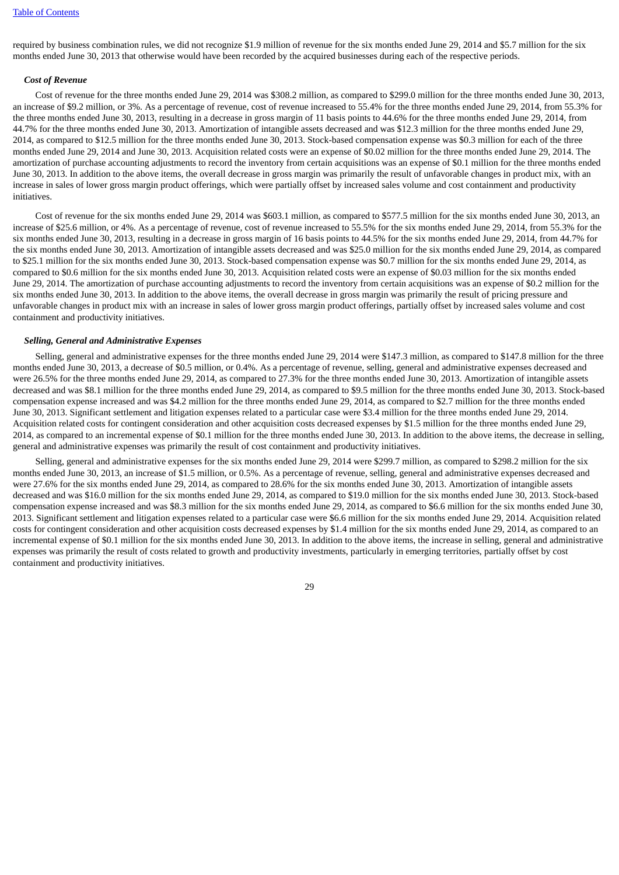required by business combination rules, we did not recognize \$1.9 million of revenue for the six months ended June 29, 2014 and \$5.7 million for the six months ended June 30, 2013 that otherwise would have been recorded by the acquired businesses during each of the respective periods.

#### *Cost of Revenue*

Cost of revenue for the three months ended June 29, 2014 was \$308.2 million, as compared to \$299.0 million for the three months ended June 30, 2013, an increase of \$9.2 million, or 3%. As a percentage of revenue, cost of revenue increased to 55.4% for the three months ended June 29, 2014, from 55.3% for the three months ended June 30, 2013, resulting in a decrease in gross margin of 11 basis points to 44.6% for the three months ended June 29, 2014, from 44.7% for the three months ended June 30, 2013. Amortization of intangible assets decreased and was \$12.3 million for the three months ended June 29, 2014, as compared to \$12.5 million for the three months ended June 30, 2013. Stock-based compensation expense was \$0.3 million for each of the three months ended June 29, 2014 and June 30, 2013. Acquisition related costs were an expense of \$0.02 million for the three months ended June 29, 2014. The amortization of purchase accounting adjustments to record the inventory from certain acquisitions was an expense of \$0.1 million for the three months ended June 30, 2013. In addition to the above items, the overall decrease in gross margin was primarily the result of unfavorable changes in product mix, with an increase in sales of lower gross margin product offerings, which were partially offset by increased sales volume and cost containment and productivity initiatives.

Cost of revenue for the six months ended June 29, 2014 was \$603.1 million, as compared to \$577.5 million for the six months ended June 30, 2013, an increase of \$25.6 million, or 4%. As a percentage of revenue, cost of revenue increased to 55.5% for the six months ended June 29, 2014, from 55.3% for the six months ended June 30, 2013, resulting in a decrease in gross margin of 16 basis points to 44.5% for the six months ended June 29, 2014, from 44.7% for the six months ended June 30, 2013. Amortization of intangible assets decreased and was \$25.0 million for the six months ended June 29, 2014, as compared to \$25.1 million for the six months ended June 30, 2013. Stock-based compensation expense was \$0.7 million for the six months ended June 29, 2014, as compared to \$0.6 million for the six months ended June 30, 2013. Acquisition related costs were an expense of \$0.03 million for the six months ended June 29, 2014. The amortization of purchase accounting adjustments to record the inventory from certain acquisitions was an expense of \$0.2 million for the six months ended June 30, 2013. In addition to the above items, the overall decrease in gross margin was primarily the result of pricing pressure and unfavorable changes in product mix with an increase in sales of lower gross margin product offerings, partially offset by increased sales volume and cost containment and productivity initiatives.

#### *Selling, General and Administrative Expenses*

Selling, general and administrative expenses for the three months ended June 29, 2014 were \$147.3 million, as compared to \$147.8 million for the three months ended June 30, 2013, a decrease of \$0.5 million, or 0.4%. As a percentage of revenue, selling, general and administrative expenses decreased and were 26.5% for the three months ended June 29, 2014, as compared to 27.3% for the three months ended June 30, 2013. Amortization of intangible assets decreased and was \$8.1 million for the three months ended June 29, 2014, as compared to \$9.5 million for the three months ended June 30, 2013. Stock-based compensation expense increased and was \$4.2 million for the three months ended June 29, 2014, as compared to \$2.7 million for the three months ended June 30, 2013. Significant settlement and litigation expenses related to a particular case were \$3.4 million for the three months ended June 29, 2014. Acquisition related costs for contingent consideration and other acquisition costs decreased expenses by \$1.5 million for the three months ended June 29, 2014, as compared to an incremental expense of \$0.1 million for the three months ended June 30, 2013. In addition to the above items, the decrease in selling, general and administrative expenses was primarily the result of cost containment and productivity initiatives.

Selling, general and administrative expenses for the six months ended June 29, 2014 were \$299.7 million, as compared to \$298.2 million for the six months ended June 30, 2013, an increase of \$1.5 million, or 0.5%. As a percentage of revenue, selling, general and administrative expenses decreased and were 27.6% for the six months ended June 29, 2014, as compared to 28.6% for the six months ended June 30, 2013. Amortization of intangible assets decreased and was \$16.0 million for the six months ended June 29, 2014, as compared to \$19.0 million for the six months ended June 30, 2013. Stock-based compensation expense increased and was \$8.3 million for the six months ended June 29, 2014, as compared to \$6.6 million for the six months ended June 30, 2013. Significant settlement and litigation expenses related to a particular case were \$6.6 million for the six months ended June 29, 2014. Acquisition related costs for contingent consideration and other acquisition costs decreased expenses by \$1.4 million for the six months ended June 29, 2014, as compared to an incremental expense of \$0.1 million for the six months ended June 30, 2013. In addition to the above items, the increase in selling, general and administrative expenses was primarily the result of costs related to growth and productivity investments, particularly in emerging territories, partially offset by cost containment and productivity initiatives.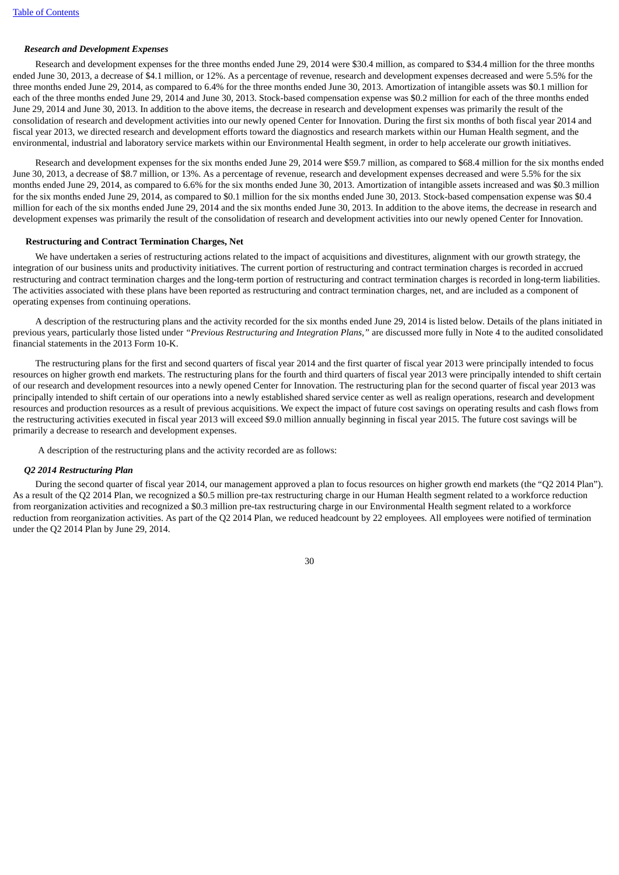# *Research and Development Expenses*

Research and development expenses for the three months ended June 29, 2014 were \$30.4 million, as compared to \$34.4 million for the three months ended June 30, 2013, a decrease of \$4.1 million, or 12%. As a percentage of revenue, research and development expenses decreased and were 5.5% for the three months ended June 29, 2014, as compared to 6.4% for the three months ended June 30, 2013. Amortization of intangible assets was \$0.1 million for each of the three months ended June 29, 2014 and June 30, 2013. Stock-based compensation expense was \$0.2 million for each of the three months ended June 29, 2014 and June 30, 2013. In addition to the above items, the decrease in research and development expenses was primarily the result of the consolidation of research and development activities into our newly opened Center for Innovation. During the first six months of both fiscal year 2014 and fiscal year 2013, we directed research and development efforts toward the diagnostics and research markets within our Human Health segment, and the environmental, industrial and laboratory service markets within our Environmental Health segment, in order to help accelerate our growth initiatives.

Research and development expenses for the six months ended June 29, 2014 were \$59.7 million, as compared to \$68.4 million for the six months ended June 30, 2013, a decrease of \$8.7 million, or 13%. As a percentage of revenue, research and development expenses decreased and were 5.5% for the six months ended June 29, 2014, as compared to 6.6% for the six months ended June 30, 2013. Amortization of intangible assets increased and was \$0.3 million for the six months ended June 29, 2014, as compared to \$0.1 million for the six months ended June 30, 2013. Stock-based compensation expense was \$0.4 million for each of the six months ended June 29, 2014 and the six months ended June 30, 2013. In addition to the above items, the decrease in research and development expenses was primarily the result of the consolidation of research and development activities into our newly opened Center for Innovation.

# **Restructuring and Contract Termination Charges, Net**

We have undertaken a series of restructuring actions related to the impact of acquisitions and divestitures, alignment with our growth strategy, the integration of our business units and productivity initiatives. The current portion of restructuring and contract termination charges is recorded in accrued restructuring and contract termination charges and the long-term portion of restructuring and contract termination charges is recorded in long-term liabilities. The activities associated with these plans have been reported as restructuring and contract termination charges, net, and are included as a component of operating expenses from continuing operations.

A description of the restructuring plans and the activity recorded for the six months ended June 29, 2014 is listed below. Details of the plans initiated in previous years, particularly those listed under *"Previous Restructuring and Integration Plans,"* are discussed more fully in Note 4 to the audited consolidated financial statements in the 2013 Form 10-K.

The restructuring plans for the first and second quarters of fiscal year 2014 and the first quarter of fiscal year 2013 were principally intended to focus resources on higher growth end markets. The restructuring plans for the fourth and third quarters of fiscal year 2013 were principally intended to shift certain of our research and development resources into a newly opened Center for Innovation. The restructuring plan for the second quarter of fiscal year 2013 was principally intended to shift certain of our operations into a newly established shared service center as well as realign operations, research and development resources and production resources as a result of previous acquisitions. We expect the impact of future cost savings on operating results and cash flows from the restructuring activities executed in fiscal year 2013 will exceed \$9.0 million annually beginning in fiscal year 2015. The future cost savings will be primarily a decrease to research and development expenses.

A description of the restructuring plans and the activity recorded are as follows:

# *Q2 2014 Restructuring Plan*

During the second quarter of fiscal year 2014, our management approved a plan to focus resources on higher growth end markets (the "Q2 2014 Plan"). As a result of the Q2 2014 Plan, we recognized a \$0.5 million pre-tax restructuring charge in our Human Health segment related to a workforce reduction from reorganization activities and recognized a \$0.3 million pre-tax restructuring charge in our Environmental Health segment related to a workforce reduction from reorganization activities. As part of the Q2 2014 Plan, we reduced headcount by 22 employees. All employees were notified of termination under the Q2 2014 Plan by June 29, 2014.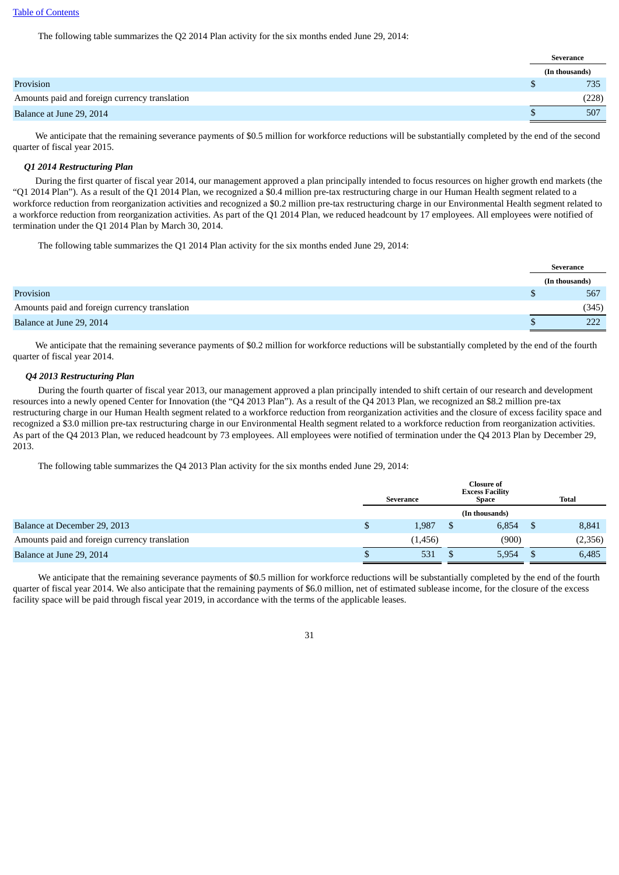The following table summarizes the Q2 2014 Plan activity for the six months ended June 29, 2014:

|                                               | Severance      |
|-----------------------------------------------|----------------|
|                                               | (In thousands) |
| Provision                                     | 735            |
| Amounts paid and foreign currency translation | (228)          |
| Balance at June 29, 2014                      | 507            |

We anticipate that the remaining severance payments of \$0.5 million for workforce reductions will be substantially completed by the end of the second quarter of fiscal year 2015.

# *Q1 2014 Restructuring Plan*

During the first quarter of fiscal year 2014, our management approved a plan principally intended to focus resources on higher growth end markets (the "Q1 2014 Plan"). As a result of the Q1 2014 Plan, we recognized a \$0.4 million pre-tax restructuring charge in our Human Health segment related to a workforce reduction from reorganization activities and recognized a \$0.2 million pre-tax restructuring charge in our Environmental Health segment related to a workforce reduction from reorganization activities. As part of the Q1 2014 Plan, we reduced headcount by 17 employees. All employees were notified of termination under the Q1 2014 Plan by March 30, 2014.

The following table summarizes the Q1 2014 Plan activity for the six months ended June 29, 2014:

|                                               | Severance      |
|-----------------------------------------------|----------------|
|                                               | (In thousands) |
| Provision                                     | 567            |
| Amounts paid and foreign currency translation | (345)          |
| Balance at June 29, 2014                      | つつつ            |

We anticipate that the remaining severance payments of \$0.2 million for workforce reductions will be substantially completed by the end of the fourth quarter of fiscal year 2014.

#### *Q4 2013 Restructuring Plan*

During the fourth quarter of fiscal year 2013, our management approved a plan principally intended to shift certain of our research and development resources into a newly opened Center for Innovation (the "Q4 2013 Plan"). As a result of the Q4 2013 Plan, we recognized an \$8.2 million pre-tax restructuring charge in our Human Health segment related to a workforce reduction from reorganization activities and the closure of excess facility space and recognized a \$3.0 million pre-tax restructuring charge in our Environmental Health segment related to a workforce reduction from reorganization activities. As part of the Q4 2013 Plan, we reduced headcount by 73 employees. All employees were notified of termination under the Q4 2013 Plan by December 29, 2013.

The following table summarizes the Q4 2013 Plan activity for the six months ended June 29, 2014:

|                                               |   | Severance | <b>Closure of</b><br><b>Excess Facility</b><br>Space | <b>Total</b> |
|-----------------------------------------------|---|-----------|------------------------------------------------------|--------------|
|                                               |   |           | (In thousands)                                       |              |
| Balance at December 29, 2013                  |   | 1,987     | 6,854                                                | 8,841        |
| Amounts paid and foreign currency translation |   | (1, 456)  | (900)                                                | (2,356)      |
| Balance at June 29, 2014                      | Ć | 531       | 5,954                                                | 6,485        |

We anticipate that the remaining severance payments of \$0.5 million for workforce reductions will be substantially completed by the end of the fourth quarter of fiscal year 2014. We also anticipate that the remaining payments of \$6.0 million, net of estimated sublease income, for the closure of the excess facility space will be paid through fiscal year 2019, in accordance with the terms of the applicable leases.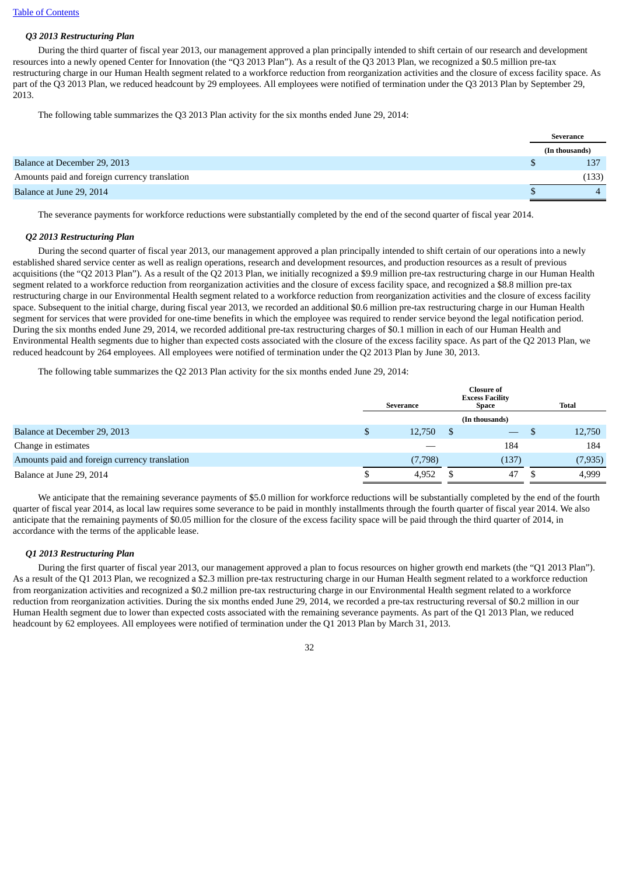#### *Q3 2013 Restructuring Plan*

During the third quarter of fiscal year 2013, our management approved a plan principally intended to shift certain of our research and development resources into a newly opened Center for Innovation (the "Q3 2013 Plan"). As a result of the Q3 2013 Plan, we recognized a \$0.5 million pre-tax restructuring charge in our Human Health segment related to a workforce reduction from reorganization activities and the closure of excess facility space. As part of the Q3 2013 Plan, we reduced headcount by 29 employees. All employees were notified of termination under the Q3 2013 Plan by September 29, 2013.

The following table summarizes the Q3 2013 Plan activity for the six months ended June 29, 2014:

|                                               | <b>Severance</b> |                |
|-----------------------------------------------|------------------|----------------|
|                                               |                  | (In thousands) |
| Balance at December 29, 2013                  |                  |                |
| Amounts paid and foreign currency translation |                  | (133)          |
| Balance at June 29, 2014                      |                  |                |
|                                               |                  |                |

The severance payments for workforce reductions were substantially completed by the end of the second quarter of fiscal year 2014.

#### *Q2 2013 Restructuring Plan*

During the second quarter of fiscal year 2013, our management approved a plan principally intended to shift certain of our operations into a newly established shared service center as well as realign operations, research and development resources, and production resources as a result of previous acquisitions (the "Q2 2013 Plan"). As a result of the Q2 2013 Plan, we initially recognized a \$9.9 million pre-tax restructuring charge in our Human Health segment related to a workforce reduction from reorganization activities and the closure of excess facility space, and recognized a \$8.8 million pre-tax restructuring charge in our Environmental Health segment related to a workforce reduction from reorganization activities and the closure of excess facility space. Subsequent to the initial charge, during fiscal year 2013, we recorded an additional \$0.6 million pre-tax restructuring charge in our Human Health segment for services that were provided for one-time benefits in which the employee was required to render service beyond the legal notification period. During the six months ended June 29, 2014, we recorded additional pre-tax restructuring charges of \$0.1 million in each of our Human Health and Environmental Health segments due to higher than expected costs associated with the closure of the excess facility space. As part of the Q2 2013 Plan, we reduced headcount by 264 employees. All employees were notified of termination under the Q2 2013 Plan by June 30, 2013.

The following table summarizes the Q2 2013 Plan activity for the six months ended June 29, 2014:

|                                               | Closure of<br><b>Excess Facility</b><br>Severance<br>Space |         |   | <b>Total</b>                    |   |          |
|-----------------------------------------------|------------------------------------------------------------|---------|---|---------------------------------|---|----------|
|                                               |                                                            |         |   | (In thousands)                  |   |          |
| Balance at December 29, 2013                  | \$                                                         | 12,750  | S | $\hspace{0.1mm}-\hspace{0.1mm}$ |   | 12,750   |
| Change in estimates                           |                                                            |         |   | 184                             |   | 184      |
| Amounts paid and foreign currency translation |                                                            | (7,798) |   | (137)                           |   | (7, 935) |
| Balance at June 29, 2014                      | D                                                          | 4,952   | S | 47                              | S | 4,999    |

We anticipate that the remaining severance payments of \$5.0 million for workforce reductions will be substantially completed by the end of the fourth quarter of fiscal year 2014, as local law requires some severance to be paid in monthly installments through the fourth quarter of fiscal year 2014. We also anticipate that the remaining payments of \$0.05 million for the closure of the excess facility space will be paid through the third quarter of 2014, in accordance with the terms of the applicable lease.

#### *Q1 2013 Restructuring Plan*

During the first quarter of fiscal year 2013, our management approved a plan to focus resources on higher growth end markets (the "Q1 2013 Plan"). As a result of the Q1 2013 Plan, we recognized a \$2.3 million pre-tax restructuring charge in our Human Health segment related to a workforce reduction from reorganization activities and recognized a \$0.2 million pre-tax restructuring charge in our Environmental Health segment related to a workforce reduction from reorganization activities. During the six months ended June 29, 2014, we recorded a pre-tax restructuring reversal of \$0.2 million in our Human Health segment due to lower than expected costs associated with the remaining severance payments. As part of the Q1 2013 Plan, we reduced headcount by 62 employees. All employees were notified of termination under the Q1 2013 Plan by March 31, 2013.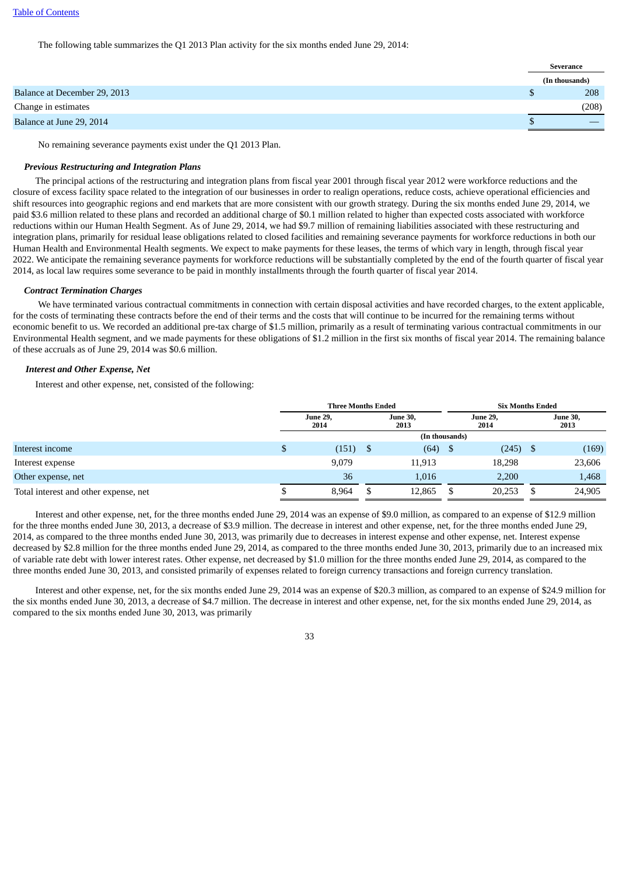The following table summarizes the Q1 2013 Plan activity for the six months ended June 29, 2014:

|                              | <b>Severance</b> |                |
|------------------------------|------------------|----------------|
|                              |                  | (In thousands) |
| Balance at December 29, 2013 |                  | 208            |
| Change in estimates          |                  | (208)          |
| Balance at June 29, 2014     |                  |                |

No remaining severance payments exist under the Q1 2013 Plan.

#### *Previous Restructuring and Integration Plans*

The principal actions of the restructuring and integration plans from fiscal year 2001 through fiscal year 2012 were workforce reductions and the closure of excess facility space related to the integration of our businesses in order to realign operations, reduce costs, achieve operational efficiencies and shift resources into geographic regions and end markets that are more consistent with our growth strategy. During the six months ended June 29, 2014, we paid \$3.6 million related to these plans and recorded an additional charge of \$0.1 million related to higher than expected costs associated with workforce reductions within our Human Health Segment. As of June 29, 2014, we had \$9.7 million of remaining liabilities associated with these restructuring and integration plans, primarily for residual lease obligations related to closed facilities and remaining severance payments for workforce reductions in both our Human Health and Environmental Health segments. We expect to make payments for these leases, the terms of which vary in length, through fiscal year 2022. We anticipate the remaining severance payments for workforce reductions will be substantially completed by the end of the fourth quarter of fiscal year 2014, as local law requires some severance to be paid in monthly installments through the fourth quarter of fiscal year 2014.

#### *Contract Termination Charges*

We have terminated various contractual commitments in connection with certain disposal activities and have recorded charges, to the extent applicable, for the costs of terminating these contracts before the end of their terms and the costs that will continue to be incurred for the remaining terms without economic benefit to us. We recorded an additional pre-tax charge of \$1.5 million, primarily as a result of terminating various contractual commitments in our Environmental Health segment, and we made payments for these obligations of \$1.2 million in the first six months of fiscal year 2014. The remaining balance of these accruals as of June 29, 2014 was \$0.6 million.

#### *Interest and Other Expense, Net*

Interest and other expense, net, consisted of the following:

|                                       | <b>Three Months Ended</b> |                |                         | <b>Six Months Ended</b> |                         |        |          |                         |
|---------------------------------------|---------------------------|----------------|-------------------------|-------------------------|-------------------------|--------|----------|-------------------------|
|                                       | <b>June 29,</b><br>2014   |                | <b>June 30,</b><br>2013 |                         | <b>June 29,</b><br>2014 |        |          | <b>June 30,</b><br>2013 |
|                                       |                           | (In thousands) |                         |                         |                         |        |          |                         |
| Interest income                       | S                         | (151)          |                         | (64)                    | \$                      | (245)  | <b>S</b> | (169)                   |
| Interest expense                      |                           | 9,079          |                         | 11,913                  |                         | 18,298 |          | 23,606                  |
| Other expense, net                    |                           | 36             |                         | 1.016                   |                         | 2,200  |          | 1,468                   |
| Total interest and other expense, net |                           | 8.964          |                         | 12,865                  |                         | 20,253 |          | 24,905                  |

Interest and other expense, net, for the three months ended June 29, 2014 was an expense of \$9.0 million, as compared to an expense of \$12.9 million for the three months ended June 30, 2013, a decrease of \$3.9 million. The decrease in interest and other expense, net, for the three months ended June 29, 2014, as compared to the three months ended June 30, 2013, was primarily due to decreases in interest expense and other expense, net. Interest expense decreased by \$2.8 million for the three months ended June 29, 2014, as compared to the three months ended June 30, 2013, primarily due to an increased mix of variable rate debt with lower interest rates. Other expense, net decreased by \$1.0 million for the three months ended June 29, 2014, as compared to the three months ended June 30, 2013, and consisted primarily of expenses related to foreign currency transactions and foreign currency translation.

Interest and other expense, net, for the six months ended June 29, 2014 was an expense of \$20.3 million, as compared to an expense of \$24.9 million for the six months ended June 30, 2013, a decrease of \$4.7 million. The decrease in interest and other expense, net, for the six months ended June 29, 2014, as compared to the six months ended June 30, 2013, was primarily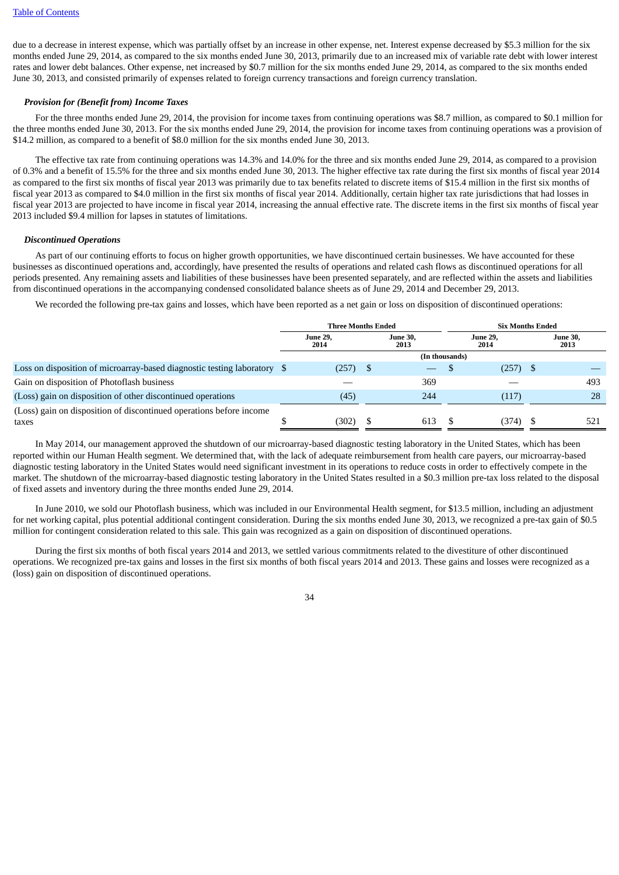due to a decrease in interest expense, which was partially offset by an increase in other expense, net. Interest expense decreased by \$5.3 million for the six months ended June 29, 2014, as compared to the six months ended June 30, 2013, primarily due to an increased mix of variable rate debt with lower interest rates and lower debt balances. Other expense, net increased by \$0.7 million for the six months ended June 29, 2014, as compared to the six months ended June 30, 2013, and consisted primarily of expenses related to foreign currency transactions and foreign currency translation.

### *Provision for (Benefit from) Income Taxes*

For the three months ended June 29, 2014, the provision for income taxes from continuing operations was \$8.7 million, as compared to \$0.1 million for the three months ended June 30, 2013. For the six months ended June 29, 2014, the provision for income taxes from continuing operations was a provision of \$14.2 million, as compared to a benefit of \$8.0 million for the six months ended June 30, 2013.

The effective tax rate from continuing operations was 14.3% and 14.0% for the three and six months ended June 29, 2014, as compared to a provision of 0.3% and a benefit of 15.5% for the three and six months ended June 30, 2013. The higher effective tax rate during the first six months of fiscal year 2014 as compared to the first six months of fiscal year 2013 was primarily due to tax benefits related to discrete items of \$15.4 million in the first six months of fiscal year 2013 as compared to \$4.0 million in the first six months of fiscal year 2014. Additionally, certain higher tax rate jurisdictions that had losses in fiscal year 2013 are projected to have income in fiscal year 2014, increasing the annual effective rate. The discrete items in the first six months of fiscal year 2013 included \$9.4 million for lapses in statutes of limitations.

#### *Discontinued Operations*

As part of our continuing efforts to focus on higher growth opportunities, we have discontinued certain businesses. We have accounted for these businesses as discontinued operations and, accordingly, have presented the results of operations and related cash flows as discontinued operations for all periods presented. Any remaining assets and liabilities of these businesses have been presented separately, and are reflected within the assets and liabilities from discontinued operations in the accompanying condensed consolidated balance sheets as of June 29, 2014 and December 29, 2013.

We recorded the following pre-tax gains and losses, which have been reported as a net gain or loss on disposition of discontinued operations:

|                                                                              | Three Months Ended      |       |                         |                | <b>Six Months Ended</b> |            |  |                         |
|------------------------------------------------------------------------------|-------------------------|-------|-------------------------|----------------|-------------------------|------------|--|-------------------------|
|                                                                              | <b>June 29,</b><br>2014 |       | <b>June 30,</b><br>2013 |                | <b>June 29,</b><br>2014 |            |  | <b>June 30,</b><br>2013 |
|                                                                              |                         |       |                         | (In thousands) |                         |            |  |                         |
| Loss on disposition of microarray-based diagnostic testing laboratory \$     |                         | (257) | - S                     |                |                         | $(257)$ \$ |  |                         |
| Gain on disposition of Photoflash business                                   |                         |       |                         | 369            |                         |            |  | 493                     |
| (Loss) gain on disposition of other discontinued operations                  |                         | (45)  |                         | 244            |                         | (117)      |  | 28                      |
| (Loss) gain on disposition of discontinued operations before income<br>taxes |                         | (302) |                         | 613            |                         | (374)      |  | 521                     |

In May 2014, our management approved the shutdown of our microarray-based diagnostic testing laboratory in the United States, which has been reported within our Human Health segment. We determined that, with the lack of adequate reimbursement from health care payers, our microarray-based diagnostic testing laboratory in the United States would need significant investment in its operations to reduce costs in order to effectively compete in the market. The shutdown of the microarray-based diagnostic testing laboratory in the United States resulted in a \$0.3 million pre-tax loss related to the disposal of fixed assets and inventory during the three months ended June 29, 2014.

In June 2010, we sold our Photoflash business, which was included in our Environmental Health segment, for \$13.5 million, including an adjustment for net working capital, plus potential additional contingent consideration. During the six months ended June 30, 2013, we recognized a pre-tax gain of \$0.5 million for contingent consideration related to this sale. This gain was recognized as a gain on disposition of discontinued operations.

During the first six months of both fiscal years 2014 and 2013, we settled various commitments related to the divestiture of other discontinued operations. We recognized pre-tax gains and losses in the first six months of both fiscal years 2014 and 2013. These gains and losses were recognized as a (loss) gain on disposition of discontinued operations.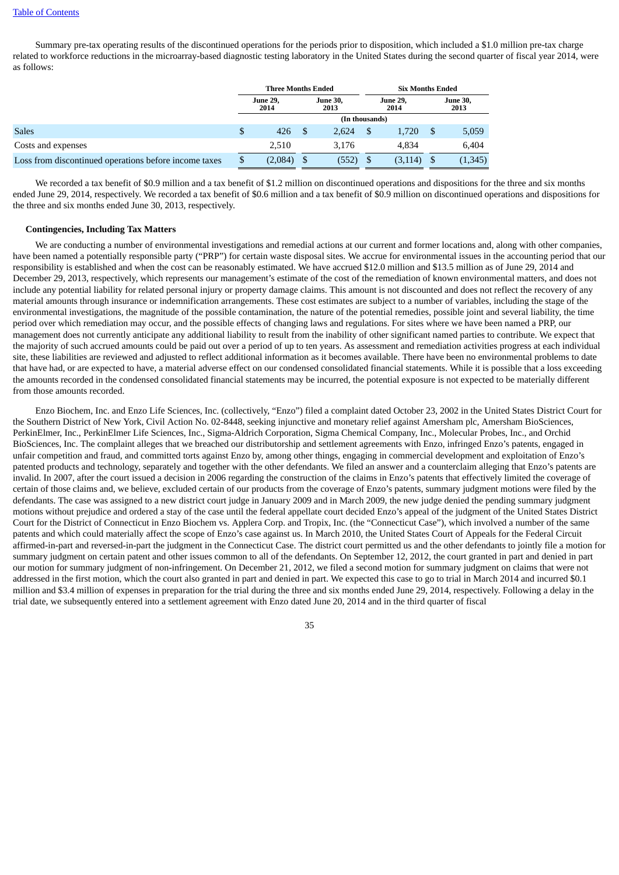Summary pre-tax operating results of the discontinued operations for the periods prior to disposition, which included a \$1.0 million pre-tax charge related to workforce reductions in the microarray-based diagnostic testing laboratory in the United States during the second quarter of fiscal year 2014, were as follows:

|                                                       | <b>Three Months Ended</b> |                         |       |                         | <b>Six Months Ended</b> |  |                         |  |
|-------------------------------------------------------|---------------------------|-------------------------|-------|-------------------------|-------------------------|--|-------------------------|--|
|                                                       | <b>June 29,</b><br>2014   | <b>June 30,</b><br>2013 |       | <b>June 29,</b><br>2014 |                         |  | <b>June 30,</b><br>2013 |  |
|                                                       |                           |                         |       |                         | (In thousands)          |  |                         |  |
| <b>Sales</b>                                          | \$<br>426                 |                         | 2.624 |                         | 1.720                   |  | 5,059                   |  |
| Costs and expenses                                    | 2.510                     |                         | 3.176 |                         | 4.834                   |  | 6.404                   |  |
| Loss from discontinued operations before income taxes | \$<br>(2,084)             |                         | (552) |                         | (3, 114)                |  | (1, 345)                |  |

We recorded a tax benefit of \$0.9 million and a tax benefit of \$1.2 million on discontinued operations and dispositions for the three and six months ended June 29, 2014, respectively. We recorded a tax benefit of \$0.6 million and a tax benefit of \$0.9 million on discontinued operations and dispositions for the three and six months ended June 30, 2013, respectively.

#### **Contingencies, Including Tax Matters**

We are conducting a number of environmental investigations and remedial actions at our current and former locations and, along with other companies, have been named a potentially responsible party ("PRP") for certain waste disposal sites. We accrue for environmental issues in the accounting period that our responsibility is established and when the cost can be reasonably estimated. We have accrued \$12.0 million and \$13.5 million as of June 29, 2014 and December 29, 2013, respectively, which represents our management's estimate of the cost of the remediation of known environmental matters, and does not include any potential liability for related personal injury or property damage claims. This amount is not discounted and does not reflect the recovery of any material amounts through insurance or indemnification arrangements. These cost estimates are subject to a number of variables, including the stage of the environmental investigations, the magnitude of the possible contamination, the nature of the potential remedies, possible joint and several liability, the time period over which remediation may occur, and the possible effects of changing laws and regulations. For sites where we have been named a PRP, our management does not currently anticipate any additional liability to result from the inability of other significant named parties to contribute. We expect that the majority of such accrued amounts could be paid out over a period of up to ten years. As assessment and remediation activities progress at each individual site, these liabilities are reviewed and adjusted to reflect additional information as it becomes available. There have been no environmental problems to date that have had, or are expected to have, a material adverse effect on our condensed consolidated financial statements. While it is possible that a loss exceeding the amounts recorded in the condensed consolidated financial statements may be incurred, the potential exposure is not expected to be materially different from those amounts recorded.

Enzo Biochem, Inc. and Enzo Life Sciences, Inc. (collectively, "Enzo") filed a complaint dated October 23, 2002 in the United States District Court for the Southern District of New York, Civil Action No. 02-8448, seeking injunctive and monetary relief against Amersham plc, Amersham BioSciences, PerkinElmer, Inc., PerkinElmer Life Sciences, Inc., Sigma-Aldrich Corporation, Sigma Chemical Company, Inc., Molecular Probes, Inc., and Orchid BioSciences, Inc. The complaint alleges that we breached our distributorship and settlement agreements with Enzo, infringed Enzo's patents, engaged in unfair competition and fraud, and committed torts against Enzo by, among other things, engaging in commercial development and exploitation of Enzo's patented products and technology, separately and together with the other defendants. We filed an answer and a counterclaim alleging that Enzo's patents are invalid. In 2007, after the court issued a decision in 2006 regarding the construction of the claims in Enzo's patents that effectively limited the coverage of certain of those claims and, we believe, excluded certain of our products from the coverage of Enzo's patents, summary judgment motions were filed by the defendants. The case was assigned to a new district court judge in January 2009 and in March 2009, the new judge denied the pending summary judgment motions without prejudice and ordered a stay of the case until the federal appellate court decided Enzo's appeal of the judgment of the United States District Court for the District of Connecticut in Enzo Biochem vs. Applera Corp. and Tropix, Inc. (the "Connecticut Case"), which involved a number of the same patents and which could materially affect the scope of Enzo's case against us. In March 2010, the United States Court of Appeals for the Federal Circuit affirmed-in-part and reversed-in-part the judgment in the Connecticut Case. The district court permitted us and the other defendants to jointly file a motion for summary judgment on certain patent and other issues common to all of the defendants. On September 12, 2012, the court granted in part and denied in part our motion for summary judgment of non-infringement. On December 21, 2012, we filed a second motion for summary judgment on claims that were not addressed in the first motion, which the court also granted in part and denied in part. We expected this case to go to trial in March 2014 and incurred \$0.1 million and \$3.4 million of expenses in preparation for the trial during the three and six months ended June 29, 2014, respectively. Following a delay in the trial date, we subsequently entered into a settlement agreement with Enzo dated June 20, 2014 and in the third quarter of fiscal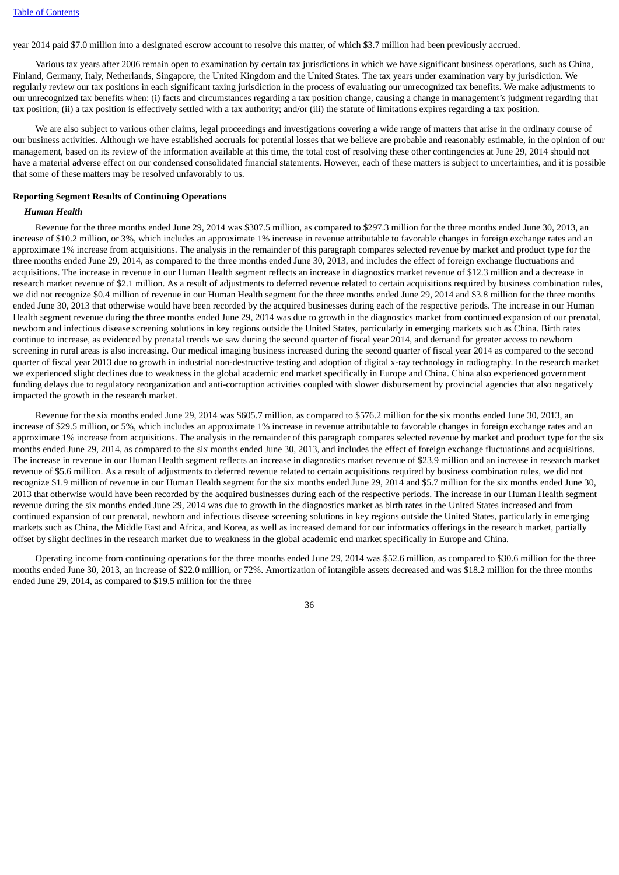year 2014 paid \$7.0 million into a designated escrow account to resolve this matter, of which \$3.7 million had been previously accrued.

Various tax years after 2006 remain open to examination by certain tax jurisdictions in which we have significant business operations, such as China, Finland, Germany, Italy, Netherlands, Singapore, the United Kingdom and the United States. The tax years under examination vary by jurisdiction. We regularly review our tax positions in each significant taxing jurisdiction in the process of evaluating our unrecognized tax benefits. We make adjustments to our unrecognized tax benefits when: (i) facts and circumstances regarding a tax position change, causing a change in management's judgment regarding that tax position; (ii) a tax position is effectively settled with a tax authority; and/or (iii) the statute of limitations expires regarding a tax position.

We are also subject to various other claims, legal proceedings and investigations covering a wide range of matters that arise in the ordinary course of our business activities. Although we have established accruals for potential losses that we believe are probable and reasonably estimable, in the opinion of our management, based on its review of the information available at this time, the total cost of resolving these other contingencies at June 29, 2014 should not have a material adverse effect on our condensed consolidated financial statements. However, each of these matters is subject to uncertainties, and it is possible that some of these matters may be resolved unfavorably to us.

#### <span id="page-35-0"></span>**Reporting Segment Results of Continuing Operations**

#### *Human Health*

Revenue for the three months ended June 29, 2014 was \$307.5 million, as compared to \$297.3 million for the three months ended June 30, 2013, an increase of \$10.2 million, or 3%, which includes an approximate 1% increase in revenue attributable to favorable changes in foreign exchange rates and an approximate 1% increase from acquisitions. The analysis in the remainder of this paragraph compares selected revenue by market and product type for the three months ended June 29, 2014, as compared to the three months ended June 30, 2013, and includes the effect of foreign exchange fluctuations and acquisitions. The increase in revenue in our Human Health segment reflects an increase in diagnostics market revenue of \$12.3 million and a decrease in research market revenue of \$2.1 million. As a result of adjustments to deferred revenue related to certain acquisitions required by business combination rules, we did not recognize \$0.4 million of revenue in our Human Health segment for the three months ended June 29, 2014 and \$3.8 million for the three months ended June 30, 2013 that otherwise would have been recorded by the acquired businesses during each of the respective periods. The increase in our Human Health segment revenue during the three months ended June 29, 2014 was due to growth in the diagnostics market from continued expansion of our prenatal, newborn and infectious disease screening solutions in key regions outside the United States, particularly in emerging markets such as China. Birth rates continue to increase, as evidenced by prenatal trends we saw during the second quarter of fiscal year 2014, and demand for greater access to newborn screening in rural areas is also increasing. Our medical imaging business increased during the second quarter of fiscal year 2014 as compared to the second quarter of fiscal year 2013 due to growth in industrial non-destructive testing and adoption of digital x-ray technology in radiography. In the research market we experienced slight declines due to weakness in the global academic end market specifically in Europe and China. China also experienced government funding delays due to regulatory reorganization and anti-corruption activities coupled with slower disbursement by provincial agencies that also negatively impacted the growth in the research market.

Revenue for the six months ended June 29, 2014 was \$605.7 million, as compared to \$576.2 million for the six months ended June 30, 2013, an increase of \$29.5 million, or 5%, which includes an approximate 1% increase in revenue attributable to favorable changes in foreign exchange rates and an approximate 1% increase from acquisitions. The analysis in the remainder of this paragraph compares selected revenue by market and product type for the six months ended June 29, 2014, as compared to the six months ended June 30, 2013, and includes the effect of foreign exchange fluctuations and acquisitions. The increase in revenue in our Human Health segment reflects an increase in diagnostics market revenue of \$23.9 million and an increase in research market revenue of \$5.6 million. As a result of adjustments to deferred revenue related to certain acquisitions required by business combination rules, we did not recognize \$1.9 million of revenue in our Human Health segment for the six months ended June 29, 2014 and \$5.7 million for the six months ended June 30, 2013 that otherwise would have been recorded by the acquired businesses during each of the respective periods. The increase in our Human Health segment revenue during the six months ended June 29, 2014 was due to growth in the diagnostics market as birth rates in the United States increased and from continued expansion of our prenatal, newborn and infectious disease screening solutions in key regions outside the United States, particularly in emerging markets such as China, the Middle East and Africa, and Korea, as well as increased demand for our informatics offerings in the research market, partially offset by slight declines in the research market due to weakness in the global academic end market specifically in Europe and China.

Operating income from continuing operations for the three months ended June 29, 2014 was \$52.6 million, as compared to \$30.6 million for the three months ended June 30, 2013, an increase of \$22.0 million, or 72%. Amortization of intangible assets decreased and was \$18.2 million for the three months ended June 29, 2014, as compared to \$19.5 million for the three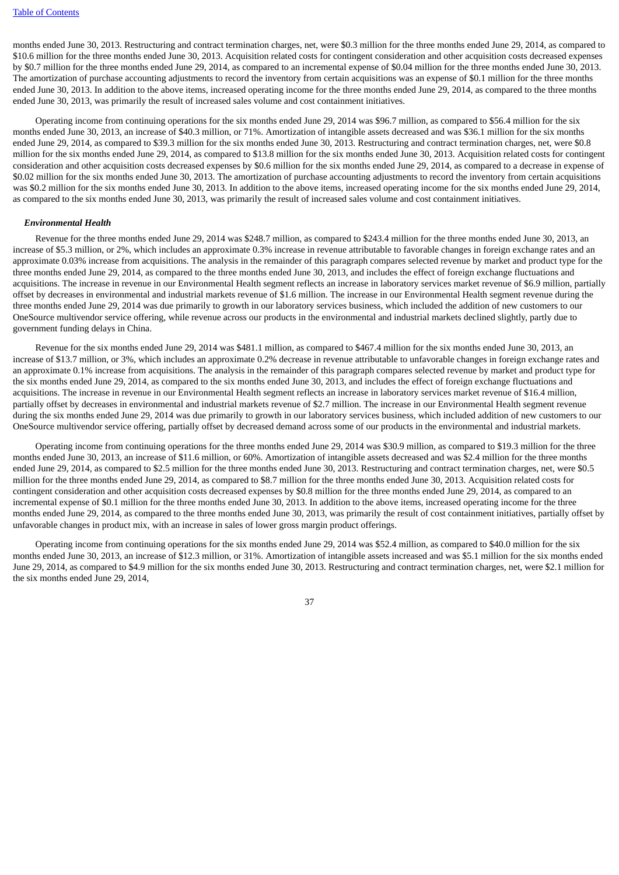months ended June 30, 2013. Restructuring and contract termination charges, net, were \$0.3 million for the three months ended June 29, 2014, as compared to \$10.6 million for the three months ended June 30, 2013. Acquisition related costs for contingent consideration and other acquisition costs decreased expenses by \$0.7 million for the three months ended June 29, 2014, as compared to an incremental expense of \$0.04 million for the three months ended June 30, 2013. The amortization of purchase accounting adjustments to record the inventory from certain acquisitions was an expense of \$0.1 million for the three months ended June 30, 2013. In addition to the above items, increased operating income for the three months ended June 29, 2014, as compared to the three months ended June 30, 2013, was primarily the result of increased sales volume and cost containment initiatives.

Operating income from continuing operations for the six months ended June 29, 2014 was \$96.7 million, as compared to \$56.4 million for the six months ended June 30, 2013, an increase of \$40.3 million, or 71%. Amortization of intangible assets decreased and was \$36.1 million for the six months ended June 29, 2014, as compared to \$39.3 million for the six months ended June 30, 2013. Restructuring and contract termination charges, net, were \$0.8 million for the six months ended June 29, 2014, as compared to \$13.8 million for the six months ended June 30, 2013. Acquisition related costs for contingent consideration and other acquisition costs decreased expenses by \$0.6 million for the six months ended June 29, 2014, as compared to a decrease in expense of \$0.02 million for the six months ended June 30, 2013. The amortization of purchase accounting adjustments to record the inventory from certain acquisitions was \$0.2 million for the six months ended June 30, 2013. In addition to the above items, increased operating income for the six months ended June 29, 2014, as compared to the six months ended June 30, 2013, was primarily the result of increased sales volume and cost containment initiatives.

#### *Environmental Health*

Revenue for the three months ended June 29, 2014 was \$248.7 million, as compared to \$243.4 million for the three months ended June 30, 2013, an increase of \$5.3 million, or 2%, which includes an approximate 0.3% increase in revenue attributable to favorable changes in foreign exchange rates and an approximate 0.03% increase from acquisitions. The analysis in the remainder of this paragraph compares selected revenue by market and product type for the three months ended June 29, 2014, as compared to the three months ended June 30, 2013, and includes the effect of foreign exchange fluctuations and acquisitions. The increase in revenue in our Environmental Health segment reflects an increase in laboratory services market revenue of \$6.9 million, partially offset by decreases in environmental and industrial markets revenue of \$1.6 million. The increase in our Environmental Health segment revenue during the three months ended June 29, 2014 was due primarily to growth in our laboratory services business, which included the addition of new customers to our OneSource multivendor service offering, while revenue across our products in the environmental and industrial markets declined slightly, partly due to government funding delays in China.

Revenue for the six months ended June 29, 2014 was \$481.1 million, as compared to \$467.4 million for the six months ended June 30, 2013, an increase of \$13.7 million, or 3%, which includes an approximate 0.2% decrease in revenue attributable to unfavorable changes in foreign exchange rates and an approximate 0.1% increase from acquisitions. The analysis in the remainder of this paragraph compares selected revenue by market and product type for the six months ended June 29, 2014, as compared to the six months ended June 30, 2013, and includes the effect of foreign exchange fluctuations and acquisitions. The increase in revenue in our Environmental Health segment reflects an increase in laboratory services market revenue of \$16.4 million, partially offset by decreases in environmental and industrial markets revenue of \$2.7 million. The increase in our Environmental Health segment revenue during the six months ended June 29, 2014 was due primarily to growth in our laboratory services business, which included addition of new customers to our OneSource multivendor service offering, partially offset by decreased demand across some of our products in the environmental and industrial markets.

Operating income from continuing operations for the three months ended June 29, 2014 was \$30.9 million, as compared to \$19.3 million for the three months ended June 30, 2013, an increase of \$11.6 million, or 60%. Amortization of intangible assets decreased and was \$2.4 million for the three months ended June 29, 2014, as compared to \$2.5 million for the three months ended June 30, 2013. Restructuring and contract termination charges, net, were \$0.5 million for the three months ended June 29, 2014, as compared to \$8.7 million for the three months ended June 30, 2013. Acquisition related costs for contingent consideration and other acquisition costs decreased expenses by \$0.8 million for the three months ended June 29, 2014, as compared to an incremental expense of \$0.1 million for the three months ended June 30, 2013. In addition to the above items, increased operating income for the three months ended June 29, 2014, as compared to the three months ended June 30, 2013, was primarily the result of cost containment initiatives, partially offset by unfavorable changes in product mix, with an increase in sales of lower gross margin product offerings.

Operating income from continuing operations for the six months ended June 29, 2014 was \$52.4 million, as compared to \$40.0 million for the six months ended June 30, 2013, an increase of \$12.3 million, or 31%. Amortization of intangible assets increased and was \$5.1 million for the six months ended June 29, 2014, as compared to \$4.9 million for the six months ended June 30, 2013. Restructuring and contract termination charges, net, were \$2.1 million for the six months ended June 29, 2014,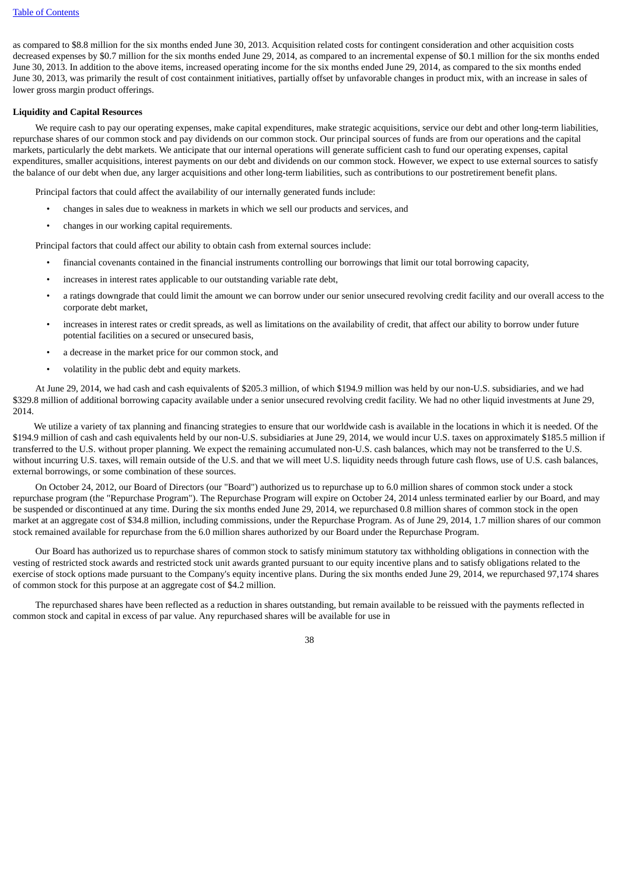as compared to \$8.8 million for the six months ended June 30, 2013. Acquisition related costs for contingent consideration and other acquisition costs decreased expenses by \$0.7 million for the six months ended June 29, 2014, as compared to an incremental expense of \$0.1 million for the six months ended June 30, 2013. In addition to the above items, increased operating income for the six months ended June 29, 2014, as compared to the six months ended June 30, 2013, was primarily the result of cost containment initiatives, partially offset by unfavorable changes in product mix, with an increase in sales of lower gross margin product offerings.

# <span id="page-37-0"></span>**Liquidity and Capital Resources**

We require cash to pay our operating expenses, make capital expenditures, make strategic acquisitions, service our debt and other long-term liabilities, repurchase shares of our common stock and pay dividends on our common stock. Our principal sources of funds are from our operations and the capital markets, particularly the debt markets. We anticipate that our internal operations will generate sufficient cash to fund our operating expenses, capital expenditures, smaller acquisitions, interest payments on our debt and dividends on our common stock. However, we expect to use external sources to satisfy the balance of our debt when due, any larger acquisitions and other long-term liabilities, such as contributions to our postretirement benefit plans.

Principal factors that could affect the availability of our internally generated funds include:

- changes in sales due to weakness in markets in which we sell our products and services, and
- changes in our working capital requirements.

Principal factors that could affect our ability to obtain cash from external sources include:

- financial covenants contained in the financial instruments controlling our borrowings that limit our total borrowing capacity,
- increases in interest rates applicable to our outstanding variable rate debt,
- a ratings downgrade that could limit the amount we can borrow under our senior unsecured revolving credit facility and our overall access to the corporate debt market,
- increases in interest rates or credit spreads, as well as limitations on the availability of credit, that affect our ability to borrow under future potential facilities on a secured or unsecured basis,
- a decrease in the market price for our common stock, and
- volatility in the public debt and equity markets.

At June 29, 2014, we had cash and cash equivalents of \$205.3 million, of which \$194.9 million was held by our non-U.S. subsidiaries, and we had \$329.8 million of additional borrowing capacity available under a senior unsecured revolving credit facility. We had no other liquid investments at June 29, 2014.

We utilize a variety of tax planning and financing strategies to ensure that our worldwide cash is available in the locations in which it is needed. Of the \$194.9 million of cash and cash equivalents held by our non-U.S. subsidiaries at June 29, 2014, we would incur U.S. taxes on approximately \$185.5 million if transferred to the U.S. without proper planning. We expect the remaining accumulated non-U.S. cash balances, which may not be transferred to the U.S. without incurring U.S. taxes, will remain outside of the U.S. and that we will meet U.S. liquidity needs through future cash flows, use of U.S. cash balances, external borrowings, or some combination of these sources.

On October 24, 2012, our Board of Directors (our "Board") authorized us to repurchase up to 6.0 million shares of common stock under a stock repurchase program (the "Repurchase Program"). The Repurchase Program will expire on October 24, 2014 unless terminated earlier by our Board, and may be suspended or discontinued at any time. During the six months ended June 29, 2014, we repurchased 0.8 million shares of common stock in the open market at an aggregate cost of \$34.8 million, including commissions, under the Repurchase Program. As of June 29, 2014, 1.7 million shares of our common stock remained available for repurchase from the 6.0 million shares authorized by our Board under the Repurchase Program.

Our Board has authorized us to repurchase shares of common stock to satisfy minimum statutory tax withholding obligations in connection with the vesting of restricted stock awards and restricted stock unit awards granted pursuant to our equity incentive plans and to satisfy obligations related to the exercise of stock options made pursuant to the Company's equity incentive plans. During the six months ended June 29, 2014, we repurchased 97,174 shares of common stock for this purpose at an aggregate cost of \$4.2 million.

The repurchased shares have been reflected as a reduction in shares outstanding, but remain available to be reissued with the payments reflected in common stock and capital in excess of par value. Any repurchased shares will be available for use in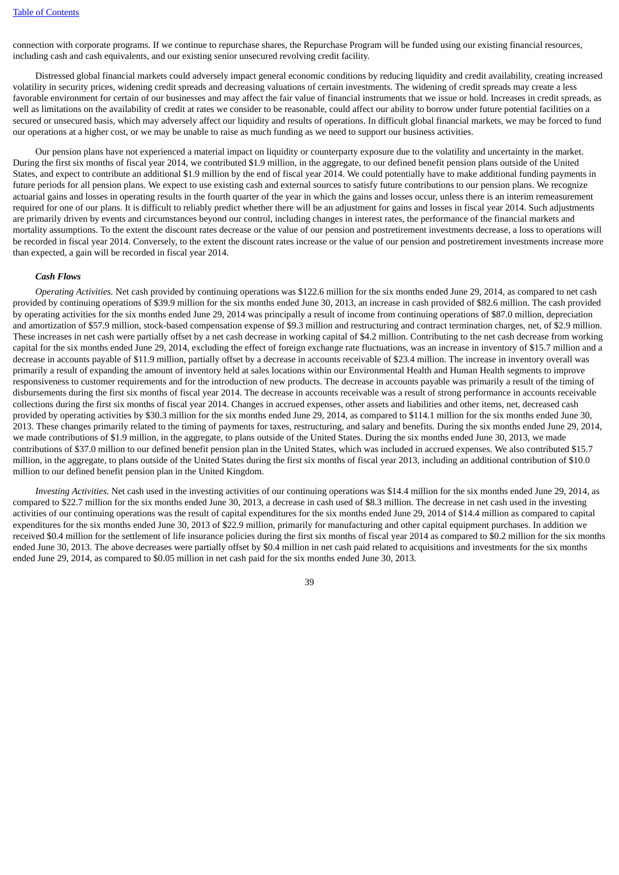connection with corporate programs. If we continue to repurchase shares, the Repurchase Program will be funded using our existing financial resources, including cash and cash equivalents, and our existing senior unsecured revolving credit facility.

Distressed global financial markets could adversely impact general economic conditions by reducing liquidity and credit availability, creating increased volatility in security prices, widening credit spreads and decreasing valuations of certain investments. The widening of credit spreads may create a less favorable environment for certain of our businesses and may affect the fair value of financial instruments that we issue or hold. Increases in credit spreads, as well as limitations on the availability of credit at rates we consider to be reasonable, could affect our ability to borrow under future potential facilities on a secured or unsecured basis, which may adversely affect our liquidity and results of operations. In difficult global financial markets, we may be forced to fund our operations at a higher cost, or we may be unable to raise as much funding as we need to support our business activities.

Our pension plans have not experienced a material impact on liquidity or counterparty exposure due to the volatility and uncertainty in the market. During the first six months of fiscal year 2014, we contributed \$1.9 million, in the aggregate, to our defined benefit pension plans outside of the United States, and expect to contribute an additional \$1.9 million by the end of fiscal year 2014. We could potentially have to make additional funding payments in future periods for all pension plans. We expect to use existing cash and external sources to satisfy future contributions to our pension plans. We recognize actuarial gains and losses in operating results in the fourth quarter of the year in which the gains and losses occur, unless there is an interim remeasurement required for one of our plans. It is difficult to reliably predict whether there will be an adjustment for gains and losses in fiscal year 2014. Such adjustments are primarily driven by events and circumstances beyond our control, including changes in interest rates, the performance of the financial markets and mortality assumptions. To the extent the discount rates decrease or the value of our pension and postretirement investments decrease, a loss to operations will be recorded in fiscal year 2014. Conversely, to the extent the discount rates increase or the value of our pension and postretirement investments increase more than expected, a gain will be recorded in fiscal year 2014.

#### *Cash Flows*

*Operating Activities.* Net cash provided by continuing operations was \$122.6 million for the six months ended June 29, 2014, as compared to net cash provided by continuing operations of \$39.9 million for the six months ended June 30, 2013, an increase in cash provided of \$82.6 million. The cash provided by operating activities for the six months ended June 29, 2014 was principally a result of income from continuing operations of \$87.0 million, depreciation and amortization of \$57.9 million, stock-based compensation expense of \$9.3 million and restructuring and contract termination charges, net, of \$2.9 million. These increases in net cash were partially offset by a net cash decrease in working capital of \$4.2 million. Contributing to the net cash decrease from working capital for the six months ended June 29, 2014, excluding the effect of foreign exchange rate fluctuations, was an increase in inventory of \$15.7 million and a decrease in accounts payable of \$11.9 million, partially offset by a decrease in accounts receivable of \$23.4 million. The increase in inventory overall was primarily a result of expanding the amount of inventory held at sales locations within our Environmental Health and Human Health segments to improve responsiveness to customer requirements and for the introduction of new products. The decrease in accounts payable was primarily a result of the timing of disbursements during the first six months of fiscal year 2014. The decrease in accounts receivable was a result of strong performance in accounts receivable collections during the first six months of fiscal year 2014. Changes in accrued expenses, other assets and liabilities and other items, net, decreased cash provided by operating activities by \$30.3 million for the six months ended June 29, 2014, as compared to \$114.1 million for the six months ended June 30, 2013. These changes primarily related to the timing of payments for taxes, restructuring, and salary and benefits. During the six months ended June 29, 2014, we made contributions of \$1.9 million, in the aggregate, to plans outside of the United States. During the six months ended June 30, 2013, we made contributions of \$37.0 million to our defined benefit pension plan in the United States, which was included in accrued expenses. We also contributed \$15.7 million, in the aggregate, to plans outside of the United States during the first six months of fiscal year 2013, including an additional contribution of \$10.0 million to our defined benefit pension plan in the United Kingdom.

*Investing Activities.* Net cash used in the investing activities of our continuing operations was \$14.4 million for the six months ended June 29, 2014, as compared to \$22.7 million for the six months ended June 30, 2013, a decrease in cash used of \$8.3 million. The decrease in net cash used in the investing activities of our continuing operations was the result of capital expenditures for the six months ended June 29, 2014 of \$14.4 million as compared to capital expenditures for the six months ended June 30, 2013 of \$22.9 million, primarily for manufacturing and other capital equipment purchases. In addition we received \$0.4 million for the settlement of life insurance policies during the first six months of fiscal year 2014 as compared to \$0.2 million for the six months ended June 30, 2013. The above decreases were partially offset by \$0.4 million in net cash paid related to acquisitions and investments for the six months ended June 29, 2014, as compared to \$0.05 million in net cash paid for the six months ended June 30, 2013.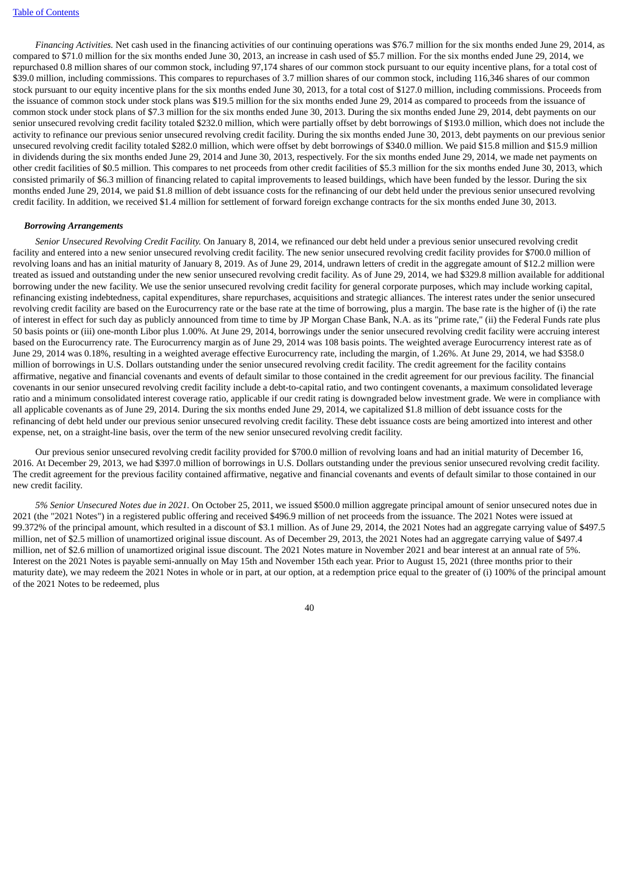*Financing Activities.* Net cash used in the financing activities of our continuing operations was \$76.7 million for the six months ended June 29, 2014, as compared to \$71.0 million for the six months ended June 30, 2013, an increase in cash used of \$5.7 million. For the six months ended June 29, 2014, we repurchased 0.8 million shares of our common stock, including 97,174 shares of our common stock pursuant to our equity incentive plans, for a total cost of \$39.0 million, including commissions. This compares to repurchases of 3.7 million shares of our common stock, including 116,346 shares of our common stock pursuant to our equity incentive plans for the six months ended June 30, 2013, for a total cost of \$127.0 million, including commissions. Proceeds from the issuance of common stock under stock plans was \$19.5 million for the six months ended June 29, 2014 as compared to proceeds from the issuance of common stock under stock plans of \$7.3 million for the six months ended June 30, 2013. During the six months ended June 29, 2014, debt payments on our senior unsecured revolving credit facility totaled \$232.0 million, which were partially offset by debt borrowings of \$193.0 million, which does not include the activity to refinance our previous senior unsecured revolving credit facility. During the six months ended June 30, 2013, debt payments on our previous senior unsecured revolving credit facility totaled \$282.0 million, which were offset by debt borrowings of \$340.0 million. We paid \$15.8 million and \$15.9 million in dividends during the six months ended June 29, 2014 and June 30, 2013, respectively. For the six months ended June 29, 2014, we made net payments on other credit facilities of \$0.5 million. This compares to net proceeds from other credit facilities of \$5.3 million for the six months ended June 30, 2013, which consisted primarily of \$6.3 million of financing related to capital improvements to leased buildings, which have been funded by the lessor. During the six months ended June 29, 2014, we paid \$1.8 million of debt issuance costs for the refinancing of our debt held under the previous senior unsecured revolving credit facility. In addition, we received \$1.4 million for settlement of forward foreign exchange contracts for the six months ended June 30, 2013.

#### *Borrowing Arrangements*

*Senior Unsecured Revolving Credit Facility.* On January 8, 2014, we refinanced our debt held under a previous senior unsecured revolving credit facility and entered into a new senior unsecured revolving credit facility. The new senior unsecured revolving credit facility provides for \$700.0 million of revolving loans and has an initial maturity of January 8, 2019. As of June 29, 2014, undrawn letters of credit in the aggregate amount of \$12.2 million were treated as issued and outstanding under the new senior unsecured revolving credit facility. As of June 29, 2014, we had \$329.8 million available for additional borrowing under the new facility. We use the senior unsecured revolving credit facility for general corporate purposes, which may include working capital, refinancing existing indebtedness, capital expenditures, share repurchases, acquisitions and strategic alliances. The interest rates under the senior unsecured revolving credit facility are based on the Eurocurrency rate or the base rate at the time of borrowing, plus a margin. The base rate is the higher of (i) the rate of interest in effect for such day as publicly announced from time to time by JP Morgan Chase Bank, N.A. as its "prime rate," (ii) the Federal Funds rate plus 50 basis points or (iii) one-month Libor plus 1.00%. At June 29, 2014, borrowings under the senior unsecured revolving credit facility were accruing interest based on the Eurocurrency rate. The Eurocurrency margin as of June 29, 2014 was 108 basis points. The weighted average Eurocurrency interest rate as of June 29, 2014 was 0.18%, resulting in a weighted average effective Eurocurrency rate, including the margin, of 1.26%. At June 29, 2014, we had \$358.0 million of borrowings in U.S. Dollars outstanding under the senior unsecured revolving credit facility. The credit agreement for the facility contains affirmative, negative and financial covenants and events of default similar to those contained in the credit agreement for our previous facility. The financial covenants in our senior unsecured revolving credit facility include a debt-to-capital ratio, and two contingent covenants, a maximum consolidated leverage ratio and a minimum consolidated interest coverage ratio, applicable if our credit rating is downgraded below investment grade. We were in compliance with all applicable covenants as of June 29, 2014. During the six months ended June 29, 2014, we capitalized \$1.8 million of debt issuance costs for the refinancing of debt held under our previous senior unsecured revolving credit facility. These debt issuance costs are being amortized into interest and other expense, net, on a straight-line basis, over the term of the new senior unsecured revolving credit facility.

Our previous senior unsecured revolving credit facility provided for \$700.0 million of revolving loans and had an initial maturity of December 16, 2016. At December 29, 2013, we had \$397.0 million of borrowings in U.S. Dollars outstanding under the previous senior unsecured revolving credit facility. The credit agreement for the previous facility contained affirmative, negative and financial covenants and events of default similar to those contained in our new credit facility.

*5% Senior Unsecured Notes due in 2021.* On October 25, 2011, we issued \$500.0 million aggregate principal amount of senior unsecured notes due in 2021 (the "2021 Notes") in a registered public offering and received \$496.9 million of net proceeds from the issuance. The 2021 Notes were issued at 99.372% of the principal amount, which resulted in a discount of \$3.1 million. As of June 29, 2014, the 2021 Notes had an aggregate carrying value of \$497.5 million, net of \$2.5 million of unamortized original issue discount. As of December 29, 2013, the 2021 Notes had an aggregate carrying value of \$497.4 million, net of \$2.6 million of unamortized original issue discount. The 2021 Notes mature in November 2021 and bear interest at an annual rate of 5%. Interest on the 2021 Notes is payable semi-annually on May 15th and November 15th each year. Prior to August 15, 2021 (three months prior to their maturity date), we may redeem the 2021 Notes in whole or in part, at our option, at a redemption price equal to the greater of (i) 100% of the principal amount of the 2021 Notes to be redeemed, plus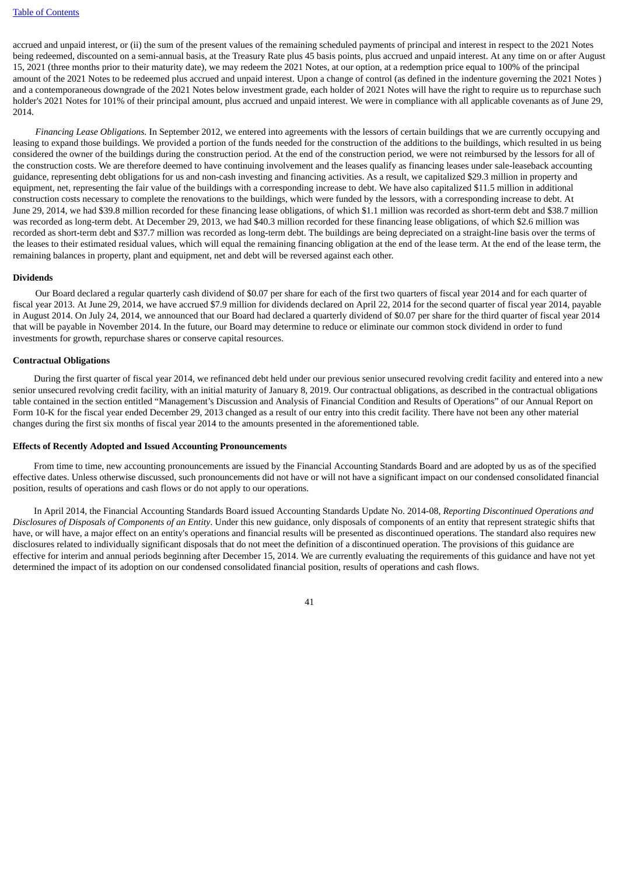accrued and unpaid interest, or (ii) the sum of the present values of the remaining scheduled payments of principal and interest in respect to the 2021 Notes being redeemed, discounted on a semi-annual basis, at the Treasury Rate plus 45 basis points, plus accrued and unpaid interest. At any time on or after August 15, 2021 (three months prior to their maturity date), we may redeem the 2021 Notes, at our option, at a redemption price equal to 100% of the principal amount of the 2021 Notes to be redeemed plus accrued and unpaid interest. Upon a change of control (as defined in the indenture governing the 2021 Notes ) and a contemporaneous downgrade of the 2021 Notes below investment grade, each holder of 2021 Notes will have the right to require us to repurchase such holder's 2021 Notes for 101% of their principal amount, plus accrued and unpaid interest. We were in compliance with all applicable covenants as of June 29, 2014.

*Financing Lease Obligations.* In September 2012, we entered into agreements with the lessors of certain buildings that we are currently occupying and leasing to expand those buildings. We provided a portion of the funds needed for the construction of the additions to the buildings, which resulted in us being considered the owner of the buildings during the construction period. At the end of the construction period, we were not reimbursed by the lessors for all of the construction costs. We are therefore deemed to have continuing involvement and the leases qualify as financing leases under sale-leaseback accounting guidance, representing debt obligations for us and non-cash investing and financing activities. As a result, we capitalized \$29.3 million in property and equipment, net, representing the fair value of the buildings with a corresponding increase to debt. We have also capitalized \$11.5 million in additional construction costs necessary to complete the renovations to the buildings, which were funded by the lessors, with a corresponding increase to debt. At June 29, 2014, we had \$39.8 million recorded for these financing lease obligations, of which \$1.1 million was recorded as short-term debt and \$38.7 million was recorded as long-term debt. At December 29, 2013, we had \$40.3 million recorded for these financing lease obligations, of which \$2.6 million was recorded as short-term debt and \$37.7 million was recorded as long-term debt. The buildings are being depreciated on a straight-line basis over the terms of the leases to their estimated residual values, which will equal the remaining financing obligation at the end of the lease term. At the end of the lease term, the remaining balances in property, plant and equipment, net and debt will be reversed against each other.

#### <span id="page-40-0"></span>**Dividends**

Our Board declared a regular quarterly cash dividend of \$0.07 per share for each of the first two quarters of fiscal year 2014 and for each quarter of fiscal year 2013. At June 29, 2014, we have accrued \$7.9 million for dividends declared on April 22, 2014 for the second quarter of fiscal year 2014, payable in August 2014. On July 24, 2014, we announced that our Board had declared a quarterly dividend of \$0.07 per share for the third quarter of fiscal year 2014 that will be payable in November 2014. In the future, our Board may determine to reduce or eliminate our common stock dividend in order to fund investments for growth, repurchase shares or conserve capital resources.

#### <span id="page-40-1"></span>**Contractual Obligations**

During the first quarter of fiscal year 2014, we refinanced debt held under our previous senior unsecured revolving credit facility and entered into a new senior unsecured revolving credit facility, with an initial maturity of January 8, 2019. Our contractual obligations, as described in the contractual obligations table contained in the section entitled "Management's Discussion and Analysis of Financial Condition and Results of Operations" of our Annual Report on Form 10-K for the fiscal year ended December 29, 2013 changed as a result of our entry into this credit facility. There have not been any other material changes during the first six months of fiscal year 2014 to the amounts presented in the aforementioned table.

#### <span id="page-40-2"></span>**Effects of Recently Adopted and Issued Accounting Pronouncements**

From time to time, new accounting pronouncements are issued by the Financial Accounting Standards Board and are adopted by us as of the specified effective dates. Unless otherwise discussed, such pronouncements did not have or will not have a significant impact on our condensed consolidated financial position, results of operations and cash flows or do not apply to our operations.

In April 2014, the Financial Accounting Standards Board issued Accounting Standards Update No. 2014-08, *Reporting Discontinued Operations and Disclosures of Disposals of Components of an Entity*. Under this new guidance, only disposals of components of an entity that represent strategic shifts that have, or will have, a major effect on an entity's operations and financial results will be presented as discontinued operations. The standard also requires new disclosures related to individually significant disposals that do not meet the definition of a discontinued operation. The provisions of this guidance are effective for interim and annual periods beginning after December 15, 2014. We are currently evaluating the requirements of this guidance and have not yet determined the impact of its adoption on our condensed consolidated financial position, results of operations and cash flows.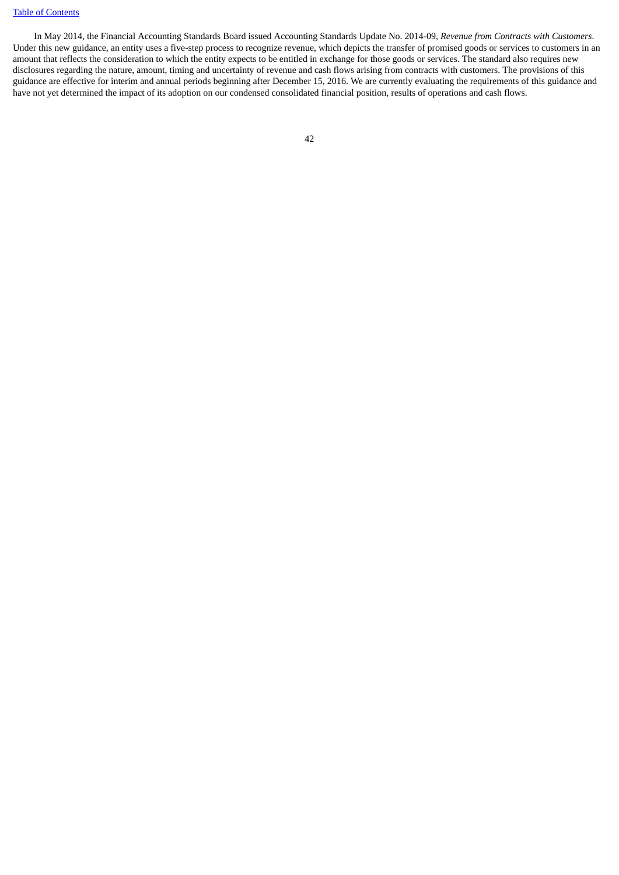#### Table of [Contents](#page-0-0)

<span id="page-41-0"></span>In May 2014, the Financial Accounting Standards Board issued Accounting Standards Update No. 2014-09, *Revenue from Contracts with Customers*. Under this new guidance, an entity uses a five-step process to recognize revenue, which depicts the transfer of promised goods or services to customers in an amount that reflects the consideration to which the entity expects to be entitled in exchange for those goods or services. The standard also requires new disclosures regarding the nature, amount, timing and uncertainty of revenue and cash flows arising from contracts with customers. The provisions of this guidance are effective for interim and annual periods beginning after December 15, 2016. We are currently evaluating the requirements of this guidance and have not yet determined the impact of its adoption on our condensed consolidated financial position, results of operations and cash flows.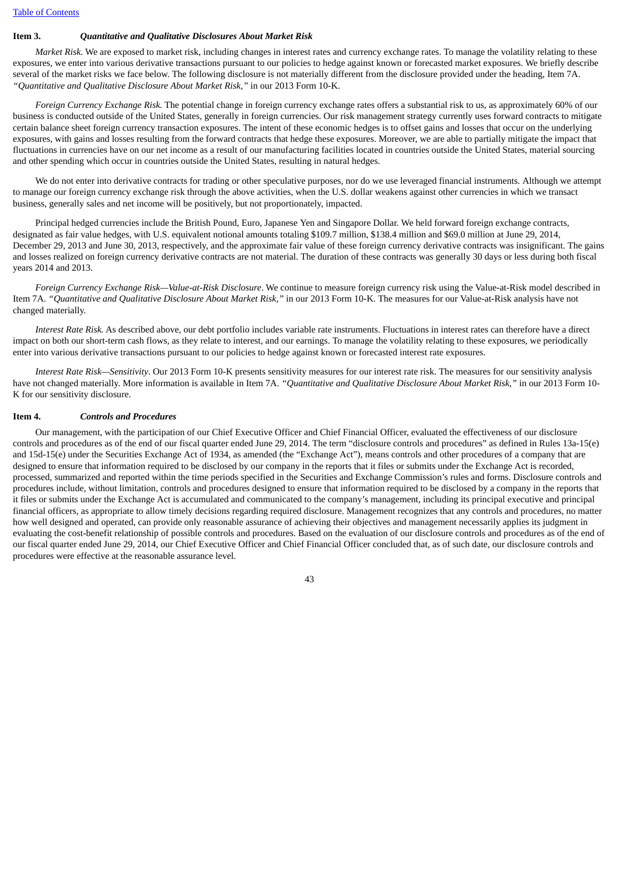# **Item 3.** *Quantitative and Qualitative Disclosures About Market Risk*

*Market Risk.* We are exposed to market risk, including changes in interest rates and currency exchange rates. To manage the volatility relating to these exposures, we enter into various derivative transactions pursuant to our policies to hedge against known or forecasted market exposures. We briefly describe several of the market risks we face below. The following disclosure is not materially different from the disclosure provided under the heading, Item 7A. *"Quantitative and Qualitative Disclosure About Market Risk,"* in our 2013 Form 10-K.

*Foreign Currency Exchange Risk.* The potential change in foreign currency exchange rates offers a substantial risk to us, as approximately 60% of our business is conducted outside of the United States, generally in foreign currencies. Our risk management strategy currently uses forward contracts to mitigate certain balance sheet foreign currency transaction exposures. The intent of these economic hedges is to offset gains and losses that occur on the underlying exposures, with gains and losses resulting from the forward contracts that hedge these exposures. Moreover, we are able to partially mitigate the impact that fluctuations in currencies have on our net income as a result of our manufacturing facilities located in countries outside the United States, material sourcing and other spending which occur in countries outside the United States, resulting in natural hedges.

We do not enter into derivative contracts for trading or other speculative purposes, nor do we use leveraged financial instruments. Although we attempt to manage our foreign currency exchange risk through the above activities, when the U.S. dollar weakens against other currencies in which we transact business, generally sales and net income will be positively, but not proportionately, impacted.

Principal hedged currencies include the British Pound, Euro, Japanese Yen and Singapore Dollar. We held forward foreign exchange contracts, designated as fair value hedges, with U.S. equivalent notional amounts totaling \$109.7 million, \$138.4 million and \$69.0 million at June 29, 2014, December 29, 2013 and June 30, 2013, respectively, and the approximate fair value of these foreign currency derivative contracts was insignificant. The gains and losses realized on foreign currency derivative contracts are not material. The duration of these contracts was generally 30 days or less during both fiscal years 2014 and 2013.

*Foreign Currency Exchange Risk—Value-at-Risk Disclosure*. We continue to measure foreign currency risk using the Value-at-Risk model described in Item 7A. *"Quantitative and Qualitative Disclosure About Market Risk,"* in our 2013 Form 10-K. The measures for our Value-at-Risk analysis have not changed materially.

*Interest Rate Risk.* As described above, our debt portfolio includes variable rate instruments. Fluctuations in interest rates can therefore have a direct impact on both our short-term cash flows, as they relate to interest, and our earnings. To manage the volatility relating to these exposures, we periodically enter into various derivative transactions pursuant to our policies to hedge against known or forecasted interest rate exposures.

*Interest Rate Risk—Sensitivity*. Our 2013 Form 10-K presents sensitivity measures for our interest rate risk. The measures for our sensitivity analysis have not changed materially. More information is available in Item 7A. *"Quantitative and Qualitative Disclosure About Market Risk,"* in our 2013 Form 10- K for our sensitivity disclosure.

#### <span id="page-42-0"></span>**Item 4.** *Controls and Procedures*

Our management, with the participation of our Chief Executive Officer and Chief Financial Officer, evaluated the effectiveness of our disclosure controls and procedures as of the end of our fiscal quarter ended June 29, 2014. The term "disclosure controls and procedures" as defined in Rules 13a-15(e) and 15d-15(e) under the Securities Exchange Act of 1934, as amended (the "Exchange Act"), means controls and other procedures of a company that are designed to ensure that information required to be disclosed by our company in the reports that it files or submits under the Exchange Act is recorded, processed, summarized and reported within the time periods specified in the Securities and Exchange Commission's rules and forms. Disclosure controls and procedures include, without limitation, controls and procedures designed to ensure that information required to be disclosed by a company in the reports that it files or submits under the Exchange Act is accumulated and communicated to the company's management, including its principal executive and principal financial officers, as appropriate to allow timely decisions regarding required disclosure. Management recognizes that any controls and procedures, no matter how well designed and operated, can provide only reasonable assurance of achieving their objectives and management necessarily applies its judgment in evaluating the cost-benefit relationship of possible controls and procedures. Based on the evaluation of our disclosure controls and procedures as of the end of our fiscal quarter ended June 29, 2014, our Chief Executive Officer and Chief Financial Officer concluded that, as of such date, our disclosure controls and procedures were effective at the reasonable assurance level.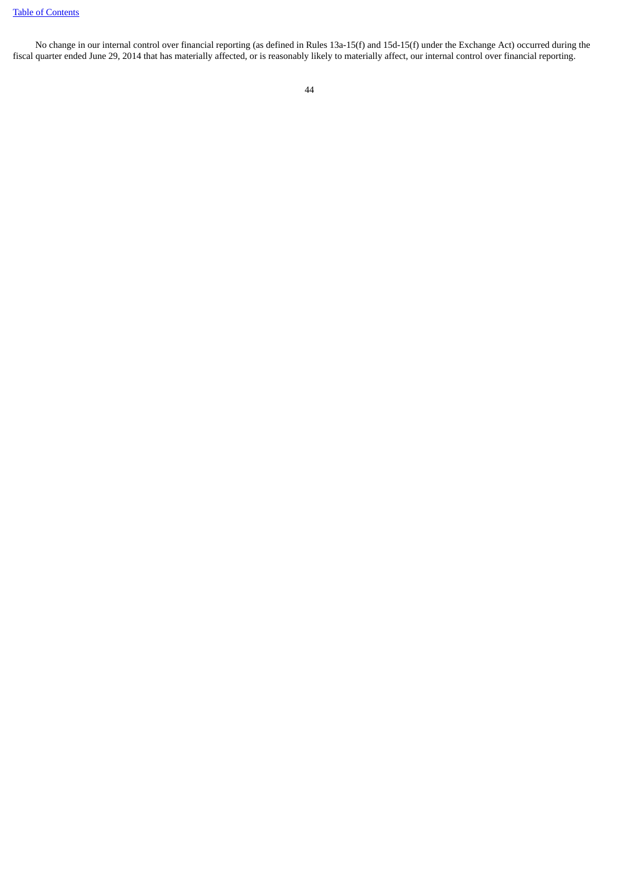No change in our internal control over financial reporting (as defined in Rules 13a-15(f) and 15d-15(f) under the Exchange Act) occurred during the fiscal quarter ended June 29, 2014 that has materially affected, or is reasonably likely to materially affect, our internal control over financial reporting.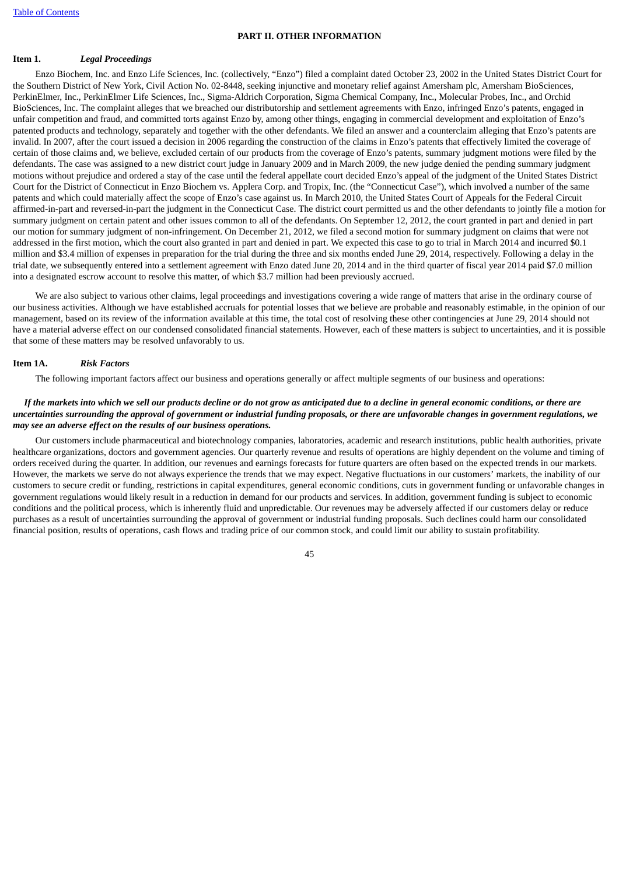#### **PART II. OTHER INFORMATION**

#### <span id="page-44-0"></span>**Item 1.** *Legal Proceedings*

Enzo Biochem, Inc. and Enzo Life Sciences, Inc. (collectively, "Enzo") filed a complaint dated October 23, 2002 in the United States District Court for the Southern District of New York, Civil Action No. 02-8448, seeking injunctive and monetary relief against Amersham plc, Amersham BioSciences, PerkinElmer, Inc., PerkinElmer Life Sciences, Inc., Sigma-Aldrich Corporation, Sigma Chemical Company, Inc., Molecular Probes, Inc., and Orchid BioSciences, Inc. The complaint alleges that we breached our distributorship and settlement agreements with Enzo, infringed Enzo's patents, engaged in unfair competition and fraud, and committed torts against Enzo by, among other things, engaging in commercial development and exploitation of Enzo's patented products and technology, separately and together with the other defendants. We filed an answer and a counterclaim alleging that Enzo's patents are invalid. In 2007, after the court issued a decision in 2006 regarding the construction of the claims in Enzo's patents that effectively limited the coverage of certain of those claims and, we believe, excluded certain of our products from the coverage of Enzo's patents, summary judgment motions were filed by the defendants. The case was assigned to a new district court judge in January 2009 and in March 2009, the new judge denied the pending summary judgment motions without prejudice and ordered a stay of the case until the federal appellate court decided Enzo's appeal of the judgment of the United States District Court for the District of Connecticut in Enzo Biochem vs. Applera Corp. and Tropix, Inc. (the "Connecticut Case"), which involved a number of the same patents and which could materially affect the scope of Enzo's case against us. In March 2010, the United States Court of Appeals for the Federal Circuit affirmed-in-part and reversed-in-part the judgment in the Connecticut Case. The district court permitted us and the other defendants to jointly file a motion for summary judgment on certain patent and other issues common to all of the defendants. On September 12, 2012, the court granted in part and denied in part our motion for summary judgment of non-infringement. On December 21, 2012, we filed a second motion for summary judgment on claims that were not addressed in the first motion, which the court also granted in part and denied in part. We expected this case to go to trial in March 2014 and incurred \$0.1 million and \$3.4 million of expenses in preparation for the trial during the three and six months ended June 29, 2014, respectively. Following a delay in the trial date, we subsequently entered into a settlement agreement with Enzo dated June 20, 2014 and in the third quarter of fiscal year 2014 paid \$7.0 million into a designated escrow account to resolve this matter, of which \$3.7 million had been previously accrued.

We are also subject to various other claims, legal proceedings and investigations covering a wide range of matters that arise in the ordinary course of our business activities. Although we have established accruals for potential losses that we believe are probable and reasonably estimable, in the opinion of our management, based on its review of the information available at this time, the total cost of resolving these other contingencies at June 29, 2014 should not have a material adverse effect on our condensed consolidated financial statements. However, each of these matters is subject to uncertainties, and it is possible that some of these matters may be resolved unfavorably to us.

#### <span id="page-44-1"></span>**Item 1A.** *Risk Factors*

The following important factors affect our business and operations generally or affect multiple segments of our business and operations:

# If the markets into which we sell our products decline or do not grow as anticipated due to a decline in general economic conditions, or there are uncertainties surrounding the approval of government or industrial funding proposals, or there are unfavorable changes in government regulations, we *may see an adverse effect on the results of our business operations.*

Our customers include pharmaceutical and biotechnology companies, laboratories, academic and research institutions, public health authorities, private healthcare organizations, doctors and government agencies. Our quarterly revenue and results of operations are highly dependent on the volume and timing of orders received during the quarter. In addition, our revenues and earnings forecasts for future quarters are often based on the expected trends in our markets. However, the markets we serve do not always experience the trends that we may expect. Negative fluctuations in our customers' markets, the inability of our customers to secure credit or funding, restrictions in capital expenditures, general economic conditions, cuts in government funding or unfavorable changes in government regulations would likely result in a reduction in demand for our products and services. In addition, government funding is subject to economic conditions and the political process, which is inherently fluid and unpredictable. Our revenues may be adversely affected if our customers delay or reduce purchases as a result of uncertainties surrounding the approval of government or industrial funding proposals. Such declines could harm our consolidated financial position, results of operations, cash flows and trading price of our common stock, and could limit our ability to sustain profitability.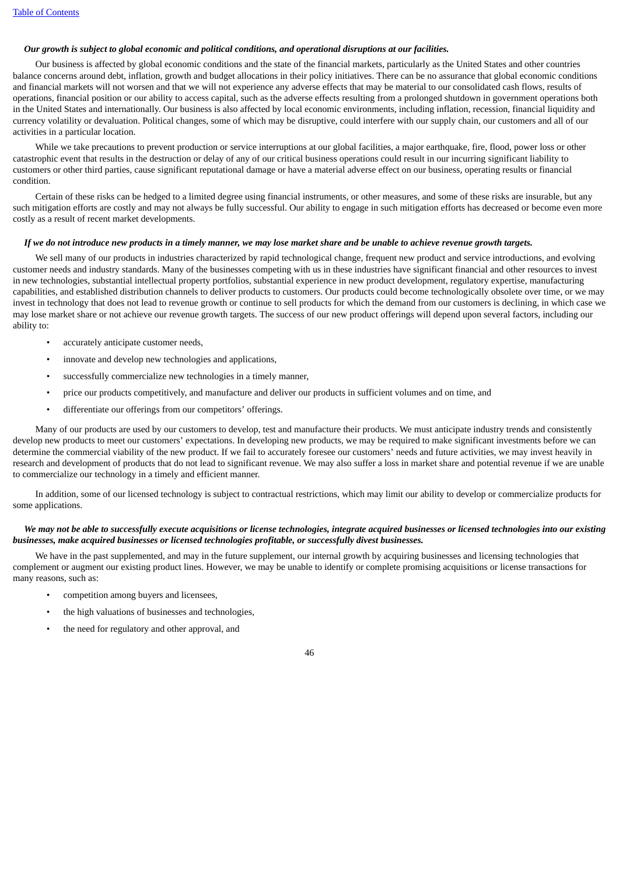# Our growth is subject to global economic and political conditions, and operational disruptions at our facilities.

Our business is affected by global economic conditions and the state of the financial markets, particularly as the United States and other countries balance concerns around debt, inflation, growth and budget allocations in their policy initiatives. There can be no assurance that global economic conditions and financial markets will not worsen and that we will not experience any adverse effects that may be material to our consolidated cash flows, results of operations, financial position or our ability to access capital, such as the adverse effects resulting from a prolonged shutdown in government operations both in the United States and internationally. Our business is also affected by local economic environments, including inflation, recession, financial liquidity and currency volatility or devaluation. Political changes, some of which may be disruptive, could interfere with our supply chain, our customers and all of our activities in a particular location.

While we take precautions to prevent production or service interruptions at our global facilities, a major earthquake, fire, flood, power loss or other catastrophic event that results in the destruction or delay of any of our critical business operations could result in our incurring significant liability to customers or other third parties, cause significant reputational damage or have a material adverse effect on our business, operating results or financial condition.

Certain of these risks can be hedged to a limited degree using financial instruments, or other measures, and some of these risks are insurable, but any such mitigation efforts are costly and may not always be fully successful. Our ability to engage in such mitigation efforts has decreased or become even more costly as a result of recent market developments.

# If we do not introduce new products in a timely manner, we may lose market share and be unable to achieve revenue growth targets.

We sell many of our products in industries characterized by rapid technological change, frequent new product and service introductions, and evolving customer needs and industry standards. Many of the businesses competing with us in these industries have significant financial and other resources to invest in new technologies, substantial intellectual property portfolios, substantial experience in new product development, regulatory expertise, manufacturing capabilities, and established distribution channels to deliver products to customers. Our products could become technologically obsolete over time, or we may invest in technology that does not lead to revenue growth or continue to sell products for which the demand from our customers is declining, in which case we may lose market share or not achieve our revenue growth targets. The success of our new product offerings will depend upon several factors, including our ability to:

- accurately anticipate customer needs,
- innovate and develop new technologies and applications,
- successfully commercialize new technologies in a timely manner,
- price our products competitively, and manufacture and deliver our products in sufficient volumes and on time, and
- differentiate our offerings from our competitors' offerings.

Many of our products are used by our customers to develop, test and manufacture their products. We must anticipate industry trends and consistently develop new products to meet our customers' expectations. In developing new products, we may be required to make significant investments before we can determine the commercial viability of the new product. If we fail to accurately foresee our customers' needs and future activities, we may invest heavily in research and development of products that do not lead to significant revenue. We may also suffer a loss in market share and potential revenue if we are unable to commercialize our technology in a timely and efficient manner.

In addition, some of our licensed technology is subject to contractual restrictions, which may limit our ability to develop or commercialize products for some applications.

### We may not be able to successfully execute acquisitions or license technologies, integrate acquired businesses or licensed technologies into our existing *businesses, make acquired businesses or licensed technologies profitable, or successfully divest businesses.*

We have in the past supplemented, and may in the future supplement, our internal growth by acquiring businesses and licensing technologies that complement or augment our existing product lines. However, we may be unable to identify or complete promising acquisitions or license transactions for many reasons, such as:

- competition among buyers and licensees,
- the high valuations of businesses and technologies,
- the need for regulatory and other approval, and

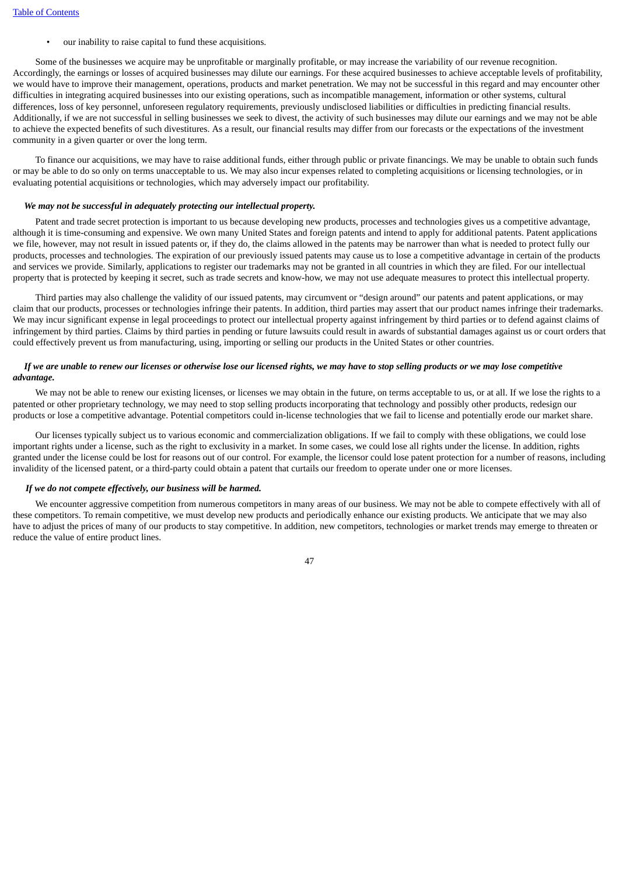our inability to raise capital to fund these acquisitions.

Some of the businesses we acquire may be unprofitable or marginally profitable, or may increase the variability of our revenue recognition. Accordingly, the earnings or losses of acquired businesses may dilute our earnings. For these acquired businesses to achieve acceptable levels of profitability, we would have to improve their management, operations, products and market penetration. We may not be successful in this regard and may encounter other difficulties in integrating acquired businesses into our existing operations, such as incompatible management, information or other systems, cultural differences, loss of key personnel, unforeseen regulatory requirements, previously undisclosed liabilities or difficulties in predicting financial results. Additionally, if we are not successful in selling businesses we seek to divest, the activity of such businesses may dilute our earnings and we may not be able to achieve the expected benefits of such divestitures. As a result, our financial results may differ from our forecasts or the expectations of the investment community in a given quarter or over the long term.

To finance our acquisitions, we may have to raise additional funds, either through public or private financings. We may be unable to obtain such funds or may be able to do so only on terms unacceptable to us. We may also incur expenses related to completing acquisitions or licensing technologies, or in evaluating potential acquisitions or technologies, which may adversely impact our profitability.

#### *We may not be successful in adequately protecting our intellectual property.*

Patent and trade secret protection is important to us because developing new products, processes and technologies gives us a competitive advantage, although it is time-consuming and expensive. We own many United States and foreign patents and intend to apply for additional patents. Patent applications we file, however, may not result in issued patents or, if they do, the claims allowed in the patents may be narrower than what is needed to protect fully our products, processes and technologies. The expiration of our previously issued patents may cause us to lose a competitive advantage in certain of the products and services we provide. Similarly, applications to register our trademarks may not be granted in all countries in which they are filed. For our intellectual property that is protected by keeping it secret, such as trade secrets and know-how, we may not use adequate measures to protect this intellectual property.

Third parties may also challenge the validity of our issued patents, may circumvent or "design around" our patents and patent applications, or may claim that our products, processes or technologies infringe their patents. In addition, third parties may assert that our product names infringe their trademarks. We may incur significant expense in legal proceedings to protect our intellectual property against infringement by third parties or to defend against claims of infringement by third parties. Claims by third parties in pending or future lawsuits could result in awards of substantial damages against us or court orders that could effectively prevent us from manufacturing, using, importing or selling our products in the United States or other countries.

#### If we are unable to renew our licenses or otherwise lose our licensed rights, we may have to stop selling products or we may lose competitive *advantage.*

We may not be able to renew our existing licenses, or licenses we may obtain in the future, on terms acceptable to us, or at all. If we lose the rights to a patented or other proprietary technology, we may need to stop selling products incorporating that technology and possibly other products, redesign our products or lose a competitive advantage. Potential competitors could in-license technologies that we fail to license and potentially erode our market share.

Our licenses typically subject us to various economic and commercialization obligations. If we fail to comply with these obligations, we could lose important rights under a license, such as the right to exclusivity in a market. In some cases, we could lose all rights under the license. In addition, rights granted under the license could be lost for reasons out of our control. For example, the licensor could lose patent protection for a number of reasons, including invalidity of the licensed patent, or a third-party could obtain a patent that curtails our freedom to operate under one or more licenses.

#### *If we do not compete effectively, our business will be harmed.*

We encounter aggressive competition from numerous competitors in many areas of our business. We may not be able to compete effectively with all of these competitors. To remain competitive, we must develop new products and periodically enhance our existing products. We anticipate that we may also have to adjust the prices of many of our products to stay competitive. In addition, new competitors, technologies or market trends may emerge to threaten or reduce the value of entire product lines.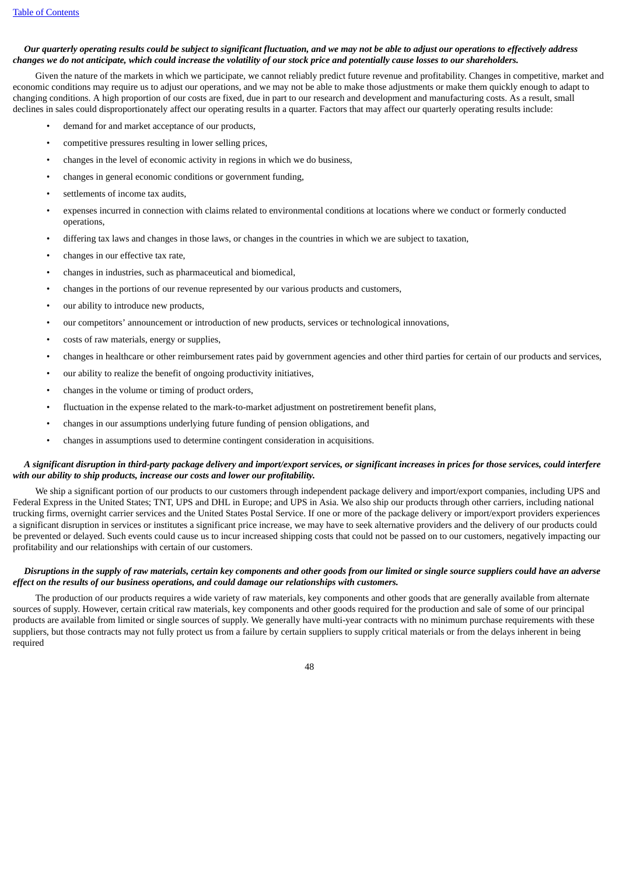#### Our quarterly operating results could be subject to significant fluctuation, and we may not be able to adjust our operations to effectively address changes we do not anticipate, which could increase the volatility of our stock price and potentially cause losses to our shareholders.

Given the nature of the markets in which we participate, we cannot reliably predict future revenue and profitability. Changes in competitive, market and economic conditions may require us to adjust our operations, and we may not be able to make those adjustments or make them quickly enough to adapt to changing conditions. A high proportion of our costs are fixed, due in part to our research and development and manufacturing costs. As a result, small declines in sales could disproportionately affect our operating results in a quarter. Factors that may affect our quarterly operating results include:

- demand for and market acceptance of our products,
- competitive pressures resulting in lower selling prices,
- changes in the level of economic activity in regions in which we do business,
- changes in general economic conditions or government funding,
- settlements of income tax audits,
- expenses incurred in connection with claims related to environmental conditions at locations where we conduct or formerly conducted operations,
- differing tax laws and changes in those laws, or changes in the countries in which we are subject to taxation,
- changes in our effective tax rate,
- changes in industries, such as pharmaceutical and biomedical,
- changes in the portions of our revenue represented by our various products and customers,
- our ability to introduce new products,
- our competitors' announcement or introduction of new products, services or technological innovations,
- costs of raw materials, energy or supplies,
- changes in healthcare or other reimbursement rates paid by government agencies and other third parties for certain of our products and services,
- our ability to realize the benefit of ongoing productivity initiatives,
- changes in the volume or timing of product orders,
- fluctuation in the expense related to the mark-to-market adjustment on postretirement benefit plans,
- changes in our assumptions underlying future funding of pension obligations, and
- changes in assumptions used to determine contingent consideration in acquisitions.

# A significant disruption in third-party package delivery and import/export services, or significant increases in prices for those services, could interfere *with our ability to ship products, increase our costs and lower our profitability.*

We ship a significant portion of our products to our customers through independent package delivery and import/export companies, including UPS and Federal Express in the United States; TNT, UPS and DHL in Europe; and UPS in Asia. We also ship our products through other carriers, including national trucking firms, overnight carrier services and the United States Postal Service. If one or more of the package delivery or import/export providers experiences a significant disruption in services or institutes a significant price increase, we may have to seek alternative providers and the delivery of our products could be prevented or delayed. Such events could cause us to incur increased shipping costs that could not be passed on to our customers, negatively impacting our profitability and our relationships with certain of our customers.

# Disruptions in the supply of raw materials, certain key components and other goods from our limited or single source suppliers could have an adverse *effect on the results of our business operations, and could damage our relationships with customers.*

The production of our products requires a wide variety of raw materials, key components and other goods that are generally available from alternate sources of supply. However, certain critical raw materials, key components and other goods required for the production and sale of some of our principal products are available from limited or single sources of supply. We generally have multi-year contracts with no minimum purchase requirements with these suppliers, but those contracts may not fully protect us from a failure by certain suppliers to supply critical materials or from the delays inherent in being required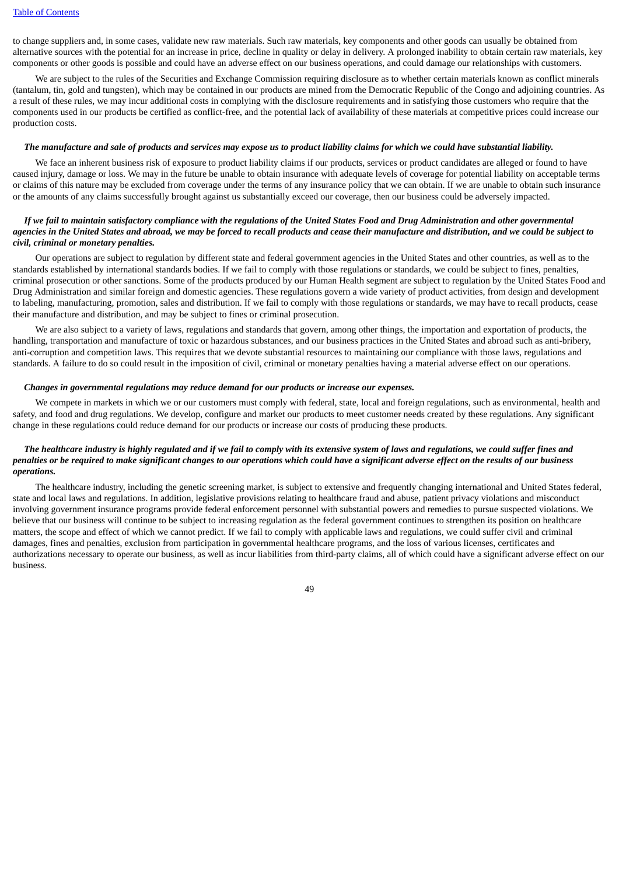to change suppliers and, in some cases, validate new raw materials. Such raw materials, key components and other goods can usually be obtained from alternative sources with the potential for an increase in price, decline in quality or delay in delivery. A prolonged inability to obtain certain raw materials, key components or other goods is possible and could have an adverse effect on our business operations, and could damage our relationships with customers.

We are subject to the rules of the Securities and Exchange Commission requiring disclosure as to whether certain materials known as conflict minerals (tantalum, tin, gold and tungsten), which may be contained in our products are mined from the Democratic Republic of the Congo and adjoining countries. As a result of these rules, we may incur additional costs in complying with the disclosure requirements and in satisfying those customers who require that the components used in our products be certified as conflict-free, and the potential lack of availability of these materials at competitive prices could increase our production costs.

#### The manufacture and sale of products and services may expose us to product liability claims for which we could have substantial liability.

We face an inherent business risk of exposure to product liability claims if our products, services or product candidates are alleged or found to have caused injury, damage or loss. We may in the future be unable to obtain insurance with adequate levels of coverage for potential liability on acceptable terms or claims of this nature may be excluded from coverage under the terms of any insurance policy that we can obtain. If we are unable to obtain such insurance or the amounts of any claims successfully brought against us substantially exceed our coverage, then our business could be adversely impacted.

## If we fail to maintain satisfactory compliance with the regulations of the United States Food and Drug Administration and other governmental agencies in the United States and abroad, we may be forced to recall products and cease their manufacture and distribution, and we could be subject to *civil, criminal or monetary penalties.*

Our operations are subject to regulation by different state and federal government agencies in the United States and other countries, as well as to the standards established by international standards bodies. If we fail to comply with those regulations or standards, we could be subject to fines, penalties, criminal prosecution or other sanctions. Some of the products produced by our Human Health segment are subject to regulation by the United States Food and Drug Administration and similar foreign and domestic agencies. These regulations govern a wide variety of product activities, from design and development to labeling, manufacturing, promotion, sales and distribution. If we fail to comply with those regulations or standards, we may have to recall products, cease their manufacture and distribution, and may be subject to fines or criminal prosecution.

We are also subject to a variety of laws, regulations and standards that govern, among other things, the importation and exportation of products, the handling, transportation and manufacture of toxic or hazardous substances, and our business practices in the United States and abroad such as anti-bribery, anti-corruption and competition laws. This requires that we devote substantial resources to maintaining our compliance with those laws, regulations and standards. A failure to do so could result in the imposition of civil, criminal or monetary penalties having a material adverse effect on our operations.

#### *Changes in governmental regulations may reduce demand for our products or increase our expenses.*

We compete in markets in which we or our customers must comply with federal, state, local and foreign regulations, such as environmental, health and safety, and food and drug regulations. We develop, configure and market our products to meet customer needs created by these regulations. Any significant change in these regulations could reduce demand for our products or increase our costs of producing these products.

# The healthcare industry is highly regulated and if we fail to comply with its extensive system of laws and regulations, we could suffer fines and penalties or be required to make significant changes to our operations which could have a significant adverse effect on the results of our business *operations.*

The healthcare industry, including the genetic screening market, is subject to extensive and frequently changing international and United States federal, state and local laws and regulations. In addition, legislative provisions relating to healthcare fraud and abuse, patient privacy violations and misconduct involving government insurance programs provide federal enforcement personnel with substantial powers and remedies to pursue suspected violations. We believe that our business will continue to be subject to increasing regulation as the federal government continues to strengthen its position on healthcare matters, the scope and effect of which we cannot predict. If we fail to comply with applicable laws and regulations, we could suffer civil and criminal damages, fines and penalties, exclusion from participation in governmental healthcare programs, and the loss of various licenses, certificates and authorizations necessary to operate our business, as well as incur liabilities from third-party claims, all of which could have a significant adverse effect on our business.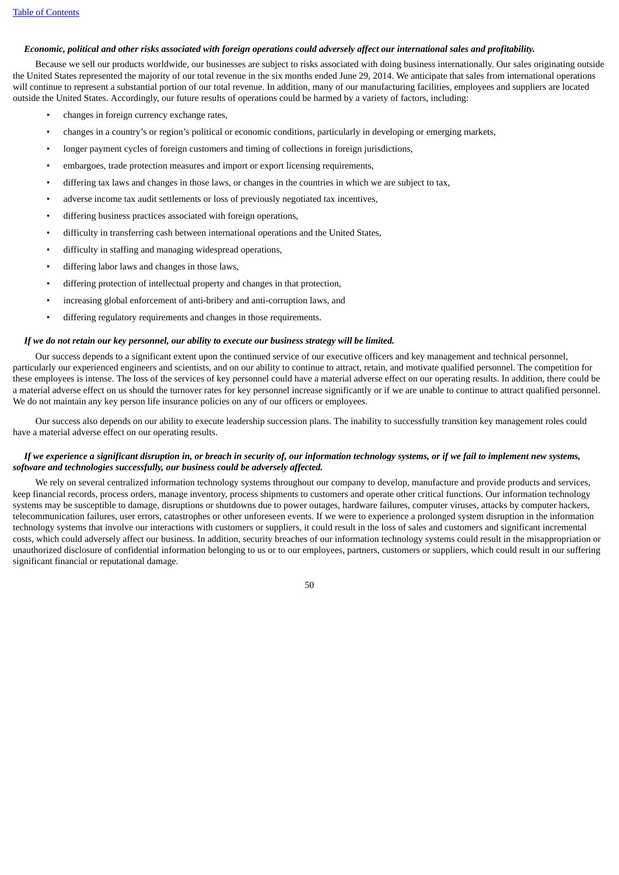#### Economic, political and other risks associated with foreign operations could adversely affect our international sales and profitability.

Because we sell our products worldwide, our businesses are subject to risks associated with doing business internationally. Our sales originating outside the United States represented the majority of our total revenue in the six months ended June 29, 2014. We anticipate that sales from international operations will continue to represent a substantial portion of our total revenue. In addition, many of our manufacturing facilities, employees and suppliers are located outside the United States. Accordingly, our future results of operations could be harmed by a variety of factors, including:

- changes in foreign currency exchange rates,
- changes in a country's or region's political or economic conditions, particularly in developing or emerging markets,
- longer payment cycles of foreign customers and timing of collections in foreign jurisdictions,
- embargoes, trade protection measures and import or export licensing requirements,
- differing tax laws and changes in those laws, or changes in the countries in which we are subject to tax,
- adverse income tax audit settlements or loss of previously negotiated tax incentives,
- differing business practices associated with foreign operations,
- difficulty in transferring cash between international operations and the United States,
- difficulty in staffing and managing widespread operations,
- differing labor laws and changes in those laws,
- differing protection of intellectual property and changes in that protection,
- increasing global enforcement of anti-bribery and anti-corruption laws, and
- differing regulatory requirements and changes in those requirements.

#### If we do not retain our key personnel, our ability to execute our business strategy will be limited.

Our success depends to a significant extent upon the continued service of our executive officers and key management and technical personnel, particularly our experienced engineers and scientists, and on our ability to continue to attract, retain, and motivate qualified personnel. The competition for these employees is intense. The loss of the services of key personnel could have a material adverse effect on our operating results. In addition, there could be a material adverse effect on us should the turnover rates for key personnel increase significantly or if we are unable to continue to attract qualified personnel. We do not maintain any key person life insurance policies on any of our officers or employees.

Our success also depends on our ability to execute leadership succession plans. The inability to successfully transition key management roles could have a material adverse effect on our operating results.

# If we experience a significant disruption in, or breach in security of, our information technology systems, or if we fail to implement new systems, *software and technologies successfully, our business could be adversely affected.*

We rely on several centralized information technology systems throughout our company to develop, manufacture and provide products and services, keep financial records, process orders, manage inventory, process shipments to customers and operate other critical functions. Our information technology systems may be susceptible to damage, disruptions or shutdowns due to power outages, hardware failures, computer viruses, attacks by computer hackers, telecommunication failures, user errors, catastrophes or other unforeseen events. If we were to experience a prolonged system disruption in the information technology systems that involve our interactions with customers or suppliers, it could result in the loss of sales and customers and significant incremental costs, which could adversely affect our business. In addition, security breaches of our information technology systems could result in the misappropriation or unauthorized disclosure of confidential information belonging to us or to our employees, partners, customers or suppliers, which could result in our suffering significant financial or reputational damage.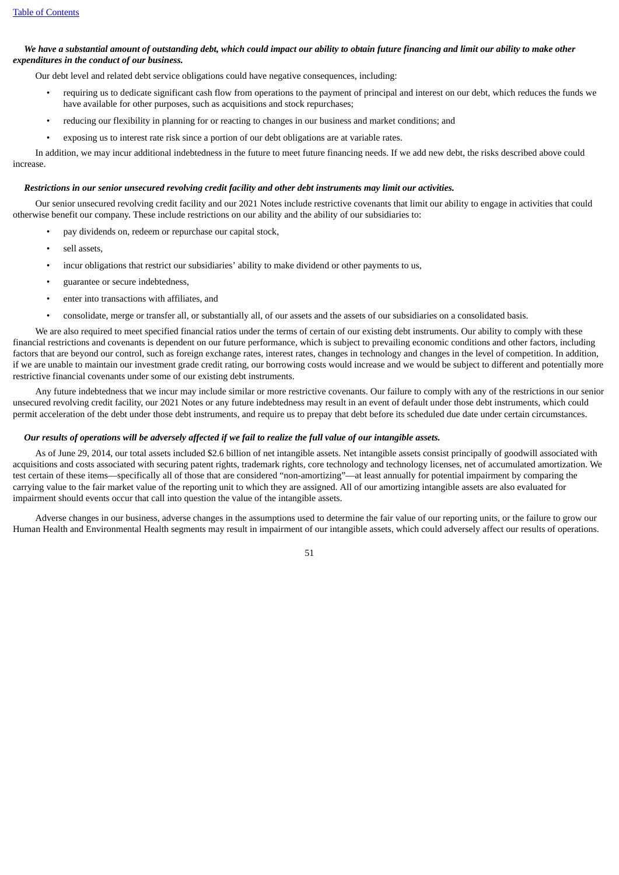# We have a substantial amount of outstanding debt, which could impact our ability to obtain future financing and limit our ability to make other *expenditures in the conduct of our business.*

Our debt level and related debt service obligations could have negative consequences, including:

- requiring us to dedicate significant cash flow from operations to the payment of principal and interest on our debt, which reduces the funds we have available for other purposes, such as acquisitions and stock repurchases;
- reducing our flexibility in planning for or reacting to changes in our business and market conditions; and
- exposing us to interest rate risk since a portion of our debt obligations are at variable rates.

In addition, we may incur additional indebtedness in the future to meet future financing needs. If we add new debt, the risks described above could increase.

#### Restrictions in our senior unsecured revolving credit facility and other debt instruments may limit our activities.

Our senior unsecured revolving credit facility and our 2021 Notes include restrictive covenants that limit our ability to engage in activities that could otherwise benefit our company. These include restrictions on our ability and the ability of our subsidiaries to:

- pay dividends on, redeem or repurchase our capital stock,
- sell assets,
- incur obligations that restrict our subsidiaries' ability to make dividend or other payments to us,
- guarantee or secure indebtedness,
- enter into transactions with affiliates, and
- consolidate, merge or transfer all, or substantially all, of our assets and the assets of our subsidiaries on a consolidated basis.

We are also required to meet specified financial ratios under the terms of certain of our existing debt instruments. Our ability to comply with these financial restrictions and covenants is dependent on our future performance, which is subject to prevailing economic conditions and other factors, including factors that are beyond our control, such as foreign exchange rates, interest rates, changes in technology and changes in the level of competition. In addition, if we are unable to maintain our investment grade credit rating, our borrowing costs would increase and we would be subject to different and potentially more restrictive financial covenants under some of our existing debt instruments.

Any future indebtedness that we incur may include similar or more restrictive covenants. Our failure to comply with any of the restrictions in our senior unsecured revolving credit facility, our 2021 Notes or any future indebtedness may result in an event of default under those debt instruments, which could permit acceleration of the debt under those debt instruments, and require us to prepay that debt before its scheduled due date under certain circumstances.

#### Our results of operations will be adversely affected if we fail to realize the full value of our intangible assets.

As of June 29, 2014, our total assets included \$2.6 billion of net intangible assets. Net intangible assets consist principally of goodwill associated with acquisitions and costs associated with securing patent rights, trademark rights, core technology and technology licenses, net of accumulated amortization. We test certain of these items—specifically all of those that are considered "non-amortizing"—at least annually for potential impairment by comparing the carrying value to the fair market value of the reporting unit to which they are assigned. All of our amortizing intangible assets are also evaluated for impairment should events occur that call into question the value of the intangible assets.

Adverse changes in our business, adverse changes in the assumptions used to determine the fair value of our reporting units, or the failure to grow our Human Health and Environmental Health segments may result in impairment of our intangible assets, which could adversely affect our results of operations.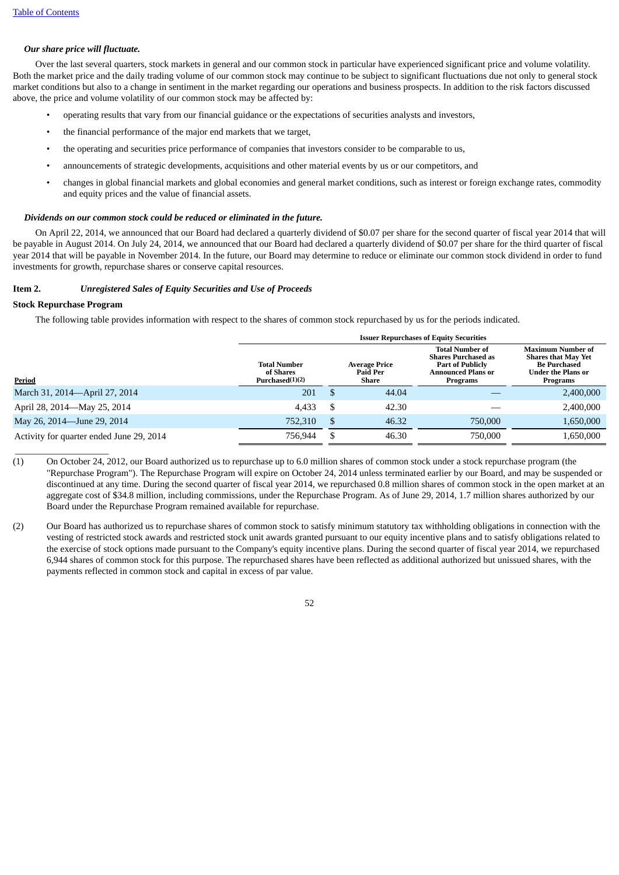#### *Our share price will fluctuate.*

Over the last several quarters, stock markets in general and our common stock in particular have experienced significant price and volume volatility. Both the market price and the daily trading volume of our common stock may continue to be subject to significant fluctuations due not only to general stock market conditions but also to a change in sentiment in the market regarding our operations and business prospects. In addition to the risk factors discussed above, the price and volume volatility of our common stock may be affected by:

- operating results that vary from our financial guidance or the expectations of securities analysts and investors,
- the financial performance of the major end markets that we target,
- the operating and securities price performance of companies that investors consider to be comparable to us,
- announcements of strategic developments, acquisitions and other material events by us or our competitors, and
- changes in global financial markets and global economies and general market conditions, such as interest or foreign exchange rates, commodity and equity prices and the value of financial assets.

#### *Dividends on our common stock could be reduced or eliminated in the future.*

On April 22, 2014, we announced that our Board had declared a quarterly dividend of \$0.07 per share for the second quarter of fiscal year 2014 that will be payable in August 2014. On July 24, 2014, we announced that our Board had declared a quarterly dividend of \$0.07 per share for the third quarter of fiscal year 2014 that will be payable in November 2014. In the future, our Board may determine to reduce or eliminate our common stock dividend in order to fund investments for growth, repurchase shares or conserve capital resources.

# <span id="page-51-0"></span>**Item 2.** *Unregistered Sales of Equity Securities and Use of Proceeds*

#### **Stock Repurchase Program**

\_\_\_\_\_\_\_\_\_\_\_\_\_\_\_\_\_\_\_\_

The following table provides information with respect to the shares of common stock repurchased by us for the periods indicated.

|                                          | <b>Issuer Repurchases of Equity Securities</b>      |                                                  |       |                                                                                                                          |                                                                                                                 |  |  |
|------------------------------------------|-----------------------------------------------------|--------------------------------------------------|-------|--------------------------------------------------------------------------------------------------------------------------|-----------------------------------------------------------------------------------------------------------------|--|--|
| Period                                   | <b>Total Number</b><br>of Shares<br>Purchased(1)(2) | <b>Average Price</b><br><b>Paid Per</b><br>Share |       | <b>Total Number of</b><br><b>Shares Purchased as</b><br><b>Part of Publicly</b><br><b>Announced Plans or</b><br>Programs | <b>Maximum Number of</b><br><b>Shares that May Yet</b><br><b>Be Purchased</b><br>Under the Plans or<br>Programs |  |  |
| March 31, 2014—April 27, 2014            | 201                                                 | -S                                               | 44.04 |                                                                                                                          | 2,400,000                                                                                                       |  |  |
| April 28, 2014—May 25, 2014              | 4.433                                               | S                                                | 42.30 |                                                                                                                          | 2,400,000                                                                                                       |  |  |
| May 26, 2014—June 29, 2014               | 752,310                                             | \$                                               | 46.32 | 750,000                                                                                                                  | 1,650,000                                                                                                       |  |  |
| Activity for quarter ended June 29, 2014 | 756.944                                             | \$                                               | 46.30 | 750,000                                                                                                                  | 1,650,000                                                                                                       |  |  |

(1) On October 24, 2012, our Board authorized us to repurchase up to 6.0 million shares of common stock under a stock repurchase program (the "Repurchase Program"). The Repurchase Program will expire on October 24, 2014 unless terminated earlier by our Board, and may be suspended or discontinued at any time. During the second quarter of fiscal year 2014, we repurchased 0.8 million shares of common stock in the open market at an aggregate cost of \$34.8 million, including commissions, under the Repurchase Program. As of June 29, 2014, 1.7 million shares authorized by our Board under the Repurchase Program remained available for repurchase.

<span id="page-51-1"></span>(2) Our Board has authorized us to repurchase shares of common stock to satisfy minimum statutory tax withholding obligations in connection with the vesting of restricted stock awards and restricted stock unit awards granted pursuant to our equity incentive plans and to satisfy obligations related to the exercise of stock options made pursuant to the Company's equity incentive plans. During the second quarter of fiscal year 2014, we repurchased 6,944 shares of common stock for this purpose. The repurchased shares have been reflected as additional authorized but unissued shares, with the payments reflected in common stock and capital in excess of par value.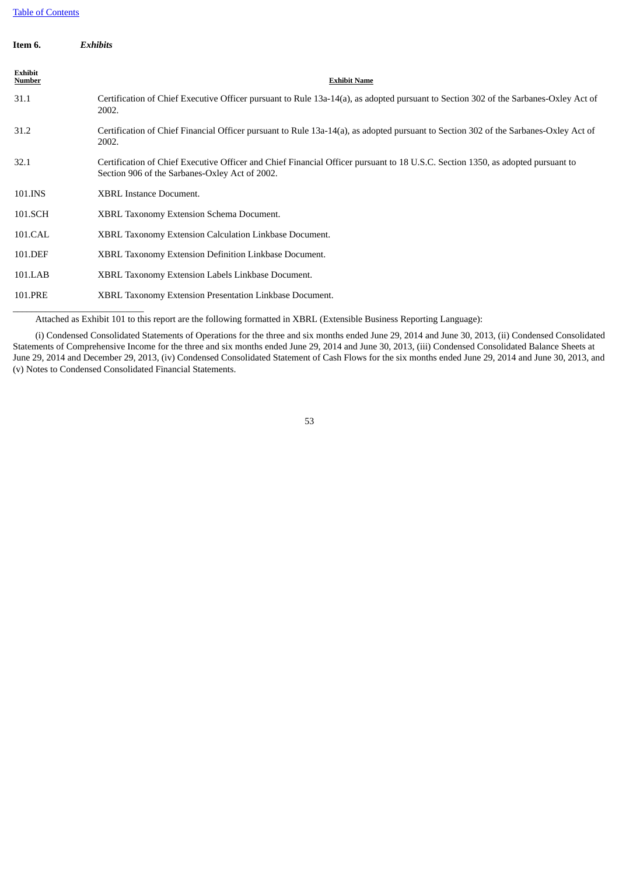# Table of [Contents](#page-0-0)

| Item 6.                  | <b>Exhibits</b>                                                                                                                                                                   |
|--------------------------|-----------------------------------------------------------------------------------------------------------------------------------------------------------------------------------|
| Exhibit<br><b>Number</b> | <b>Exhibit Name</b>                                                                                                                                                               |
| 31.1                     | Certification of Chief Executive Officer pursuant to Rule 13a-14(a), as adopted pursuant to Section 302 of the Sarbanes-Oxley Act of<br>2002.                                     |
| 31.2                     | Certification of Chief Financial Officer pursuant to Rule 13a-14(a), as adopted pursuant to Section 302 of the Sarbanes-Oxley Act of<br>2002.                                     |
| 32.1                     | Certification of Chief Executive Officer and Chief Financial Officer pursuant to 18 U.S.C. Section 1350, as adopted pursuant to<br>Section 906 of the Sarbanes-Oxley Act of 2002. |
| 101.INS                  | <b>XBRL Instance Document.</b>                                                                                                                                                    |
| 101.SCH                  | XBRL Taxonomy Extension Schema Document.                                                                                                                                          |
| 101.CAL                  | XBRL Taxonomy Extension Calculation Linkbase Document.                                                                                                                            |
| 101.DEF                  | XBRL Taxonomy Extension Definition Linkbase Document.                                                                                                                             |
| 101.LAB                  | XBRL Taxonomy Extension Labels Linkbase Document.                                                                                                                                 |
| 101.PRE                  | XBRL Taxonomy Extension Presentation Linkbase Document.                                                                                                                           |

Attached as Exhibit 101 to this report are the following formatted in XBRL (Extensible Business Reporting Language):

<span id="page-52-0"></span>(i) Condensed Consolidated Statements of Operations for the three and six months ended June 29, 2014 and June 30, 2013, (ii) Condensed Consolidated Statements of Comprehensive Income for the three and six months ended June 29, 2014 and June 30, 2013, (iii) Condensed Consolidated Balance Sheets at June 29, 2014 and December 29, 2013, (iv) Condensed Consolidated Statement of Cash Flows for the six months ended June 29, 2014 and June 30, 2013, and (v) Notes to Condensed Consolidated Financial Statements.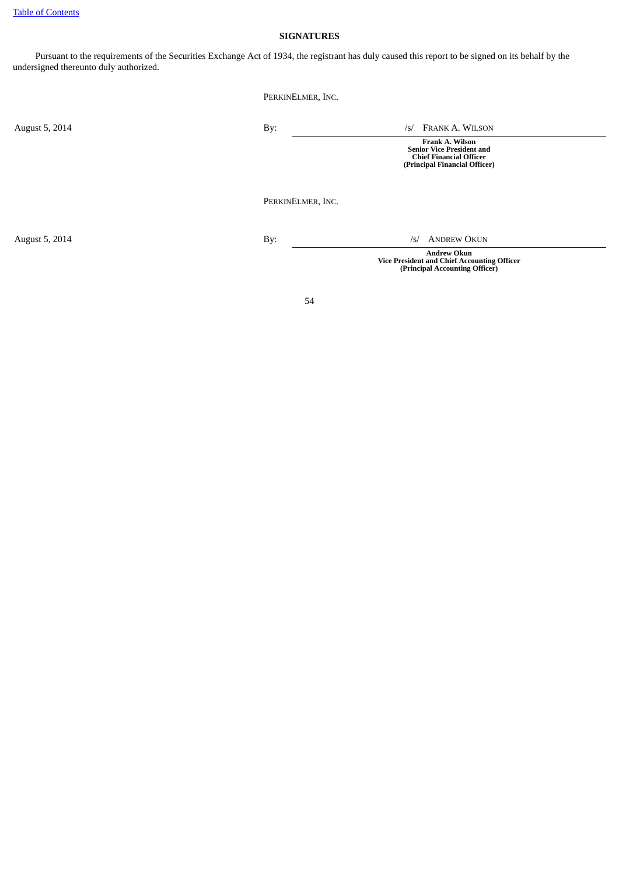# **SIGNATURES**

Pursuant to the requirements of the Securities Exchange Act of 1934, the registrant has duly caused this report to be signed on its behalf by the undersigned thereunto duly authorized.

PERKINELMER, INC.

August 5, 2014 **By:** /s/ FRANK A. WILSON

**Frank A. Wilson Senior Vice President and Chief Financial Officer (Principal Financial Officer)**

PERKINELMER, INC.

54

<span id="page-53-0"></span>August 5, 2014 **By:** *By*: */s/ ANDREW OKUN* 

**Andrew Okun Vice President and Chief Accounting Officer (Principal Accounting Officer)**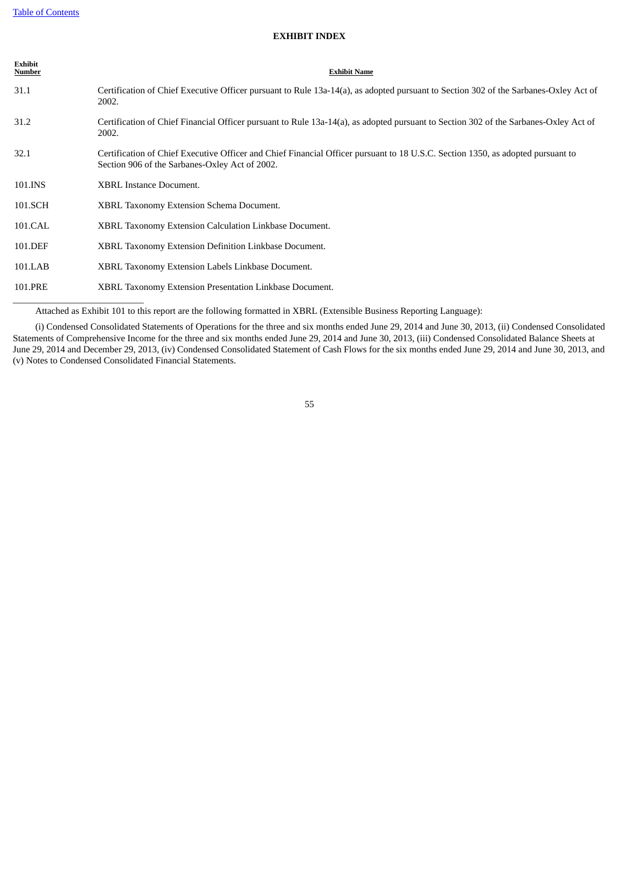# **EXHIBIT INDEX**

| <b>Exhibit</b><br><b>Number</b> | <b>Exhibit Name</b>                                                                                                                                                               |
|---------------------------------|-----------------------------------------------------------------------------------------------------------------------------------------------------------------------------------|
| 31.1                            | Certification of Chief Executive Officer pursuant to Rule 13a-14(a), as adopted pursuant to Section 302 of the Sarbanes-Oxley Act of<br>2002.                                     |
| 31.2                            | Certification of Chief Financial Officer pursuant to Rule 13a-14(a), as adopted pursuant to Section 302 of the Sarbanes-Oxley Act of<br>2002.                                     |
| 32.1                            | Certification of Chief Executive Officer and Chief Financial Officer pursuant to 18 U.S.C. Section 1350, as adopted pursuant to<br>Section 906 of the Sarbanes-Oxley Act of 2002. |
| 101.INS                         | <b>XBRL Instance Document.</b>                                                                                                                                                    |
| 101.SCH                         | XBRL Taxonomy Extension Schema Document.                                                                                                                                          |
| 101.CAL                         | <b>XBRL Taxonomy Extension Calculation Linkbase Document.</b>                                                                                                                     |
| 101.DEF                         | XBRL Taxonomy Extension Definition Linkbase Document.                                                                                                                             |
| 101.LAB                         | XBRL Taxonomy Extension Labels Linkbase Document.                                                                                                                                 |
| 101.PRE                         | XBRL Taxonomy Extension Presentation Linkbase Document.                                                                                                                           |

Attached as Exhibit 101 to this report are the following formatted in XBRL (Extensible Business Reporting Language):

(i) Condensed Consolidated Statements of Operations for the three and six months ended June 29, 2014 and June 30, 2013, (ii) Condensed Consolidated Statements of Comprehensive Income for the three and six months ended June 29, 2014 and June 30, 2013, (iii) Condensed Consolidated Balance Sheets at June 29, 2014 and December 29, 2013, (iv) Condensed Consolidated Statement of Cash Flows for the six months ended June 29, 2014 and June 30, 2013, and (v) Notes to Condensed Consolidated Financial Statements.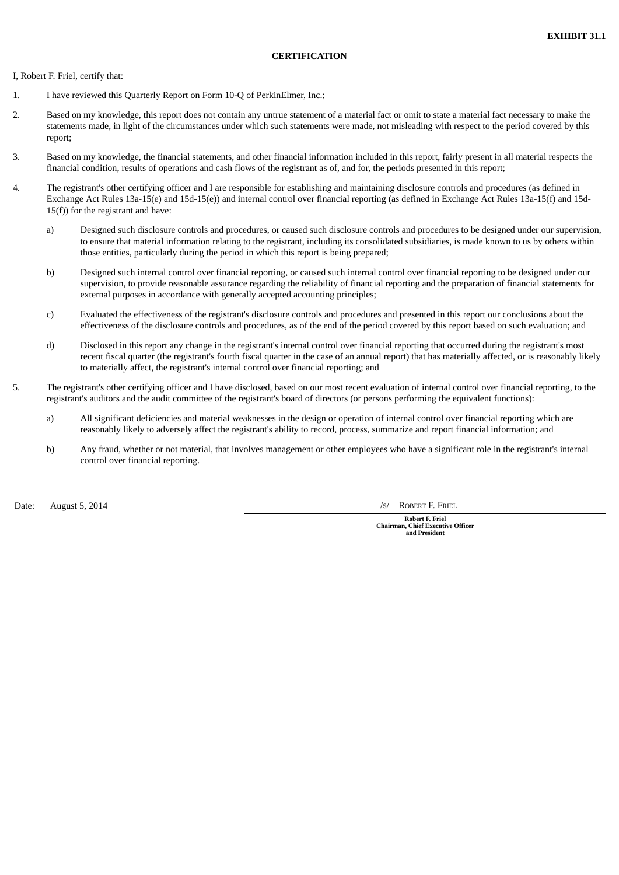#### **CERTIFICATION**

I, Robert F. Friel, certify that:

- 1. I have reviewed this Quarterly Report on Form 10-Q of PerkinElmer, Inc.;
- 2. Based on my knowledge, this report does not contain any untrue statement of a material fact or omit to state a material fact necessary to make the statements made, in light of the circumstances under which such statements were made, not misleading with respect to the period covered by this report;
- 3. Based on my knowledge, the financial statements, and other financial information included in this report, fairly present in all material respects the financial condition, results of operations and cash flows of the registrant as of, and for, the periods presented in this report;
- 4. The registrant's other certifying officer and I are responsible for establishing and maintaining disclosure controls and procedures (as defined in Exchange Act Rules 13a-15(e) and 15d-15(e)) and internal control over financial reporting (as defined in Exchange Act Rules 13a-15(f) and 15d-15(f)) for the registrant and have:
	- a) Designed such disclosure controls and procedures, or caused such disclosure controls and procedures to be designed under our supervision, to ensure that material information relating to the registrant, including its consolidated subsidiaries, is made known to us by others within those entities, particularly during the period in which this report is being prepared;
	- b) Designed such internal control over financial reporting, or caused such internal control over financial reporting to be designed under our supervision, to provide reasonable assurance regarding the reliability of financial reporting and the preparation of financial statements for external purposes in accordance with generally accepted accounting principles;
	- c) Evaluated the effectiveness of the registrant's disclosure controls and procedures and presented in this report our conclusions about the effectiveness of the disclosure controls and procedures, as of the end of the period covered by this report based on such evaluation; and
	- d) Disclosed in this report any change in the registrant's internal control over financial reporting that occurred during the registrant's most recent fiscal quarter (the registrant's fourth fiscal quarter in the case of an annual report) that has materially affected, or is reasonably likely to materially affect, the registrant's internal control over financial reporting; and
- 5. The registrant's other certifying officer and I have disclosed, based on our most recent evaluation of internal control over financial reporting, to the registrant's auditors and the audit committee of the registrant's board of directors (or persons performing the equivalent functions):
	- a) All significant deficiencies and material weaknesses in the design or operation of internal control over financial reporting which are reasonably likely to adversely affect the registrant's ability to record, process, summarize and report financial information; and
	- b) Any fraud, whether or not material, that involves management or other employees who have a significant role in the registrant's internal control over financial reporting.

Date: August 5, 2014 */s/ ROBERT F. FRIEL* 

**Robert F. Friel Chairman, Chief Executive Officer and President**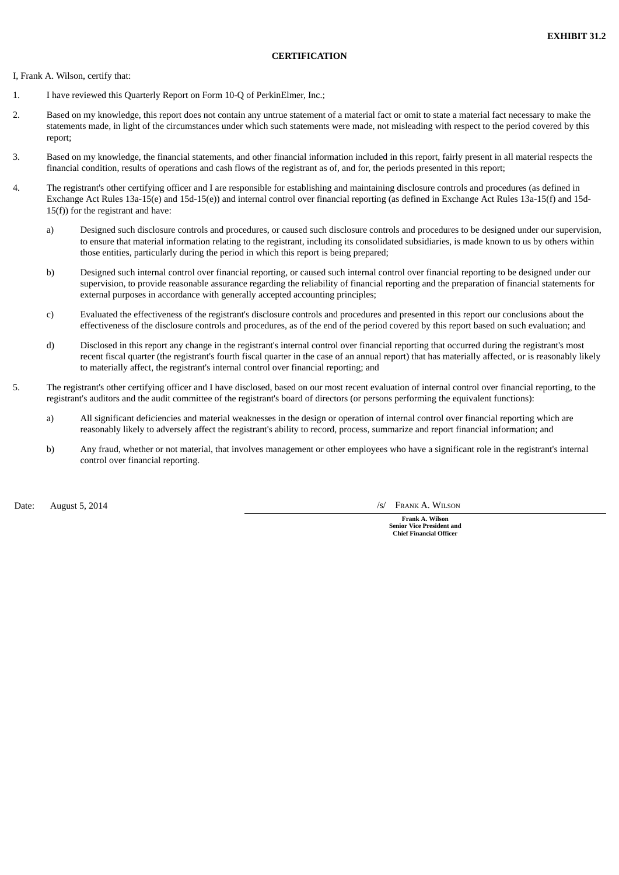#### **CERTIFICATION**

I, Frank A. Wilson, certify that:

- 1. I have reviewed this Quarterly Report on Form 10-Q of PerkinElmer, Inc.;
- 2. Based on my knowledge, this report does not contain any untrue statement of a material fact or omit to state a material fact necessary to make the statements made, in light of the circumstances under which such statements were made, not misleading with respect to the period covered by this report;
- 3. Based on my knowledge, the financial statements, and other financial information included in this report, fairly present in all material respects the financial condition, results of operations and cash flows of the registrant as of, and for, the periods presented in this report;
- 4. The registrant's other certifying officer and I are responsible for establishing and maintaining disclosure controls and procedures (as defined in Exchange Act Rules 13a-15(e) and 15d-15(e)) and internal control over financial reporting (as defined in Exchange Act Rules 13a-15(f) and 15d-15(f)) for the registrant and have:
	- a) Designed such disclosure controls and procedures, or caused such disclosure controls and procedures to be designed under our supervision, to ensure that material information relating to the registrant, including its consolidated subsidiaries, is made known to us by others within those entities, particularly during the period in which this report is being prepared;
	- b) Designed such internal control over financial reporting, or caused such internal control over financial reporting to be designed under our supervision, to provide reasonable assurance regarding the reliability of financial reporting and the preparation of financial statements for external purposes in accordance with generally accepted accounting principles;
	- c) Evaluated the effectiveness of the registrant's disclosure controls and procedures and presented in this report our conclusions about the effectiveness of the disclosure controls and procedures, as of the end of the period covered by this report based on such evaluation; and
	- d) Disclosed in this report any change in the registrant's internal control over financial reporting that occurred during the registrant's most recent fiscal quarter (the registrant's fourth fiscal quarter in the case of an annual report) that has materially affected, or is reasonably likely to materially affect, the registrant's internal control over financial reporting; and
- 5. The registrant's other certifying officer and I have disclosed, based on our most recent evaluation of internal control over financial reporting, to the registrant's auditors and the audit committee of the registrant's board of directors (or persons performing the equivalent functions):
	- a) All significant deficiencies and material weaknesses in the design or operation of internal control over financial reporting which are reasonably likely to adversely affect the registrant's ability to record, process, summarize and report financial information; and
	- b) Any fraud, whether or not material, that involves management or other employees who have a significant role in the registrant's internal control over financial reporting.

Date: August 5, 2014 *S/ FRANK A. WILSON* 

**Frank A. Wilson Senior Vice President and Chief Financial Officer**